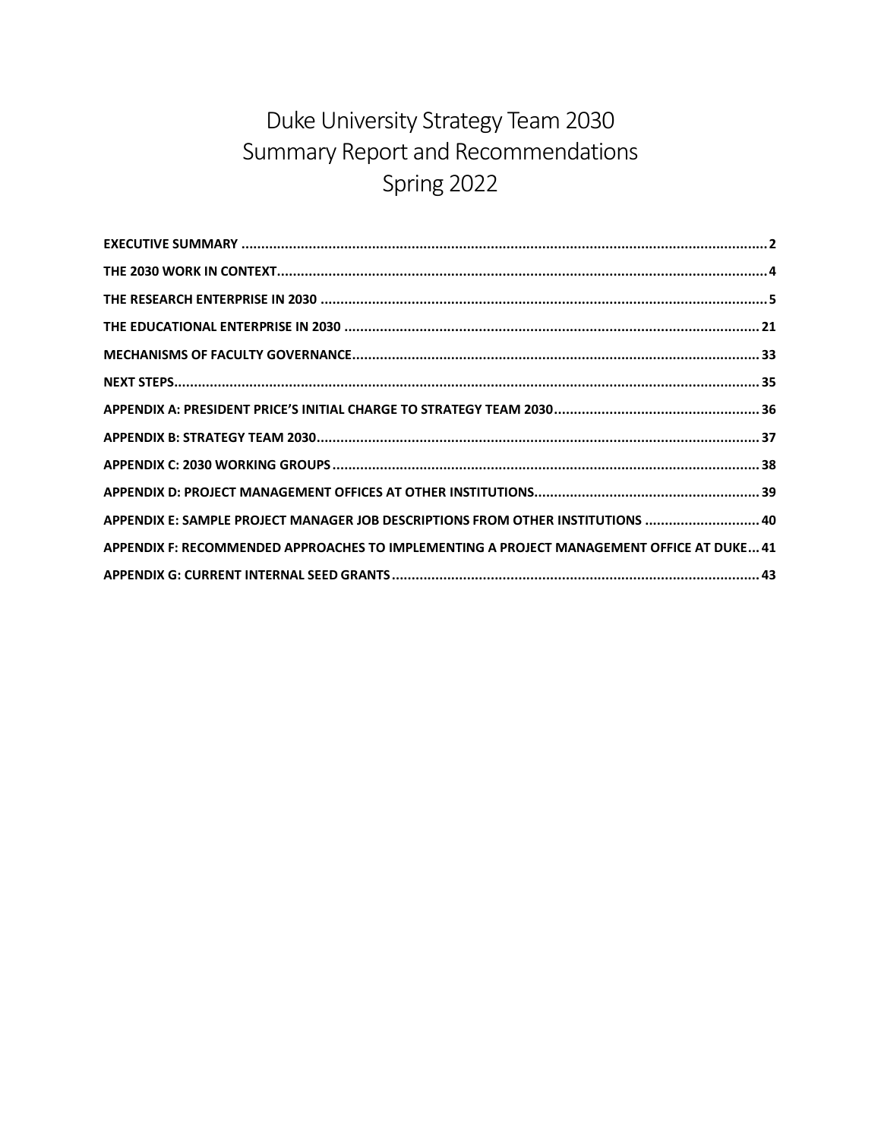# Duke University Strategy Team 2030 Summary Report and Recommendations Spring 2022

| APPENDIX E: SAMPLE PROJECT MANAGER JOB DESCRIPTIONS FROM OTHER INSTITUTIONS  40           |
|-------------------------------------------------------------------------------------------|
| APPENDIX F: RECOMMENDED APPROACHES TO IMPLEMENTING A PROJECT MANAGEMENT OFFICE AT DUKE 41 |
|                                                                                           |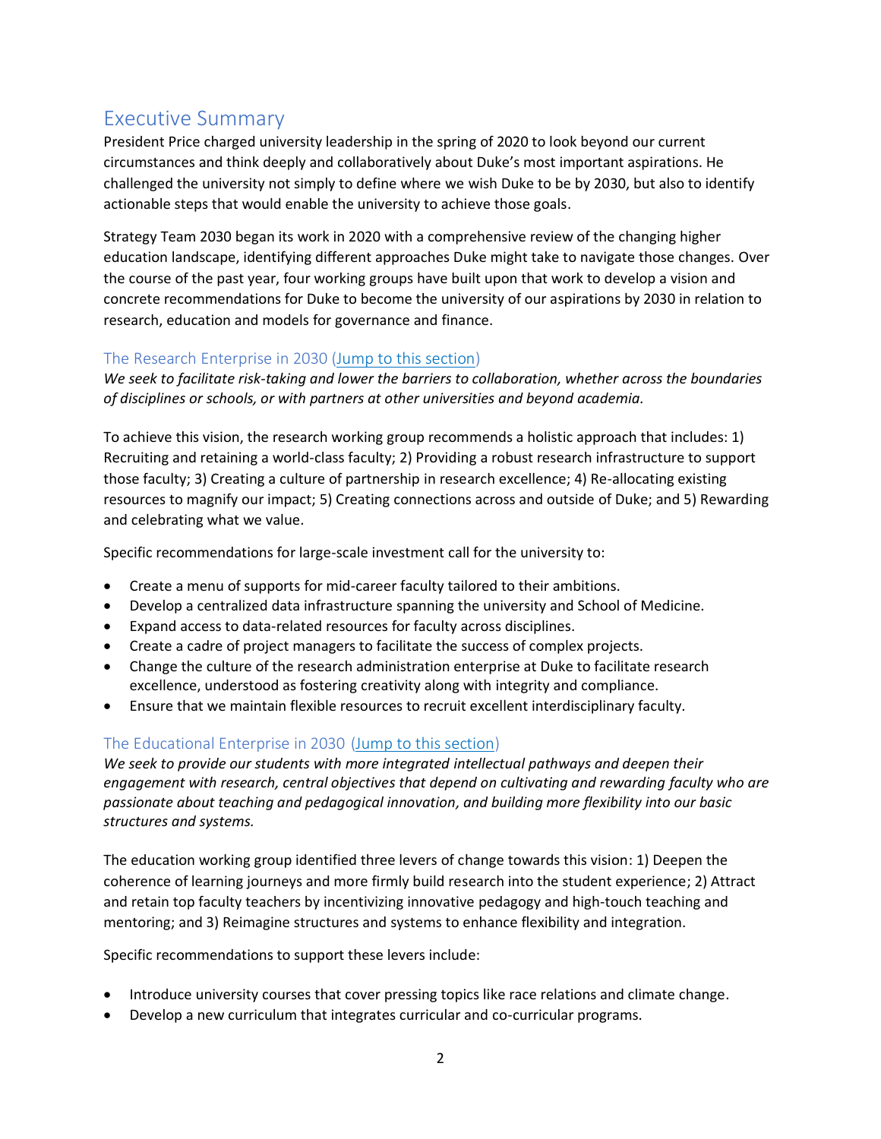## <span id="page-1-0"></span>Executive Summary

President Price charged university leadership in the spring of 2020 to look beyond our current circumstances and think deeply and collaboratively about Duke's most important aspirations. He challenged the university not simply to define where we wish Duke to be by 2030, but also to identify actionable steps that would enable the university to achieve those goals.

Strategy Team 2030 began its work in 2020 with a comprehensive review of the changing higher education landscape, identifying different approaches Duke might take to navigate those changes. Over the course of the past year, four working groups have built upon that work to develop a vision and concrete recommendations for Duke to become the university of our aspirations by 2030 in relation to research, education and models for governance and finance.

### The Research Enterprise in 2030 [\(Jump to this section\)](#page-4-0)

*We seek to facilitate risk-taking and lower the barriers to collaboration, whether across the boundaries of disciplines or schools, or with partners at other universities and beyond academia.*

To achieve this vision, the research working group recommends a holistic approach that includes: 1) Recruiting and retaining a world-class faculty; 2) Providing a robust research infrastructure to support those faculty; 3) Creating a culture of partnership in research excellence; 4) Re-allocating existing resources to magnify our impact; 5) Creating connections across and outside of Duke; and 5) Rewarding and celebrating what we value.

Specific recommendations for large-scale investment call for the university to:

- Create a menu of supports for mid-career faculty tailored to their ambitions.
- Develop a centralized data infrastructure spanning the university and School of Medicine.
- Expand access to data-related resources for faculty across disciplines.
- Create a cadre of project managers to facilitate the success of complex projects.
- Change the culture of the research administration enterprise at Duke to facilitate research excellence, understood as fostering creativity along with integrity and compliance.
- Ensure that we maintain flexible resources to recruit excellent interdisciplinary faculty.

## The Educational Enterprise in 2030 [\(Jump to this section\)](#page-20-0)

*We seek to provide our students with more integrated intellectual pathways and deepen their engagement with research, central objectives that depend on cultivating and rewarding faculty who are passionate about teaching and pedagogical innovation, and building more flexibility into our basic structures and systems.*

The education working group identified three levers of change towards this vision: 1) Deepen the coherence of learning journeys and more firmly build research into the student experience; 2) Attract and retain top faculty teachers by incentivizing innovative pedagogy and high-touch teaching and mentoring; and 3) Reimagine structures and systems to enhance flexibility and integration.

Specific recommendations to support these levers include:

- Introduce university courses that cover pressing topics like race relations and climate change.
- Develop a new curriculum that integrates curricular and co-curricular programs.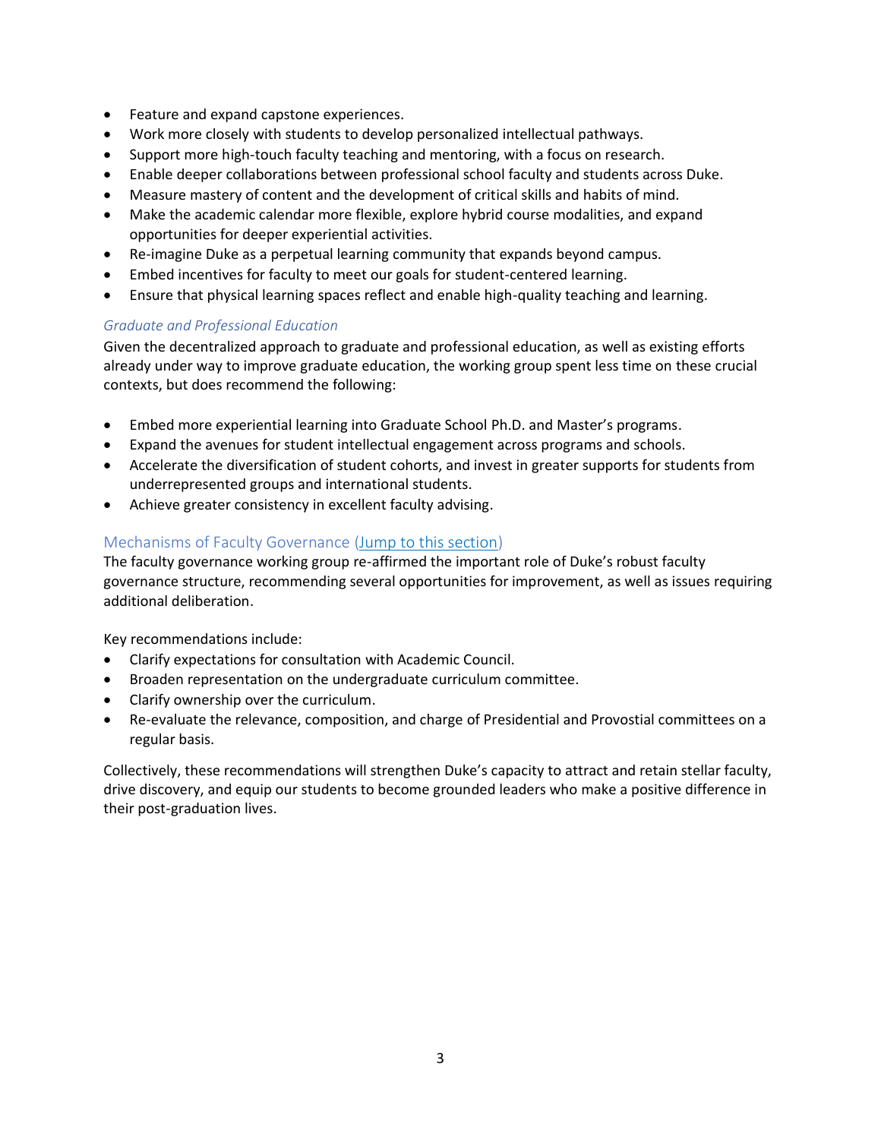- Feature and expand capstone experiences.
- Work more closely with students to develop personalized intellectual pathways.
- Support more high-touch faculty teaching and mentoring, with a focus on research.
- Enable deeper collaborations between professional school faculty and students across Duke.
- Measure mastery of content and the development of critical skills and habits of mind.
- Make the academic calendar more flexible, explore hybrid course modalities, and expand opportunities for deeper experiential activities.
- Re-imagine Duke as a perpetual learning community that expands beyond campus.
- Embed incentives for faculty to meet our goals for student-centered learning.
- Ensure that physical learning spaces reflect and enable high-quality teaching and learning.

### *Graduate and Professional Education*

Given the decentralized approach to graduate and professional education, as well as existing efforts already under way to improve graduate education, the working group spent less time on these crucial contexts, but does recommend the following:

- Embed more experiential learning into Graduate School Ph.D. and Master's programs.
- Expand the avenues for student intellectual engagement across programs and schools.
- Accelerate the diversification of student cohorts, and invest in greater supports for students from underrepresented groups and international students.
- Achieve greater consistency in excellent faculty advising.

### Mechanisms of Faculty Governance [\(Jump to this section\)](#page-32-0)

The faculty governance working group re-affirmed the important role of Duke's robust faculty governance structure, recommending several opportunities for improvement, as well as issues requiring additional deliberation.

Key recommendations include:

- Clarify expectations for consultation with Academic Council.
- Broaden representation on the undergraduate curriculum committee.
- Clarify ownership over the curriculum.
- Re-evaluate the relevance, composition, and charge of Presidential and Provostial committees on a regular basis.

Collectively, these recommendations will strengthen Duke's capacity to attract and retain stellar faculty, drive discovery, and equip our students to become grounded leaders who make a positive difference in their post-graduation lives.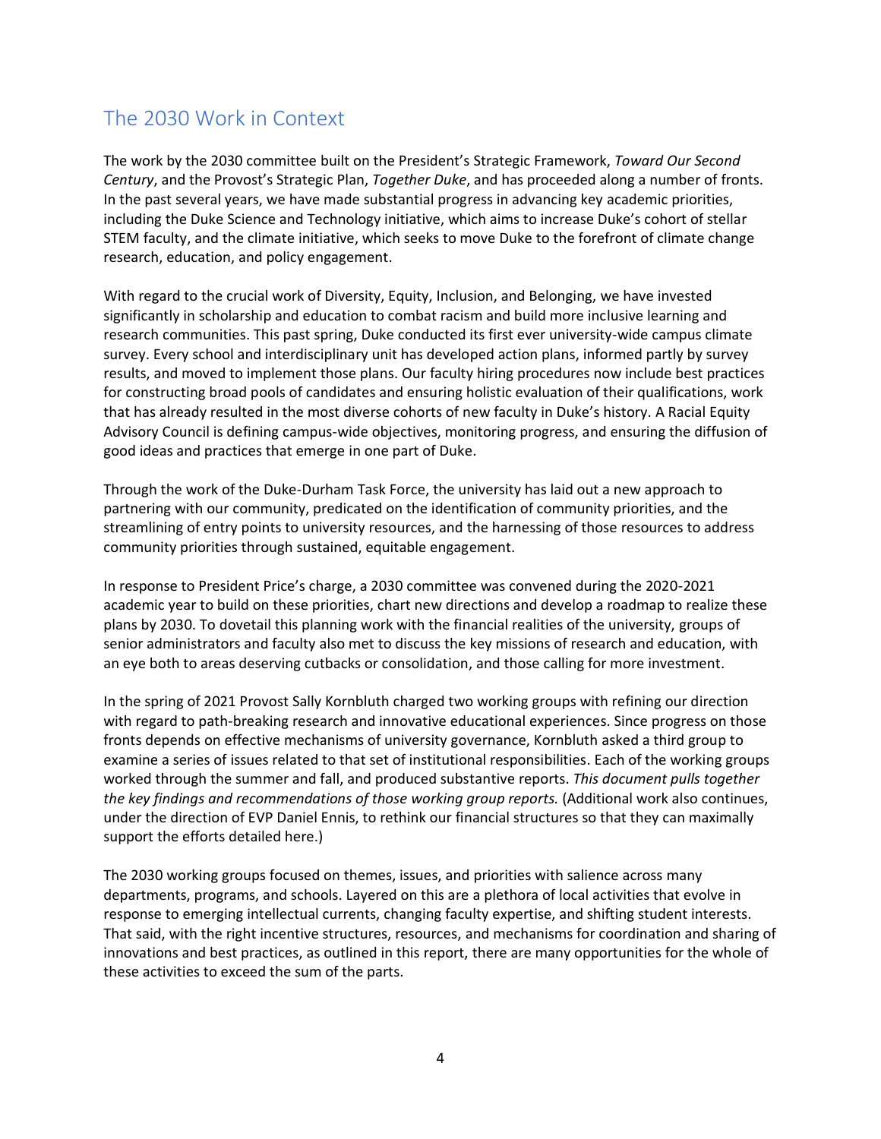## <span id="page-3-0"></span>The 2030 Work in Context

The work by the 2030 committee built on the President's Strategic Framework, *Toward Our Second Century*, and the Provost's Strategic Plan, *Together Duke*, and has proceeded along a number of fronts. In the past several years, we have made substantial progress in advancing key academic priorities, including the Duke Science and Technology initiative, which aims to increase Duke's cohort of stellar STEM faculty, and the climate initiative, which seeks to move Duke to the forefront of climate change research, education, and policy engagement.

With regard to the crucial work of Diversity, Equity, Inclusion, and Belonging, we have invested significantly in scholarship and education to combat racism and build more inclusive learning and research communities. This past spring, Duke conducted its first ever university-wide campus climate survey. Every school and interdisciplinary unit has developed action plans, informed partly by survey results, and moved to implement those plans. Our faculty hiring procedures now include best practices for constructing broad pools of candidates and ensuring holistic evaluation of their qualifications, work that has already resulted in the most diverse cohorts of new faculty in Duke's history. A Racial Equity Advisory Council is defining campus-wide objectives, monitoring progress, and ensuring the diffusion of good ideas and practices that emerge in one part of Duke.

Through the work of the Duke-Durham Task Force, the university has laid out a new approach to partnering with our community, predicated on the identification of community priorities, and the streamlining of entry points to university resources, and the harnessing of those resources to address community priorities through sustained, equitable engagement.

In response to President Price's charge, a 2030 committee was convened during the 2020-2021 academic year to build on these priorities, chart new directions and develop a roadmap to realize these plans by 2030. To dovetail this planning work with the financial realities of the university, groups of senior administrators and faculty also met to discuss the key missions of research and education, with an eye both to areas deserving cutbacks or consolidation, and those calling for more investment.

In the spring of 2021 Provost Sally Kornbluth charged two working groups with refining our direction with regard to path-breaking research and innovative educational experiences. Since progress on those fronts depends on effective mechanisms of university governance, Kornbluth asked a third group to examine a series of issues related to that set of institutional responsibilities. Each of the working groups worked through the summer and fall, and produced substantive reports. *This document pulls together the key findings and recommendations of those working group reports.* (Additional work also continues, under the direction of EVP Daniel Ennis, to rethink our financial structures so that they can maximally support the efforts detailed here.)

The 2030 working groups focused on themes, issues, and priorities with salience across many departments, programs, and schools. Layered on this are a plethora of local activities that evolve in response to emerging intellectual currents, changing faculty expertise, and shifting student interests. That said, with the right incentive structures, resources, and mechanisms for coordination and sharing of innovations and best practices, as outlined in this report, there are many opportunities for the whole of these activities to exceed the sum of the parts.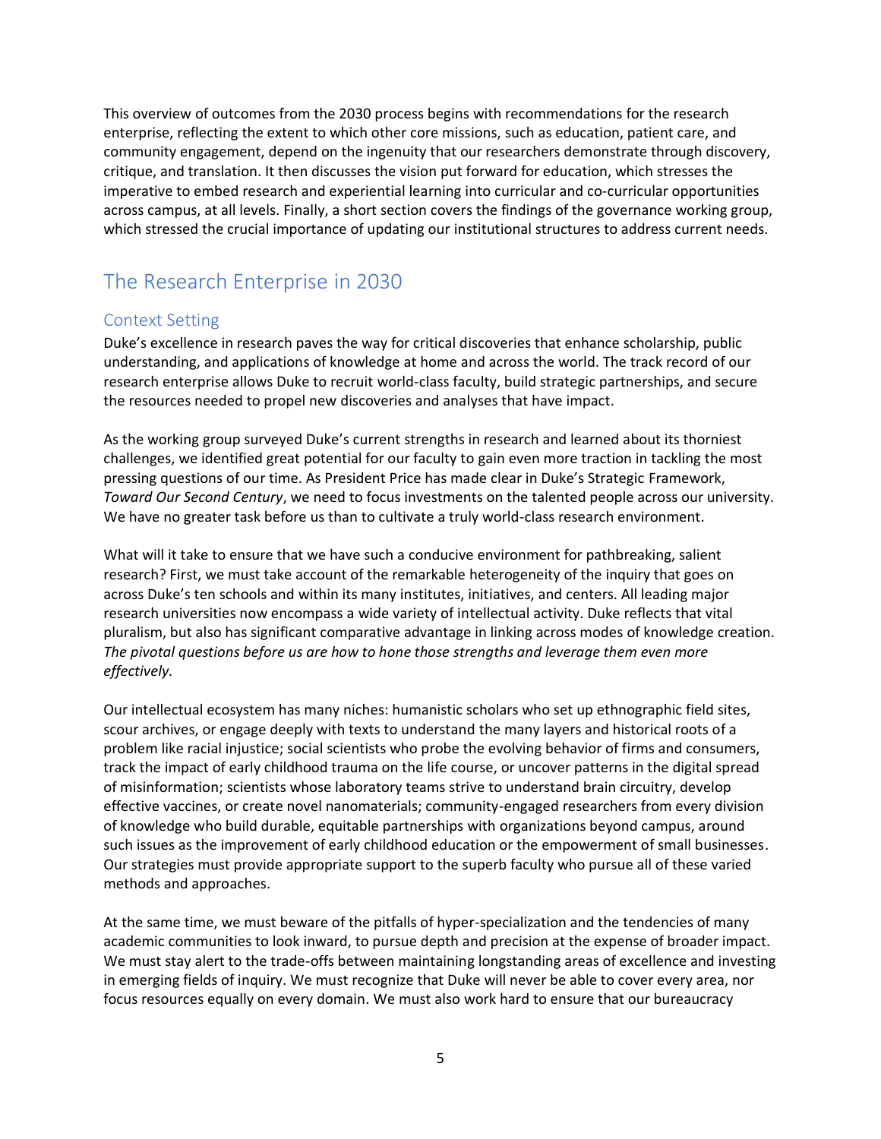This overview of outcomes from the 2030 process begins with recommendations for the research enterprise, reflecting the extent to which other core missions, such as education, patient care, and community engagement, depend on the ingenuity that our researchers demonstrate through discovery, critique, and translation. It then discusses the vision put forward for education, which stresses the imperative to embed research and experiential learning into curricular and co-curricular opportunities across campus, at all levels. Finally, a short section covers the findings of the governance working group, which stressed the crucial importance of updating our institutional structures to address current needs.

## <span id="page-4-0"></span>The Research Enterprise in 2030

## Context Setting

Duke's excellence in research paves the way for critical discoveries that enhance scholarship, public understanding, and applications of knowledge at home and across the world. The track record of our research enterprise allows Duke to recruit world-class faculty, build strategic partnerships, and secure the resources needed to propel new discoveries and analyses that have impact.

As the working group surveyed Duke's current strengths in research and learned about its thorniest challenges, we identified great potential for our faculty to gain even more traction in tackling the most pressing questions of our time. As President Price has made clear in Duke's Strategic Framework, *Toward Our Second Century*, we need to focus investments on the talented people across our university. We have no greater task before us than to cultivate a truly world-class research environment.

What will it take to ensure that we have such a conducive environment for pathbreaking, salient research? First, we must take account of the remarkable heterogeneity of the inquiry that goes on across Duke's ten schools and within its many institutes, initiatives, and centers. All leading major research universities now encompass a wide variety of intellectual activity. Duke reflects that vital pluralism, but also has significant comparative advantage in linking across modes of knowledge creation. *The pivotal questions before us are how to hone those strengths and leverage them even more effectively.*

Our intellectual ecosystem has many niches: humanistic scholars who set up ethnographic field sites, scour archives, or engage deeply with texts to understand the many layers and historical roots of a problem like racial injustice; social scientists who probe the evolving behavior of firms and consumers, track the impact of early childhood trauma on the life course, or uncover patterns in the digital spread of misinformation; scientists whose laboratory teams strive to understand brain circuitry, develop effective vaccines, or create novel nanomaterials; community-engaged researchers from every division of knowledge who build durable, equitable partnerships with organizations beyond campus, around such issues as the improvement of early childhood education or the empowerment of small businesses. Our strategies must provide appropriate support to the superb faculty who pursue all of these varied methods and approaches.

At the same time, we must beware of the pitfalls of hyper-specialization and the tendencies of many academic communities to look inward, to pursue depth and precision at the expense of broader impact. We must stay alert to the trade-offs between maintaining longstanding areas of excellence and investing in emerging fields of inquiry. We must recognize that Duke will never be able to cover every area, nor focus resources equally on every domain. We must also work hard to ensure that our bureaucracy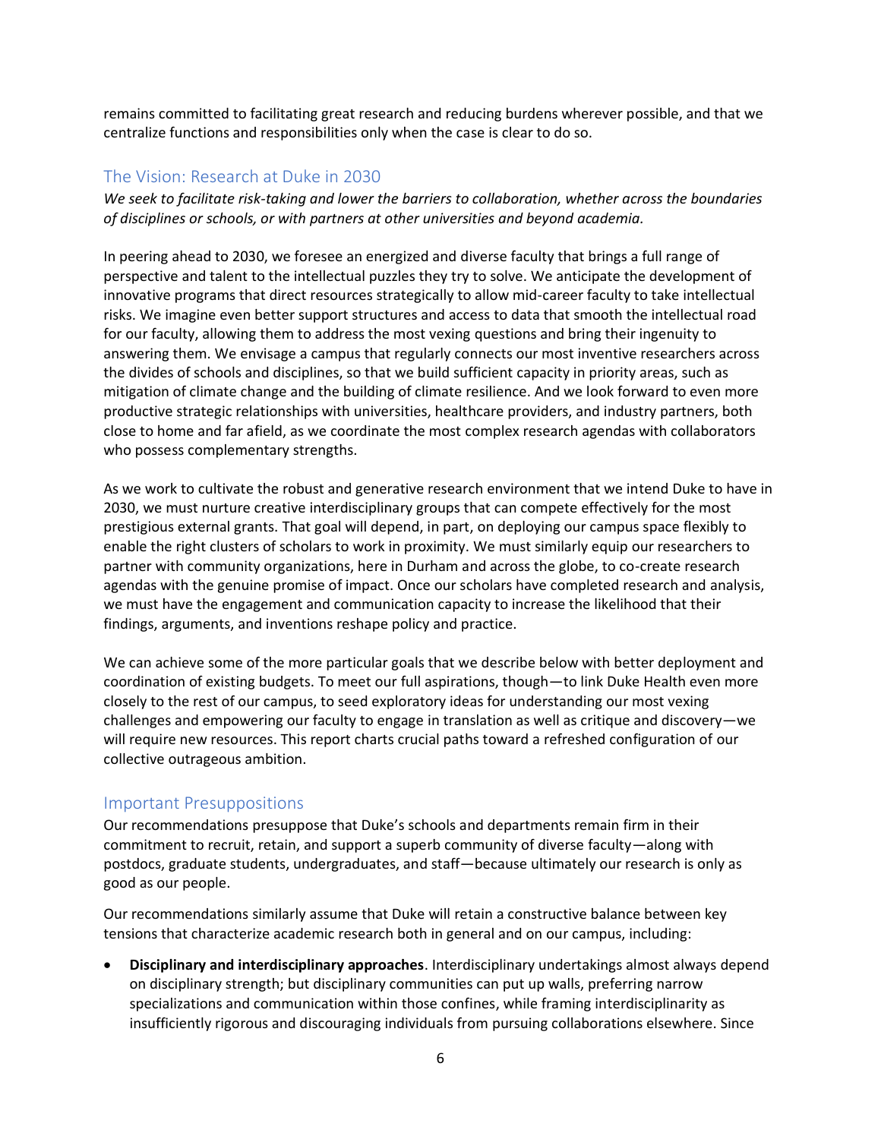remains committed to facilitating great research and reducing burdens wherever possible, and that we centralize functions and responsibilities only when the case is clear to do so.

### The Vision: Research at Duke in 2030

*We seek to facilitate risk-taking and lower the barriers to collaboration, whether across the boundaries of disciplines or schools, or with partners at other universities and beyond academia.*

In peering ahead to 2030, we foresee an energized and diverse faculty that brings a full range of perspective and talent to the intellectual puzzles they try to solve. We anticipate the development of innovative programs that direct resources strategically to allow mid-career faculty to take intellectual risks. We imagine even better support structures and access to data that smooth the intellectual road for our faculty, allowing them to address the most vexing questions and bring their ingenuity to answering them. We envisage a campus that regularly connects our most inventive researchers across the divides of schools and disciplines, so that we build sufficient capacity in priority areas, such as mitigation of climate change and the building of climate resilience. And we look forward to even more productive strategic relationships with universities, healthcare providers, and industry partners, both close to home and far afield, as we coordinate the most complex research agendas with collaborators who possess complementary strengths.

As we work to cultivate the robust and generative research environment that we intend Duke to have in 2030, we must nurture creative interdisciplinary groups that can compete effectively for the most prestigious external grants. That goal will depend, in part, on deploying our campus space flexibly to enable the right clusters of scholars to work in proximity. We must similarly equip our researchers to partner with community organizations, here in Durham and across the globe, to co-create research agendas with the genuine promise of impact. Once our scholars have completed research and analysis, we must have the engagement and communication capacity to increase the likelihood that their findings, arguments, and inventions reshape policy and practice.

We can achieve some of the more particular goals that we describe below with better deployment and coordination of existing budgets. To meet our full aspirations, though—to link Duke Health even more closely to the rest of our campus, to seed exploratory ideas for understanding our most vexing challenges and empowering our faculty to engage in translation as well as critique and discovery—we will require new resources. This report charts crucial paths toward a refreshed configuration of our collective outrageous ambition.

### Important Presuppositions

Our recommendations presuppose that Duke's schools and departments remain firm in their commitment to recruit, retain, and support a superb community of diverse faculty—along with postdocs, graduate students, undergraduates, and staff—because ultimately our research is only as good as our people.

Our recommendations similarly assume that Duke will retain a constructive balance between key tensions that characterize academic research both in general and on our campus, including:

• **Disciplinary and interdisciplinary approaches**. Interdisciplinary undertakings almost always depend on disciplinary strength; but disciplinary communities can put up walls, preferring narrow specializations and communication within those confines, while framing interdisciplinarity as insufficiently rigorous and discouraging individuals from pursuing collaborations elsewhere. Since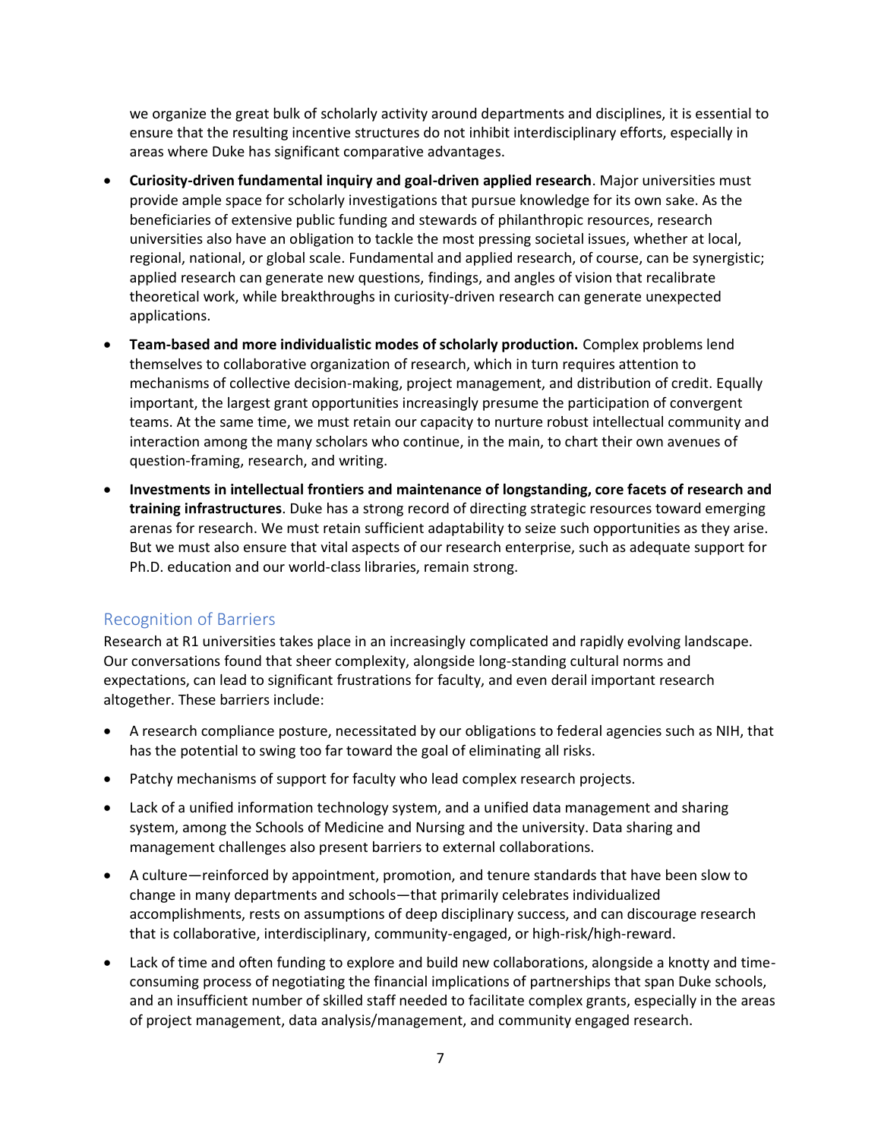we organize the great bulk of scholarly activity around departments and disciplines, it is essential to ensure that the resulting incentive structures do not inhibit interdisciplinary efforts, especially in areas where Duke has significant comparative advantages.

- **Curiosity-driven fundamental inquiry and goal-driven applied research**. Major universities must provide ample space for scholarly investigations that pursue knowledge for its own sake. As the beneficiaries of extensive public funding and stewards of philanthropic resources, research universities also have an obligation to tackle the most pressing societal issues, whether at local, regional, national, or global scale. Fundamental and applied research, of course, can be synergistic; applied research can generate new questions, findings, and angles of vision that recalibrate theoretical work, while breakthroughs in curiosity-driven research can generate unexpected applications.
- **Team-based and more individualistic modes of scholarly production.** Complex problems lend themselves to collaborative organization of research, which in turn requires attention to mechanisms of collective decision-making, project management, and distribution of credit. Equally important, the largest grant opportunities increasingly presume the participation of convergent teams. At the same time, we must retain our capacity to nurture robust intellectual community and interaction among the many scholars who continue, in the main, to chart their own avenues of question-framing, research, and writing.
- **Investments in intellectual frontiers and maintenance of longstanding, core facets of research and training infrastructures**. Duke has a strong record of directing strategic resources toward emerging arenas for research. We must retain sufficient adaptability to seize such opportunities as they arise. But we must also ensure that vital aspects of our research enterprise, such as adequate support for Ph.D. education and our world-class libraries, remain strong.

## Recognition of Barriers

Research at R1 universities takes place in an increasingly complicated and rapidly evolving landscape. Our conversations found that sheer complexity, alongside long-standing cultural norms and expectations, can lead to significant frustrations for faculty, and even derail important research altogether. These barriers include:

- A research compliance posture, necessitated by our obligations to federal agencies such as NIH, that has the potential to swing too far toward the goal of eliminating all risks.
- Patchy mechanisms of support for faculty who lead complex research projects.
- Lack of a unified information technology system, and a unified data management and sharing system, among the Schools of Medicine and Nursing and the university. Data sharing and management challenges also present barriers to external collaborations.
- A culture—reinforced by appointment, promotion, and tenure standards that have been slow to change in many departments and schools—that primarily celebrates individualized accomplishments, rests on assumptions of deep disciplinary success, and can discourage research that is collaborative, interdisciplinary, community-engaged, or high-risk/high-reward.
- Lack of time and often funding to explore and build new collaborations, alongside a knotty and timeconsuming process of negotiating the financial implications of partnerships that span Duke schools, and an insufficient number of skilled staff needed to facilitate complex grants, especially in the areas of project management, data analysis/management, and community engaged research.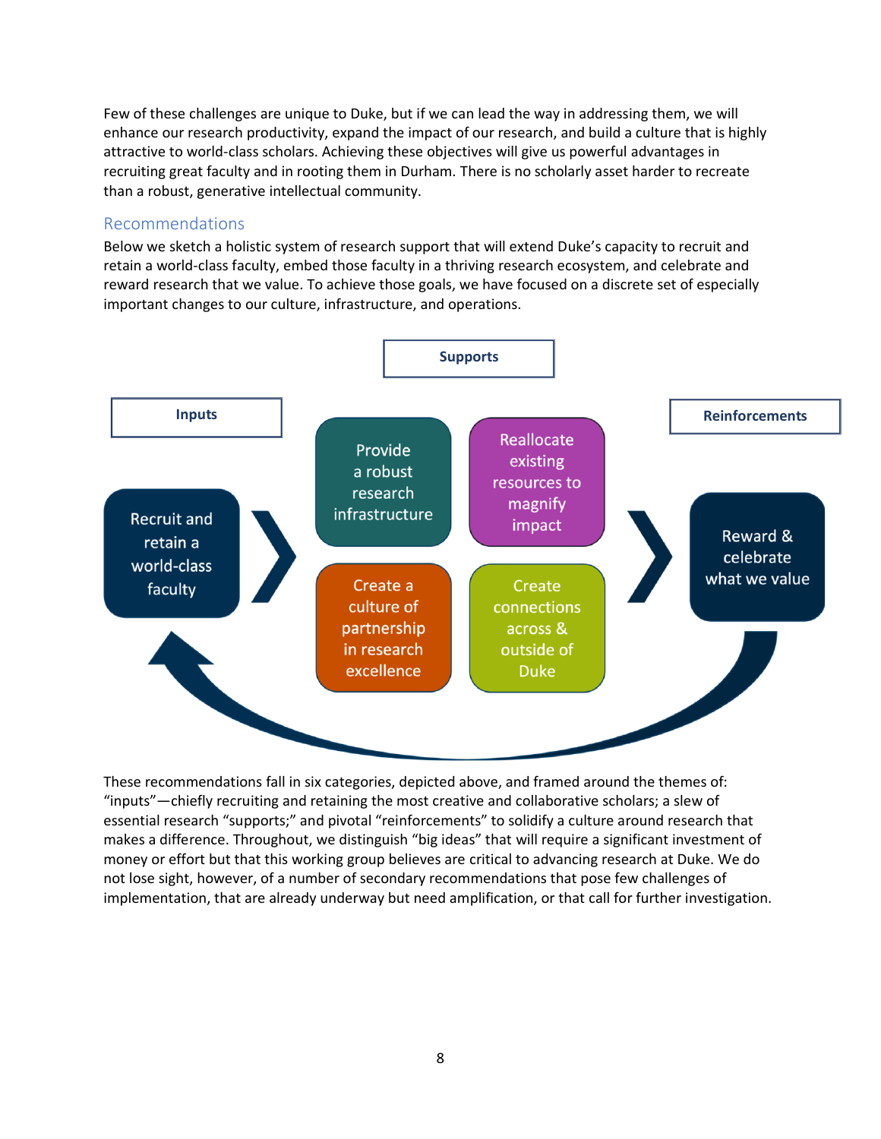Few of these challenges are unique to Duke, but if we can lead the way in addressing them, we will enhance our research productivity, expand the impact of our research, and build a culture that is highly attractive to world-class scholars. Achieving these objectives will give us powerful advantages in recruiting great faculty and in rooting them in Durham. There is no scholarly asset harder to recreate than a robust, generative intellectual community.

#### Recommendations

Below we sketch a holistic system of research support that will extend Duke's capacity to recruit and retain a world-class faculty, embed those faculty in a thriving research ecosystem, and celebrate and reward research that we value. To achieve those goals, we have focused on a discrete set of especially important changes to our culture, infrastructure, and operations.



These recommendations fall in six categories, depicted above, and framed around the themes of: "inputs"—chiefly recruiting and retaining the most creative and collaborative scholars; a slew of essential research "supports;" and pivotal "reinforcements" to solidify a culture around research that makes a difference. Throughout, we distinguish "big ideas" that will require a significant investment of money or effort but that this working group believes are critical to advancing research at Duke. We do not lose sight, however, of a number of secondary recommendations that pose few challenges of implementation, that are already underway but need amplification, or that call for further investigation.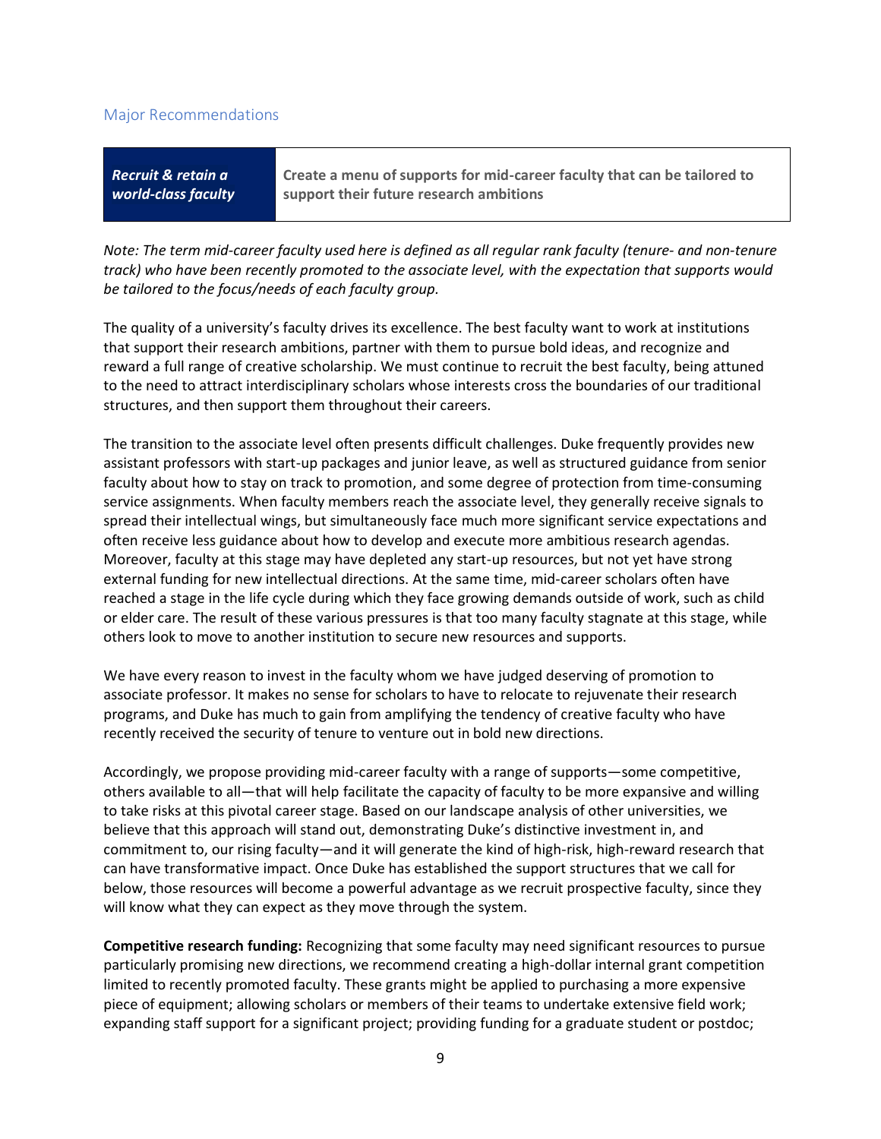#### Major Recommendations

| Recruit & retain a  | Create a menu of supports for mid-career faculty that can be tailored to |
|---------------------|--------------------------------------------------------------------------|
| world-class faculty | support their future research ambitions                                  |
|                     |                                                                          |

*Note: The term mid-career faculty used here is defined as all regular rank faculty (tenure- and non-tenure track) who have been recently promoted to the associate level, with the expectation that supports would be tailored to the focus/needs of each faculty group.*

The quality of a university's faculty drives its excellence. The best faculty want to work at institutions that support their research ambitions, partner with them to pursue bold ideas, and recognize and reward a full range of creative scholarship. We must continue to recruit the best faculty, being attuned to the need to attract interdisciplinary scholars whose interests cross the boundaries of our traditional structures, and then support them throughout their careers.

The transition to the associate level often presents difficult challenges. Duke frequently provides new assistant professors with start-up packages and junior leave, as well as structured guidance from senior faculty about how to stay on track to promotion, and some degree of protection from time-consuming service assignments. When faculty members reach the associate level, they generally receive signals to spread their intellectual wings, but simultaneously face much more significant service expectations and often receive less guidance about how to develop and execute more ambitious research agendas. Moreover, faculty at this stage may have depleted any start-up resources, but not yet have strong external funding for new intellectual directions. At the same time, mid-career scholars often have reached a stage in the life cycle during which they face growing demands outside of work, such as child or elder care. The result of these various pressures is that too many faculty stagnate at this stage, while others look to move to another institution to secure new resources and supports.

We have every reason to invest in the faculty whom we have judged deserving of promotion to associate professor. It makes no sense for scholars to have to relocate to rejuvenate their research programs, and Duke has much to gain from amplifying the tendency of creative faculty who have recently received the security of tenure to venture out in bold new directions.

Accordingly, we propose providing mid-career faculty with a range of supports—some competitive, others available to all—that will help facilitate the capacity of faculty to be more expansive and willing to take risks at this pivotal career stage. Based on our landscape analysis of other universities, we believe that this approach will stand out, demonstrating Duke's distinctive investment in, and commitment to, our rising faculty—and it will generate the kind of high-risk, high-reward research that can have transformative impact. Once Duke has established the support structures that we call for below, those resources will become a powerful advantage as we recruit prospective faculty, since they will know what they can expect as they move through the system.

**Competitive research funding:** Recognizing that some faculty may need significant resources to pursue particularly promising new directions, we recommend creating a high-dollar internal grant competition limited to recently promoted faculty. These grants might be applied to purchasing a more expensive piece of equipment; allowing scholars or members of their teams to undertake extensive field work; expanding staff support for a significant project; providing funding for a graduate student or postdoc;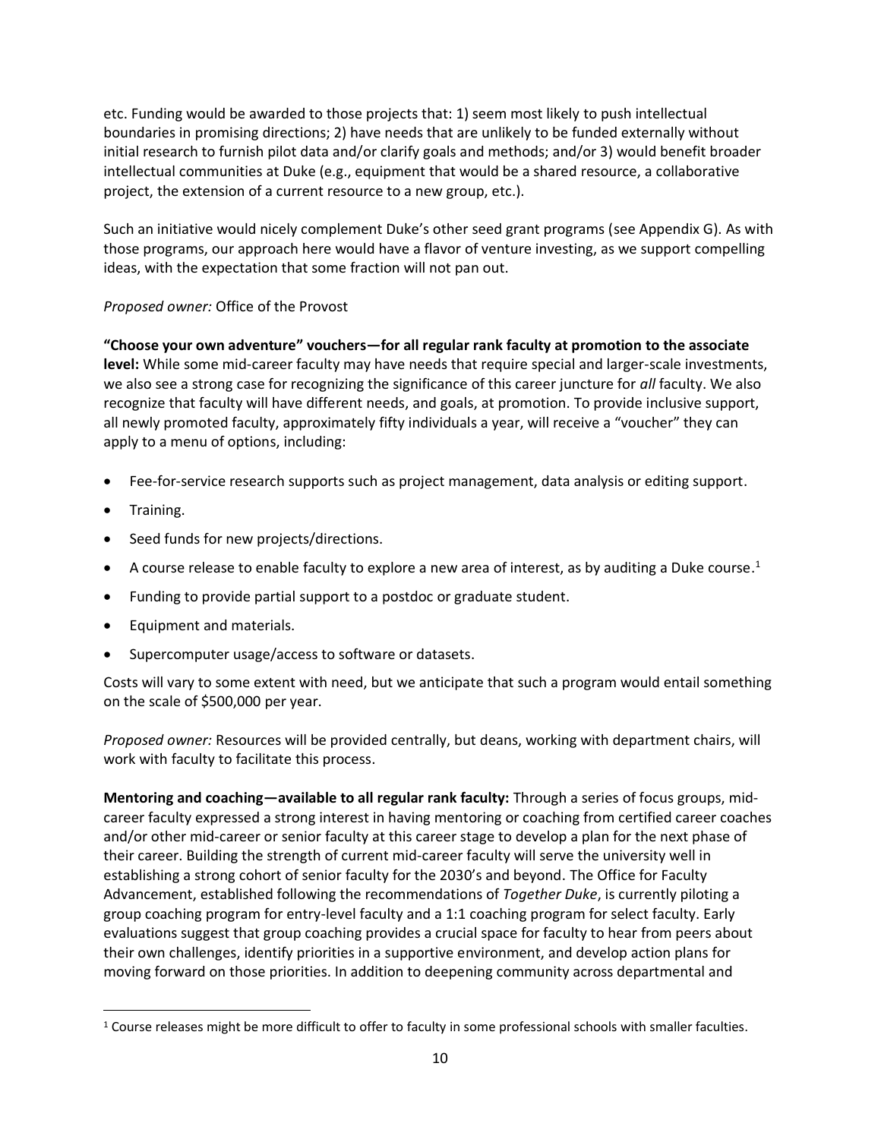etc. Funding would be awarded to those projects that: 1) seem most likely to push intellectual boundaries in promising directions; 2) have needs that are unlikely to be funded externally without initial research to furnish pilot data and/or clarify goals and methods; and/or 3) would benefit broader intellectual communities at Duke (e.g., equipment that would be a shared resource, a collaborative project, the extension of a current resource to a new group, etc.).

Such an initiative would nicely complement Duke's other seed grant programs (see Appendix G). As with those programs, our approach here would have a flavor of venture investing, as we support compelling ideas, with the expectation that some fraction will not pan out.

### *Proposed owner:* Office of the Provost

**"Choose your own adventure" vouchers—for all regular rank faculty at promotion to the associate level:** While some mid-career faculty may have needs that require special and larger-scale investments, we also see a strong case for recognizing the significance of this career juncture for *all* faculty. We also recognize that faculty will have different needs, and goals, at promotion. To provide inclusive support, all newly promoted faculty, approximately fifty individuals a year, will receive a "voucher" they can apply to a menu of options, including:

- Fee-for-service research supports such as project management, data analysis or editing support.
- Training.
- Seed funds for new projects/directions.
- $\bullet$  A course release to enable faculty to explore a new area of interest, as by auditing a Duke course.<sup>1</sup>
- Funding to provide partial support to a postdoc or graduate student.
- Equipment and materials.
- Supercomputer usage/access to software or datasets.

Costs will vary to some extent with need, but we anticipate that such a program would entail something on the scale of \$500,000 per year.

*Proposed owner:* Resources will be provided centrally, but deans, working with department chairs, will work with faculty to facilitate this process.

**Mentoring and coaching—available to all regular rank faculty:** Through a series of focus groups, midcareer faculty expressed a strong interest in having mentoring or coaching from certified career coaches and/or other mid-career or senior faculty at this career stage to develop a plan for the next phase of their career. Building the strength of current mid-career faculty will serve the university well in establishing a strong cohort of senior faculty for the 2030's and beyond. The Office for Faculty Advancement, established following the recommendations of *Together Duke*, is currently piloting a group coaching program for entry-level faculty and a 1:1 coaching program for select faculty. Early evaluations suggest that group coaching provides a crucial space for faculty to hear from peers about their own challenges, identify priorities in a supportive environment, and develop action plans for moving forward on those priorities. In addition to deepening community across departmental and

<sup>&</sup>lt;sup>1</sup> Course releases might be more difficult to offer to faculty in some professional schools with smaller faculties.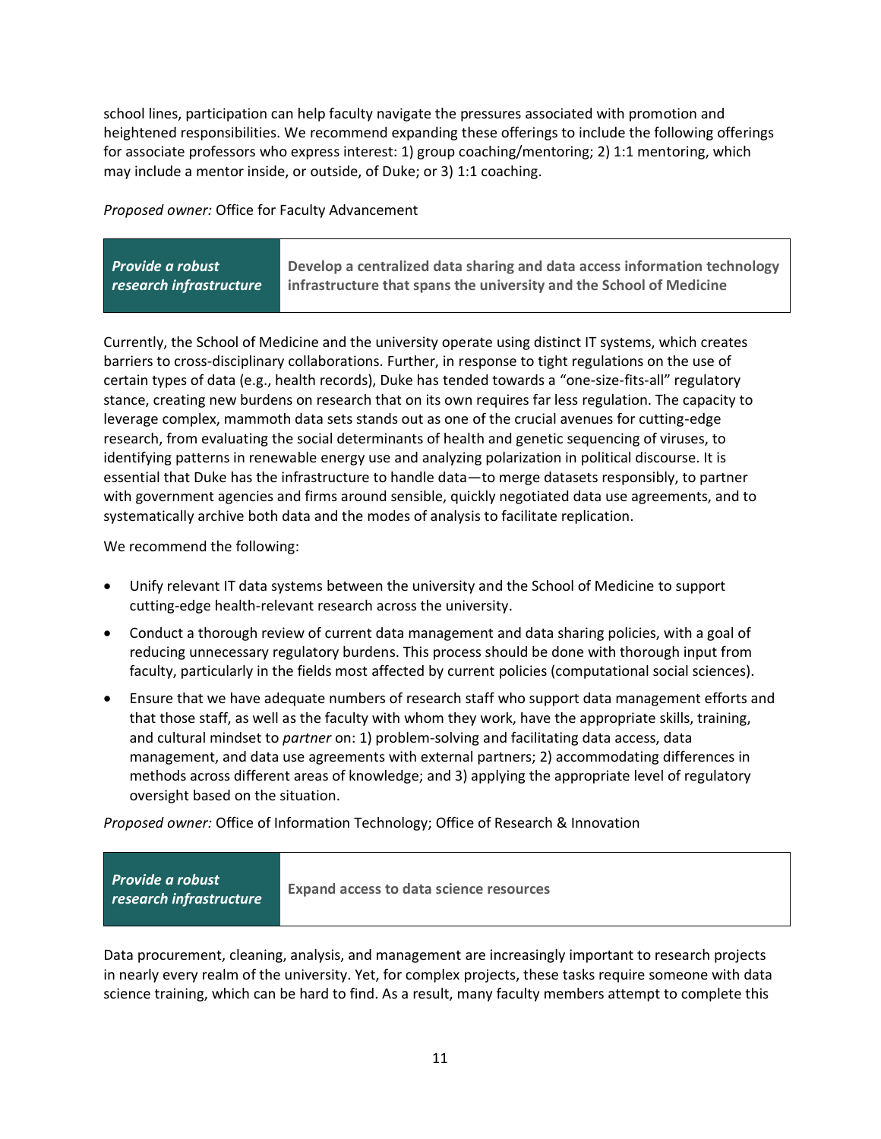school lines, participation can help faculty navigate the pressures associated with promotion and heightened responsibilities. We recommend expanding these offerings to include the following offerings for associate professors who express interest: 1) group coaching/mentoring; 2) 1:1 mentoring, which may include a mentor inside, or outside, of Duke; or 3) 1:1 coaching.

*Proposed owner:* Office for Faculty Advancement

| Provide a robust        | Develop a centralized data sharing and data access information technology |
|-------------------------|---------------------------------------------------------------------------|
| research infrastructure | infrastructure that spans the university and the School of Medicine       |

Currently, the School of Medicine and the university operate using distinct IT systems, which creates barriers to cross-disciplinary collaborations. Further, in response to tight regulations on the use of certain types of data (e.g., health records), Duke has tended towards a "one-size-fits-all" regulatory stance, creating new burdens on research that on its own requires far less regulation. The capacity to leverage complex, mammoth data sets stands out as one of the crucial avenues for cutting-edge research, from evaluating the social determinants of health and genetic sequencing of viruses, to identifying patterns in renewable energy use and analyzing polarization in political discourse. It is essential that Duke has the infrastructure to handle data—to merge datasets responsibly, to partner with government agencies and firms around sensible, quickly negotiated data use agreements, and to systematically archive both data and the modes of analysis to facilitate replication.

We recommend the following:

- Unify relevant IT data systems between the university and the School of Medicine to support cutting-edge health-relevant research across the university.
- Conduct a thorough review of current data management and data sharing policies, with a goal of reducing unnecessary regulatory burdens. This process should be done with thorough input from faculty, particularly in the fields most affected by current policies (computational social sciences).
- Ensure that we have adequate numbers of research staff who support data management efforts and that those staff, as well as the faculty with whom they work, have the appropriate skills, training, and cultural mindset to *partner* on: 1) problem-solving and facilitating data access, data management, and data use agreements with external partners; 2) accommodating differences in methods across different areas of knowledge; and 3) applying the appropriate level of regulatory oversight based on the situation.

*Proposed owner:* Office of Information Technology; Office of Research & Innovation

| Provide a robust<br><b>research infrastructure</b> | <b>Expand access to data science resources</b> |  |
|----------------------------------------------------|------------------------------------------------|--|
|                                                    |                                                |  |

Data procurement, cleaning, analysis, and management are increasingly important to research projects in nearly every realm of the university. Yet, for complex projects, these tasks require someone with data science training, which can be hard to find. As a result, many faculty members attempt to complete this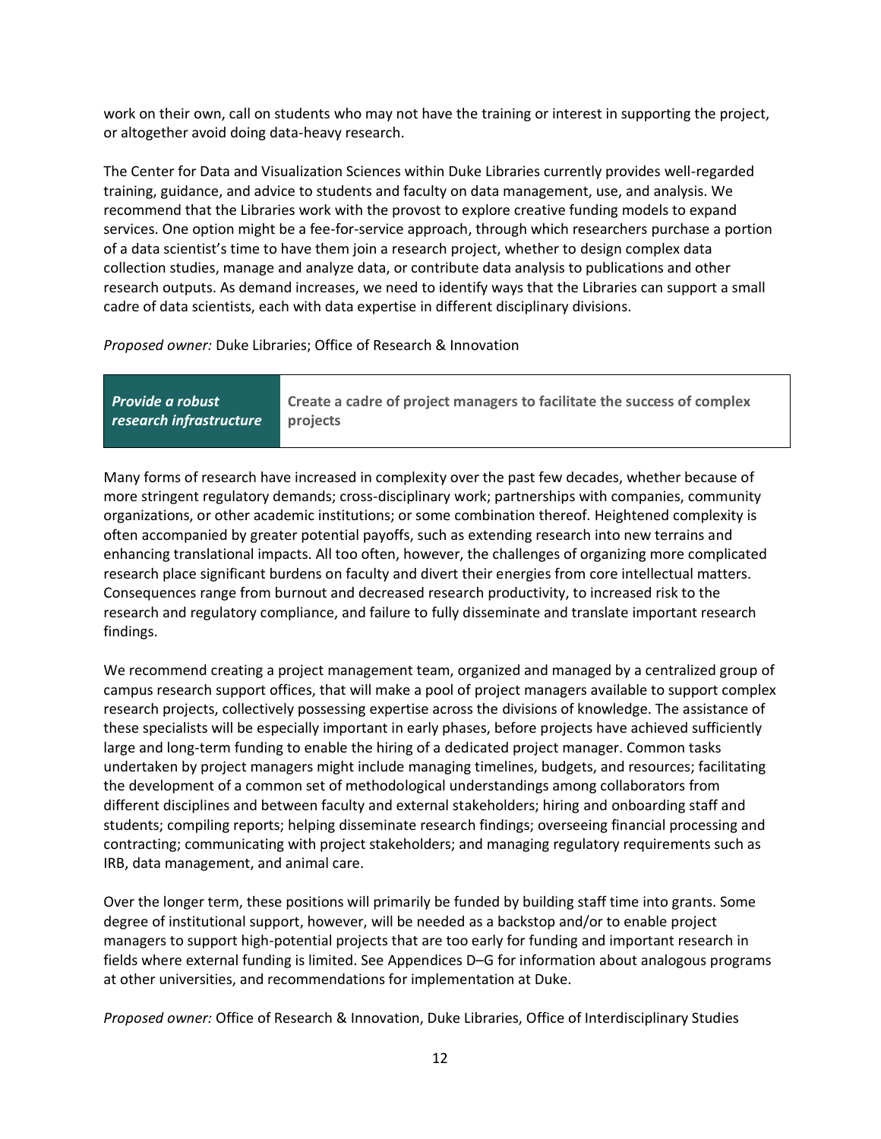work on their own, call on students who may not have the training or interest in supporting the project, or altogether avoid doing data-heavy research.

The Center for Data and Visualization Sciences within Duke Libraries currently provides well-regarded training, guidance, and advice to students and faculty on data management, use, and analysis. We recommend that the Libraries work with the provost to explore creative funding models to expand services. One option might be a fee-for-service approach, through which researchers purchase a portion of a data scientist's time to have them join a research project, whether to design complex data collection studies, manage and analyze data, or contribute data analysis to publications and other research outputs. As demand increases, we need to identify ways that the Libraries can support a small cadre of data scientists, each with data expertise in different disciplinary divisions.

*Proposed owner:* Duke Libraries; Office of Research & Innovation

| <b>Provide a robust</b> | Create a cadre of project managers to facilitate the success of complex |
|-------------------------|-------------------------------------------------------------------------|
| research infrastructure | l projects                                                              |

Many forms of research have increased in complexity over the past few decades, whether because of more stringent regulatory demands; cross-disciplinary work; partnerships with companies, community organizations, or other academic institutions; or some combination thereof. Heightened complexity is often accompanied by greater potential payoffs, such as extending research into new terrains and enhancing translational impacts. All too often, however, the challenges of organizing more complicated research place significant burdens on faculty and divert their energies from core intellectual matters. Consequences range from burnout and decreased research productivity, to increased risk to the research and regulatory compliance, and failure to fully disseminate and translate important research findings.

We recommend creating a project management team, organized and managed by a centralized group of campus research support offices, that will make a pool of project managers available to support complex research projects, collectively possessing expertise across the divisions of knowledge. The assistance of these specialists will be especially important in early phases, before projects have achieved sufficiently large and long-term funding to enable the hiring of a dedicated project manager. Common tasks undertaken by project managers might include managing timelines, budgets, and resources; facilitating the development of a common set of methodological understandings among collaborators from different disciplines and between faculty and external stakeholders; hiring and onboarding staff and students; compiling reports; helping disseminate research findings; overseeing financial processing and contracting; communicating with project stakeholders; and managing regulatory requirements such as IRB, data management, and animal care.

Over the longer term, these positions will primarily be funded by building staff time into grants. Some degree of institutional support, however, will be needed as a backstop and/or to enable project managers to support high-potential projects that are too early for funding and important research in fields where external funding is limited. See Appendices D–G for information about analogous programs at other universities, and recommendations for implementation at Duke.

*Proposed owner:* Office of Research & Innovation, Duke Libraries, Office of Interdisciplinary Studies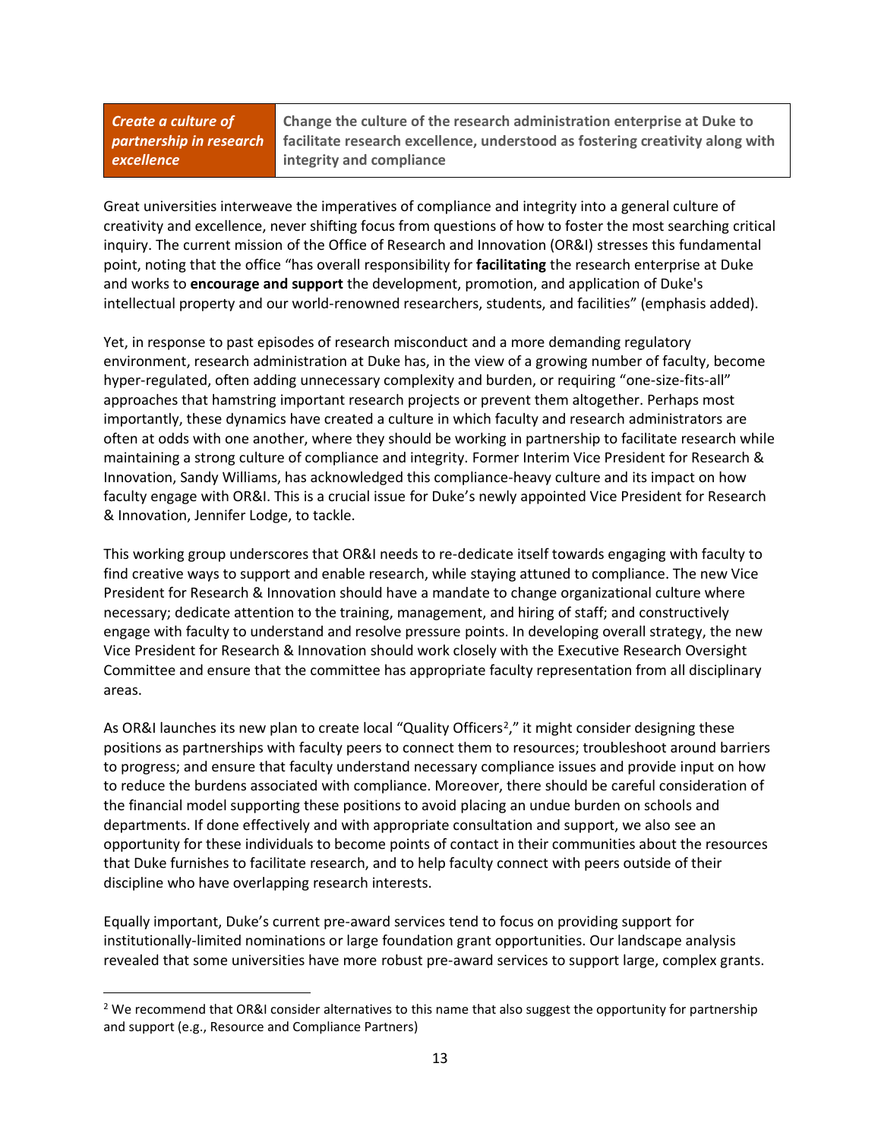*Create a culture of partnership in research excellence*

**Change the culture of the research administration enterprise at Duke to facilitate research excellence, understood as fostering creativity along with integrity and compliance**

Great universities interweave the imperatives of compliance and integrity into a general culture of creativity and excellence, never shifting focus from questions of how to foster the most searching critical inquiry. The current mission of the Office of Research and Innovation (OR&I) stresses this fundamental point, noting that the office "has overall responsibility for **facilitating** the research enterprise at Duke and works to **encourage and support** the development, promotion, and application of Duke's intellectual property and our world-renowned researchers, students, and facilities" (emphasis added).

Yet, in response to past episodes of research misconduct and a more demanding regulatory environment, research administration at Duke has, in the view of a growing number of faculty, become hyper-regulated, often adding unnecessary complexity and burden, or requiring "one-size-fits-all" approaches that hamstring important research projects or prevent them altogether. Perhaps most importantly, these dynamics have created a culture in which faculty and research administrators are often at odds with one another, where they should be working in partnership to facilitate research while maintaining a strong culture of compliance and integrity. Former Interim Vice President for Research & Innovation, Sandy Williams, has acknowledged this compliance-heavy culture and its impact on how faculty engage with OR&I. This is a crucial issue for Duke's newly appointed Vice President for Research & Innovation, Jennifer Lodge, to tackle.

This working group underscores that OR&I needs to re-dedicate itself towards engaging with faculty to find creative ways to support and enable research, while staying attuned to compliance. The new Vice President for Research & Innovation should have a mandate to change organizational culture where necessary; dedicate attention to the training, management, and hiring of staff; and constructively engage with faculty to understand and resolve pressure points. In developing overall strategy, the new Vice President for Research & Innovation should work closely with the Executive Research Oversight Committee and ensure that the committee has appropriate faculty representation from all disciplinary areas.

As OR&I launches its new plan to create local "Quality Officers<sup>2</sup>," it might consider designing these positions as partnerships with faculty peers to connect them to resources; troubleshoot around barriers to progress; and ensure that faculty understand necessary compliance issues and provide input on how to reduce the burdens associated with compliance. Moreover, there should be careful consideration of the financial model supporting these positions to avoid placing an undue burden on schools and departments. If done effectively and with appropriate consultation and support, we also see an opportunity for these individuals to become points of contact in their communities about the resources that Duke furnishes to facilitate research, and to help faculty connect with peers outside of their discipline who have overlapping research interests.

Equally important, Duke's current pre-award services tend to focus on providing support for institutionally-limited nominations or large foundation grant opportunities. Our landscape analysis revealed that some universities have more robust pre-award services to support large, complex grants.

<sup>&</sup>lt;sup>2</sup> We recommend that OR&I consider alternatives to this name that also suggest the opportunity for partnership and support (e.g., Resource and Compliance Partners)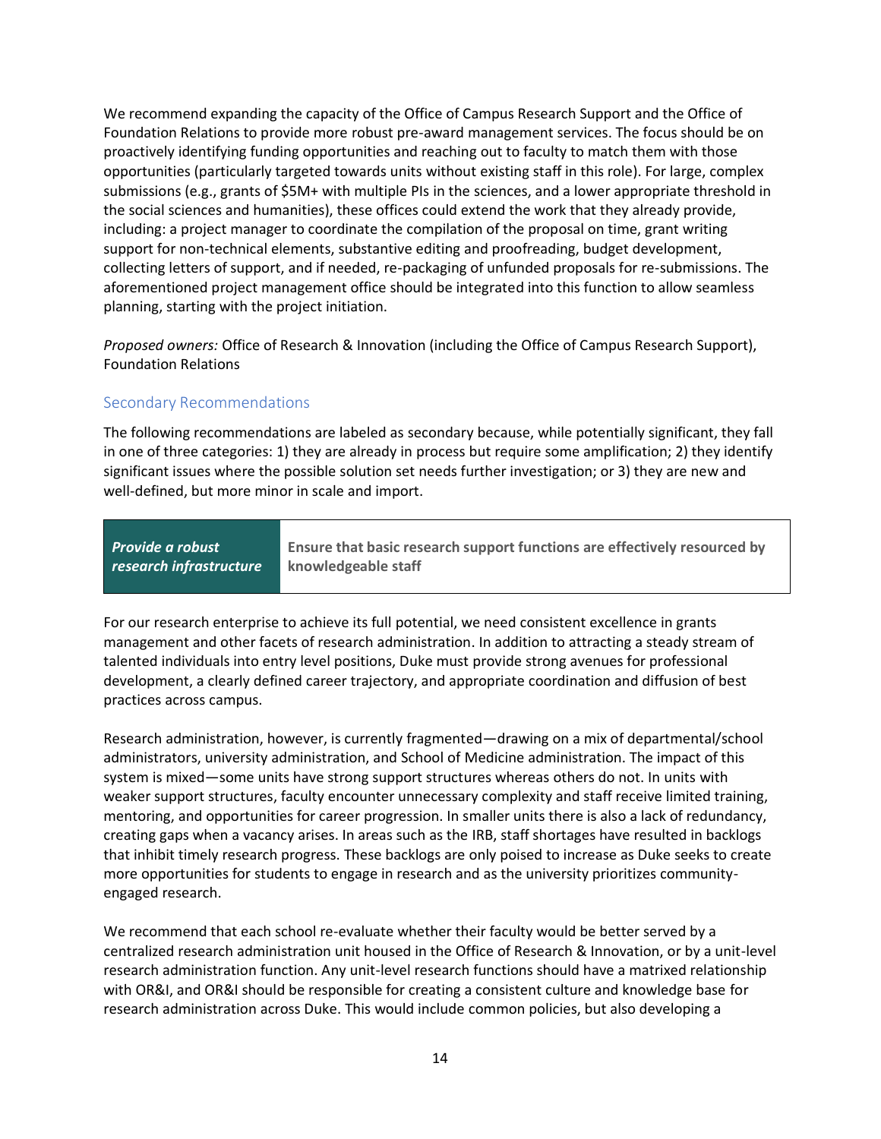We recommend expanding the capacity of the Office of Campus Research Support and the Office of Foundation Relations to provide more robust pre-award management services. The focus should be on proactively identifying funding opportunities and reaching out to faculty to match them with those opportunities (particularly targeted towards units without existing staff in this role). For large, complex submissions (e.g., grants of \$5M+ with multiple PIs in the sciences, and a lower appropriate threshold in the social sciences and humanities), these offices could extend the work that they already provide, including: a project manager to coordinate the compilation of the proposal on time, grant writing support for non-technical elements, substantive editing and proofreading, budget development, collecting letters of support, and if needed, re-packaging of unfunded proposals for re-submissions. The aforementioned project management office should be integrated into this function to allow seamless planning, starting with the project initiation.

*Proposed owners:* Office of Research & Innovation (including the Office of Campus Research Support), Foundation Relations

### Secondary Recommendations

The following recommendations are labeled as secondary because, while potentially significant, they fall in one of three categories: 1) they are already in process but require some amplification; 2) they identify significant issues where the possible solution set needs further investigation; or 3) they are new and well-defined, but more minor in scale and import.

*Provide a robust research infrastructure* **Ensure that basic research support functions are effectively resourced by knowledgeable staff**

For our research enterprise to achieve its full potential, we need consistent excellence in grants management and other facets of research administration. In addition to attracting a steady stream of talented individuals into entry level positions, Duke must provide strong avenues for professional development, a clearly defined career trajectory, and appropriate coordination and diffusion of best practices across campus.

Research administration, however, is currently fragmented—drawing on a mix of departmental/school administrators, university administration, and School of Medicine administration. The impact of this system is mixed—some units have strong support structures whereas others do not. In units with weaker support structures, faculty encounter unnecessary complexity and staff receive limited training, mentoring, and opportunities for career progression. In smaller units there is also a lack of redundancy, creating gaps when a vacancy arises. In areas such as the IRB, staff shortages have resulted in backlogs that inhibit timely research progress. These backlogs are only poised to increase as Duke seeks to create more opportunities for students to engage in research and as the university prioritizes communityengaged research.

We recommend that each school re-evaluate whether their faculty would be better served by a centralized research administration unit housed in the Office of Research & Innovation, or by a unit-level research administration function. Any unit-level research functions should have a matrixed relationship with OR&I, and OR&I should be responsible for creating a consistent culture and knowledge base for research administration across Duke. This would include common policies, but also developing a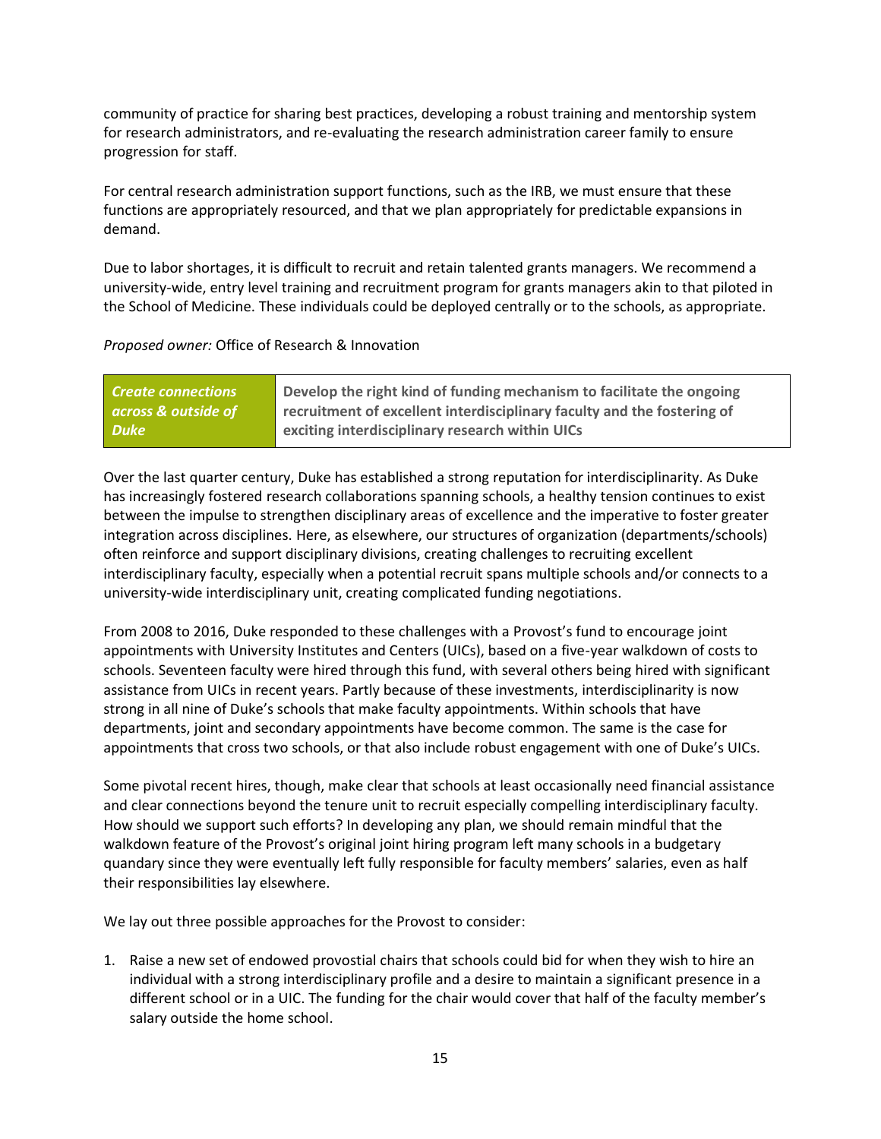community of practice for sharing best practices, developing a robust training and mentorship system for research administrators, and re-evaluating the research administration career family to ensure progression for staff.

For central research administration support functions, such as the IRB, we must ensure that these functions are appropriately resourced, and that we plan appropriately for predictable expansions in demand.

Due to labor shortages, it is difficult to recruit and retain talented grants managers. We recommend a university-wide, entry level training and recruitment program for grants managers akin to that piloted in the School of Medicine. These individuals could be deployed centrally or to the schools, as appropriate.

#### *Proposed owner:* Office of Research & Innovation

| <b>Create connections</b> | Develop the right kind of funding mechanism to facilitate the ongoing   |
|---------------------------|-------------------------------------------------------------------------|
| across & outside of       | recruitment of excellent interdisciplinary faculty and the fostering of |
| <b>Duke</b>               | exciting interdisciplinary research within UICs                         |

Over the last quarter century, Duke has established a strong reputation for interdisciplinarity. As Duke has increasingly fostered research collaborations spanning schools, a healthy tension continues to exist between the impulse to strengthen disciplinary areas of excellence and the imperative to foster greater integration across disciplines. Here, as elsewhere, our structures of organization (departments/schools) often reinforce and support disciplinary divisions, creating challenges to recruiting excellent interdisciplinary faculty, especially when a potential recruit spans multiple schools and/or connects to a university-wide interdisciplinary unit, creating complicated funding negotiations.

From 2008 to 2016, Duke responded to these challenges with a Provost's fund to encourage joint appointments with University Institutes and Centers (UICs), based on a five-year walkdown of costs to schools. Seventeen faculty were hired through this fund, with several others being hired with significant assistance from UICs in recent years. Partly because of these investments, interdisciplinarity is now strong in all nine of Duke's schools that make faculty appointments. Within schools that have departments, joint and secondary appointments have become common. The same is the case for appointments that cross two schools, or that also include robust engagement with one of Duke's UICs.

Some pivotal recent hires, though, make clear that schools at least occasionally need financial assistance and clear connections beyond the tenure unit to recruit especially compelling interdisciplinary faculty. How should we support such efforts? In developing any plan, we should remain mindful that the walkdown feature of the Provost's original joint hiring program left many schools in a budgetary quandary since they were eventually left fully responsible for faculty members' salaries, even as half their responsibilities lay elsewhere.

We lay out three possible approaches for the Provost to consider:

1. Raise a new set of endowed provostial chairs that schools could bid for when they wish to hire an individual with a strong interdisciplinary profile and a desire to maintain a significant presence in a different school or in a UIC. The funding for the chair would cover that half of the faculty member's salary outside the home school.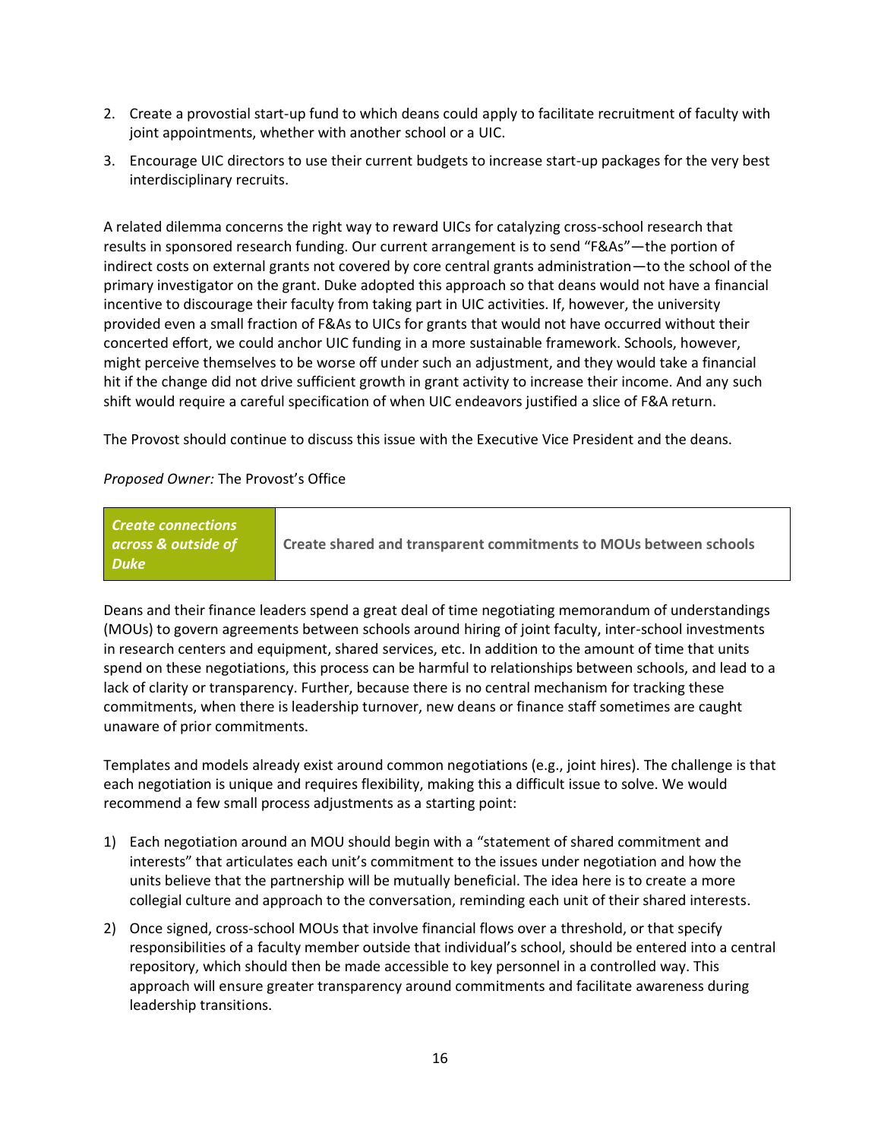- 2. Create a provostial start-up fund to which deans could apply to facilitate recruitment of faculty with joint appointments, whether with another school or a UIC.
- 3. Encourage UIC directors to use their current budgets to increase start-up packages for the very best interdisciplinary recruits.

A related dilemma concerns the right way to reward UICs for catalyzing cross-school research that results in sponsored research funding. Our current arrangement is to send "F&As"—the portion of indirect costs on external grants not covered by core central grants administration—to the school of the primary investigator on the grant. Duke adopted this approach so that deans would not have a financial incentive to discourage their faculty from taking part in UIC activities. If, however, the university provided even a small fraction of F&As to UICs for grants that would not have occurred without their concerted effort, we could anchor UIC funding in a more sustainable framework. Schools, however, might perceive themselves to be worse off under such an adjustment, and they would take a financial hit if the change did not drive sufficient growth in grant activity to increase their income. And any such shift would require a careful specification of when UIC endeavors justified a slice of F&A return.

The Provost should continue to discuss this issue with the Executive Vice President and the deans.

#### *Proposed Owner:* The Provost's Office

| <b>Create connections</b><br>across & outside of<br><b>Duke</b> | Create shared and transparent commitments to MOUs between schools |
|-----------------------------------------------------------------|-------------------------------------------------------------------|
|-----------------------------------------------------------------|-------------------------------------------------------------------|

Deans and their finance leaders spend a great deal of time negotiating memorandum of understandings (MOUs) to govern agreements between schools around hiring of joint faculty, inter-school investments in research centers and equipment, shared services, etc. In addition to the amount of time that units spend on these negotiations, this process can be harmful to relationships between schools, and lead to a lack of clarity or transparency. Further, because there is no central mechanism for tracking these commitments, when there is leadership turnover, new deans or finance staff sometimes are caught unaware of prior commitments.

Templates and models already exist around common negotiations (e.g., joint hires). The challenge is that each negotiation is unique and requires flexibility, making this a difficult issue to solve. We would recommend a few small process adjustments as a starting point:

- 1) Each negotiation around an MOU should begin with a "statement of shared commitment and interests" that articulates each unit's commitment to the issues under negotiation and how the units believe that the partnership will be mutually beneficial. The idea here is to create a more collegial culture and approach to the conversation, reminding each unit of their shared interests.
- 2) Once signed, cross-school MOUs that involve financial flows over a threshold, or that specify responsibilities of a faculty member outside that individual's school, should be entered into a central repository, which should then be made accessible to key personnel in a controlled way. This approach will ensure greater transparency around commitments and facilitate awareness during leadership transitions.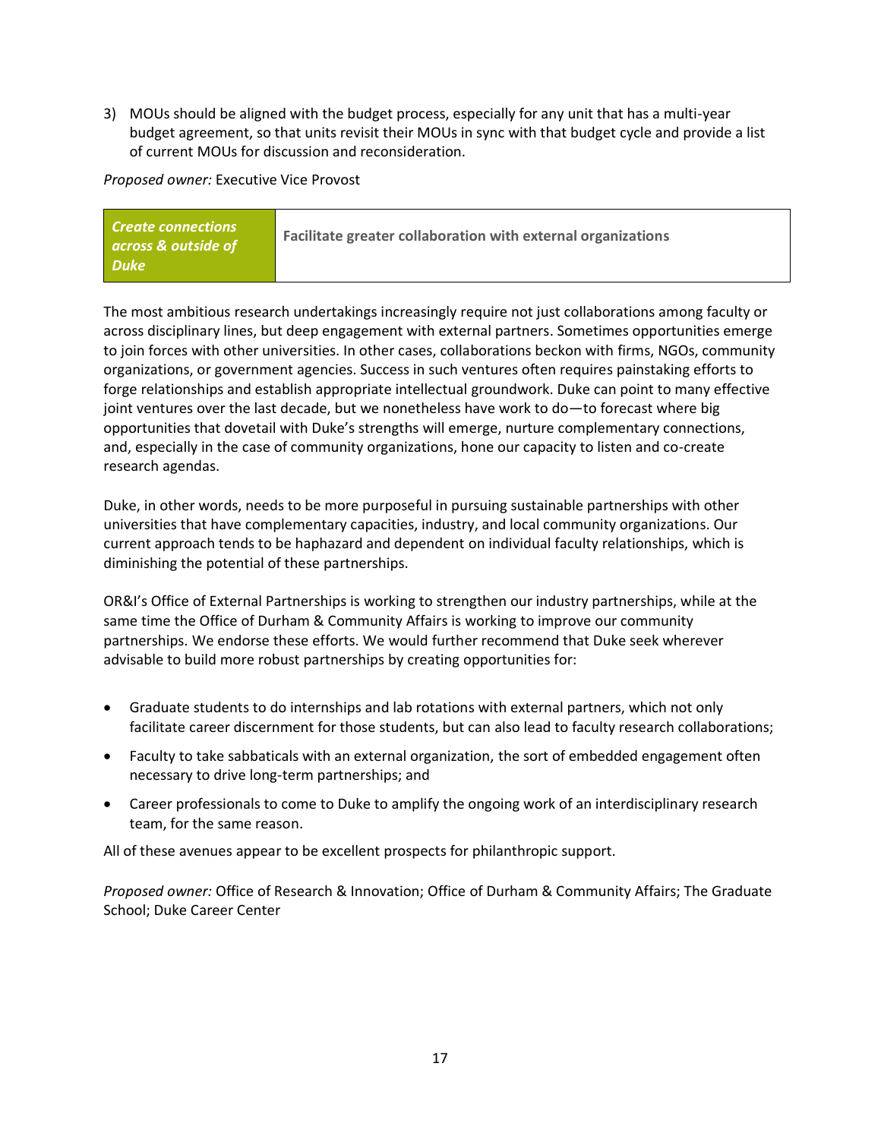3) MOUs should be aligned with the budget process, especially for any unit that has a multi-year budget agreement, so that units revisit their MOUs in sync with that budget cycle and provide a list of current MOUs for discussion and reconsideration.

*Proposed owner:* Executive Vice Provost

| <b>Create connections</b><br>across & outside of | Facilitate greater collaboration with external organizations |
|--------------------------------------------------|--------------------------------------------------------------|
| <b>Duke</b>                                      |                                                              |

The most ambitious research undertakings increasingly require not just collaborations among faculty or across disciplinary lines, but deep engagement with external partners. Sometimes opportunities emerge to join forces with other universities. In other cases, collaborations beckon with firms, NGOs, community organizations, or government agencies. Success in such ventures often requires painstaking efforts to forge relationships and establish appropriate intellectual groundwork. Duke can point to many effective joint ventures over the last decade, but we nonetheless have work to do—to forecast where big opportunities that dovetail with Duke's strengths will emerge, nurture complementary connections, and, especially in the case of community organizations, hone our capacity to listen and co-create research agendas.

Duke, in other words, needs to be more purposeful in pursuing sustainable partnerships with other universities that have complementary capacities, industry, and local community organizations. Our current approach tends to be haphazard and dependent on individual faculty relationships, which is diminishing the potential of these partnerships.

OR&I's Office of External Partnerships is working to strengthen our industry partnerships, while at the same time the Office of Durham & Community Affairs is working to improve our community partnerships. We endorse these efforts. We would further recommend that Duke seek wherever advisable to build more robust partnerships by creating opportunities for:

- Graduate students to do internships and lab rotations with external partners, which not only facilitate career discernment for those students, but can also lead to faculty research collaborations;
- Faculty to take sabbaticals with an external organization, the sort of embedded engagement often necessary to drive long-term partnerships; and
- Career professionals to come to Duke to amplify the ongoing work of an interdisciplinary research team, for the same reason.

All of these avenues appear to be excellent prospects for philanthropic support.

*Proposed owner:* Office of Research & Innovation; Office of Durham & Community Affairs; The Graduate School; Duke Career Center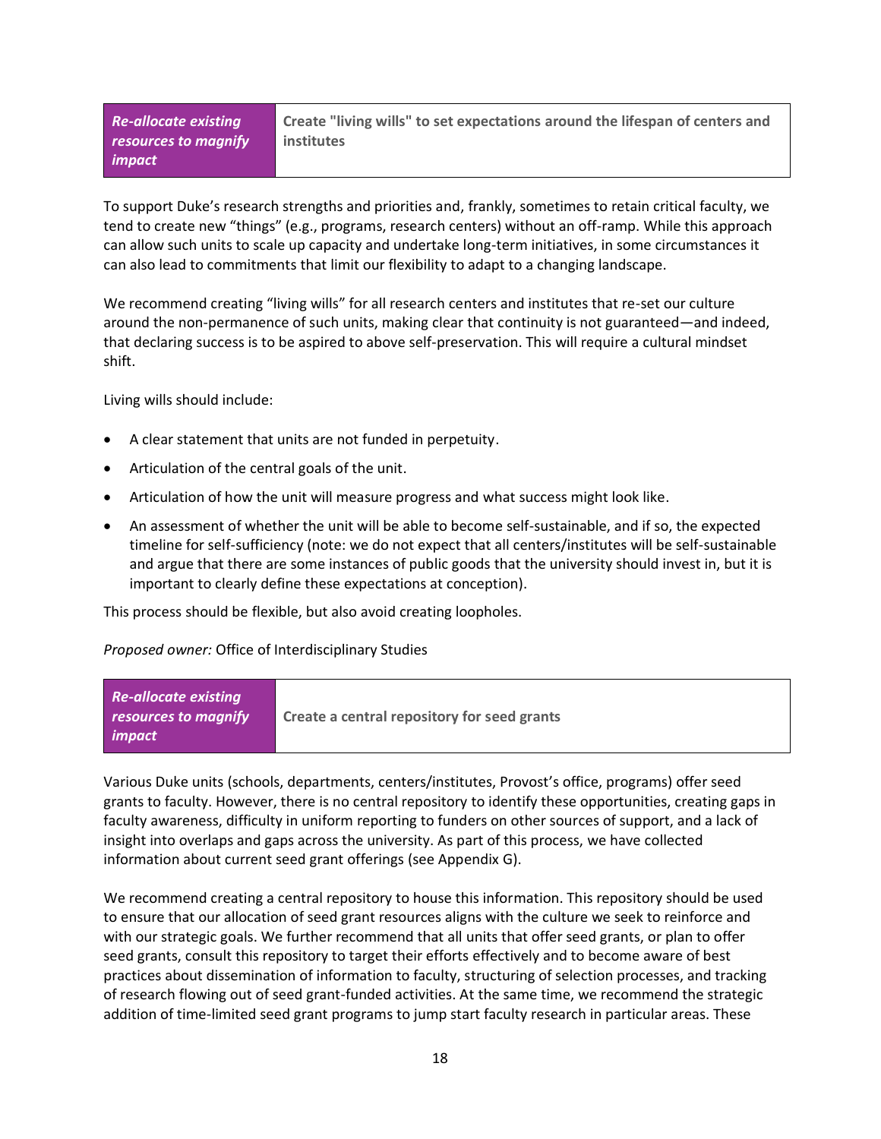*Re-allocate existing resources to magnify impact*

**Create "living wills" to set expectations around the lifespan of centers and institutes**

To support Duke's research strengths and priorities and, frankly, sometimes to retain critical faculty, we tend to create new "things" (e.g., programs, research centers) without an off-ramp. While this approach can allow such units to scale up capacity and undertake long-term initiatives, in some circumstances it can also lead to commitments that limit our flexibility to adapt to a changing landscape.

We recommend creating "living wills" for all research centers and institutes that re-set our culture around the non-permanence of such units, making clear that continuity is not guaranteed—and indeed, that declaring success is to be aspired to above self-preservation. This will require a cultural mindset shift.

Living wills should include:

- A clear statement that units are not funded in perpetuity.
- Articulation of the central goals of the unit.
- Articulation of how the unit will measure progress and what success might look like.
- An assessment of whether the unit will be able to become self-sustainable, and if so, the expected timeline for self-sufficiency (note: we do not expect that all centers/institutes will be self-sustainable and argue that there are some instances of public goods that the university should invest in, but it is important to clearly define these expectations at conception).

This process should be flexible, but also avoid creating loopholes.

*Proposed owner:* Office of Interdisciplinary Studies

| <b>Re-allocate existing</b><br>resources to magnify | Create a central repository for seed grants |
|-----------------------------------------------------|---------------------------------------------|
| impact                                              |                                             |

Various Duke units (schools, departments, centers/institutes, Provost's office, programs) offer seed grants to faculty. However, there is no central repository to identify these opportunities, creating gaps in faculty awareness, difficulty in uniform reporting to funders on other sources of support, and a lack of insight into overlaps and gaps across the university. As part of this process, we have collected information about current seed grant offerings (see Appendix G).

We recommend creating a central repository to house this information. This repository should be used to ensure that our allocation of seed grant resources aligns with the culture we seek to reinforce and with our strategic goals. We further recommend that all units that offer seed grants, or plan to offer seed grants, consult this repository to target their efforts effectively and to become aware of best practices about dissemination of information to faculty, structuring of selection processes, and tracking of research flowing out of seed grant-funded activities. At the same time, we recommend the strategic addition of time-limited seed grant programs to jump start faculty research in particular areas. These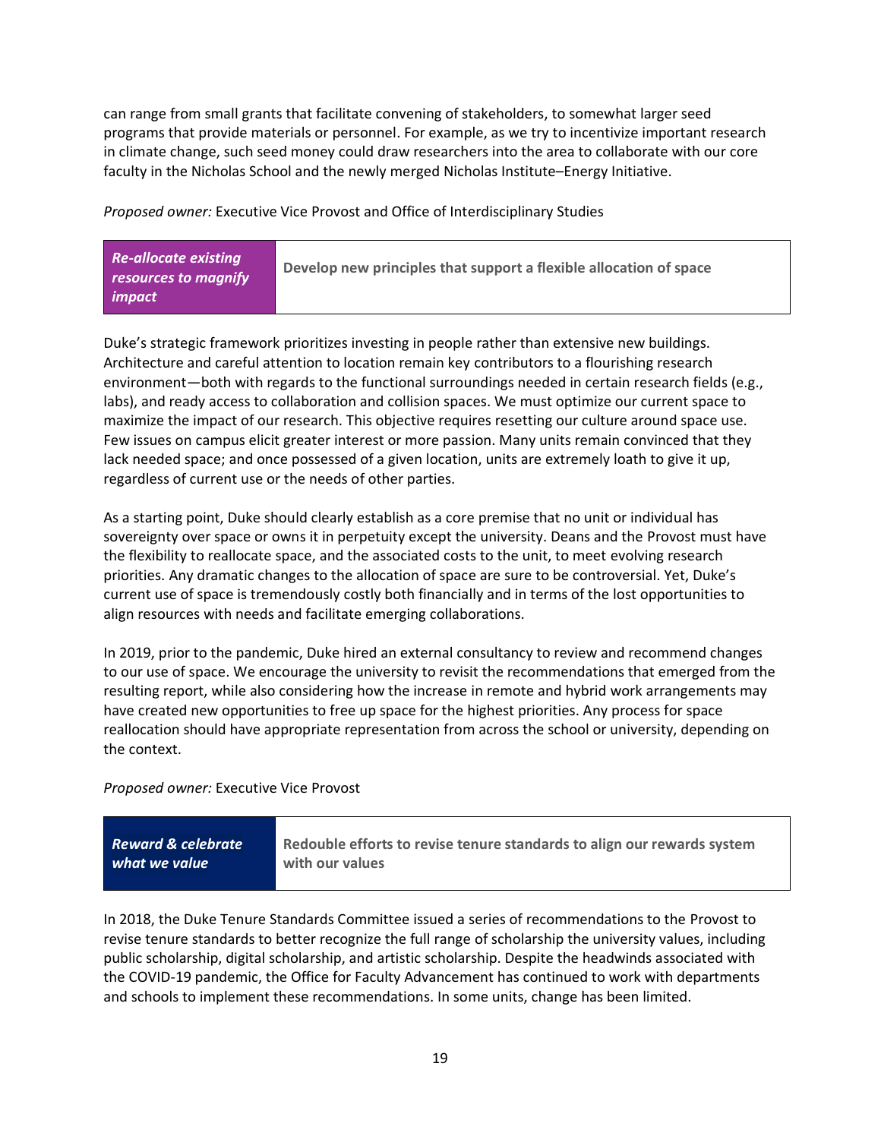can range from small grants that facilitate convening of stakeholders, to somewhat larger seed programs that provide materials or personnel. For example, as we try to incentivize important research in climate change, such seed money could draw researchers into the area to collaborate with our core faculty in the Nicholas School and the newly merged Nicholas Institute–Energy Initiative.

*Proposed owner:* Executive Vice Provost and Office of Interdisciplinary Studies

| <b>Re-allocate existing</b><br>resources to magnify | Develop new principles that support a flexible allocation of space |
|-----------------------------------------------------|--------------------------------------------------------------------|
| impact                                              |                                                                    |

Duke's strategic framework prioritizes investing in people rather than extensive new buildings. Architecture and careful attention to location remain key contributors to a flourishing research environment—both with regards to the functional surroundings needed in certain research fields (e.g., labs), and ready access to collaboration and collision spaces. We must optimize our current space to maximize the impact of our research. This objective requires resetting our culture around space use. Few issues on campus elicit greater interest or more passion. Many units remain convinced that they lack needed space; and once possessed of a given location, units are extremely loath to give it up, regardless of current use or the needs of other parties.

As a starting point, Duke should clearly establish as a core premise that no unit or individual has sovereignty over space or owns it in perpetuity except the university. Deans and the Provost must have the flexibility to reallocate space, and the associated costs to the unit, to meet evolving research priorities. Any dramatic changes to the allocation of space are sure to be controversial. Yet, Duke's current use of space is tremendously costly both financially and in terms of the lost opportunities to align resources with needs and facilitate emerging collaborations.

In 2019, prior to the pandemic, Duke hired an external consultancy to review and recommend changes to our use of space. We encourage the university to revisit the recommendations that emerged from the resulting report, while also considering how the increase in remote and hybrid work arrangements may have created new opportunities to free up space for the highest priorities. Any process for space reallocation should have appropriate representation from across the school or university, depending on the context.

*Proposed owner:* Executive Vice Provost

| <b>Reward &amp; celebrate</b> | Redouble efforts to revise tenure standards to align our rewards system |
|-------------------------------|-------------------------------------------------------------------------|
| what we value                 | with our values                                                         |
|                               |                                                                         |

In 2018, the Duke Tenure Standards Committee issued a series of recommendations to the Provost to revise tenure standards to better recognize the full range of scholarship the university values, including public scholarship, digital scholarship, and artistic scholarship. Despite the headwinds associated with the COVID-19 pandemic, the Office for Faculty Advancement has continued to work with departments and schools to implement these recommendations. In some units, change has been limited.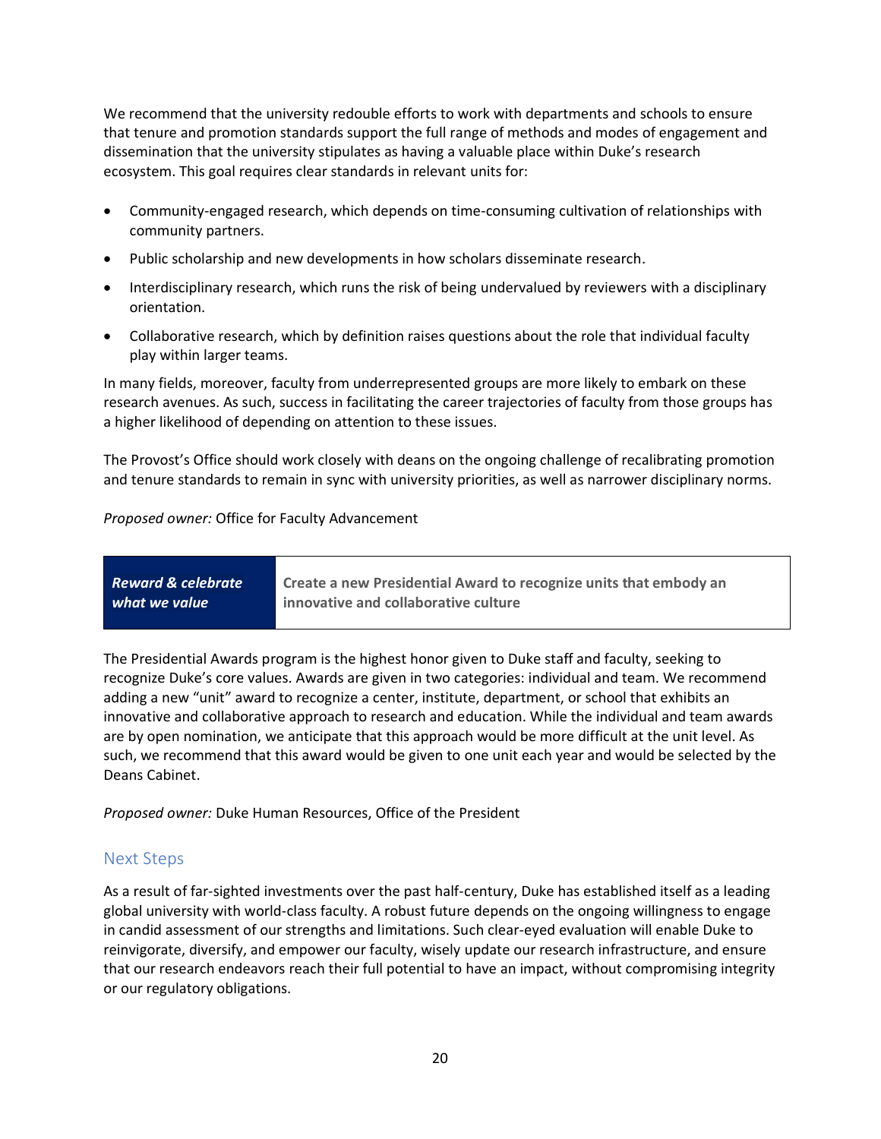We recommend that the university redouble efforts to work with departments and schools to ensure that tenure and promotion standards support the full range of methods and modes of engagement and dissemination that the university stipulates as having a valuable place within Duke's research ecosystem. This goal requires clear standards in relevant units for:

- Community-engaged research, which depends on time-consuming cultivation of relationships with community partners.
- Public scholarship and new developments in how scholars disseminate research.
- Interdisciplinary research, which runs the risk of being undervalued by reviewers with a disciplinary orientation.
- Collaborative research, which by definition raises questions about the role that individual faculty play within larger teams.

In many fields, moreover, faculty from underrepresented groups are more likely to embark on these research avenues. As such, success in facilitating the career trajectories of faculty from those groups has a higher likelihood of depending on attention to these issues.

The Provost's Office should work closely with deans on the ongoing challenge of recalibrating promotion and tenure standards to remain in sync with university priorities, as well as narrower disciplinary norms.

### *Proposed owner:* Office for Faculty Advancement

| <b>Reward &amp; celebrate</b> | Create a new Presidential Award to recognize units that embody an |
|-------------------------------|-------------------------------------------------------------------|
| what we value                 | innovative and collaborative culture                              |
|                               |                                                                   |

The Presidential Awards program is the highest honor given to Duke staff and faculty, seeking to recognize Duke's core values. Awards are given in two categories: individual and team. We recommend adding a new "unit" award to recognize a center, institute, department, or school that exhibits an innovative and collaborative approach to research and education. While the individual and team awards are by open nomination, we anticipate that this approach would be more difficult at the unit level. As such, we recommend that this award would be given to one unit each year and would be selected by the Deans Cabinet.

*Proposed owner:* Duke Human Resources, Office of the President

## Next Steps

As a result of far-sighted investments over the past half-century, Duke has established itself as a leading global university with world-class faculty. A robust future depends on the ongoing willingness to engage in candid assessment of our strengths and limitations. Such clear-eyed evaluation will enable Duke to reinvigorate, diversify, and empower our faculty, wisely update our research infrastructure, and ensure that our research endeavors reach their full potential to have an impact, without compromising integrity or our regulatory obligations.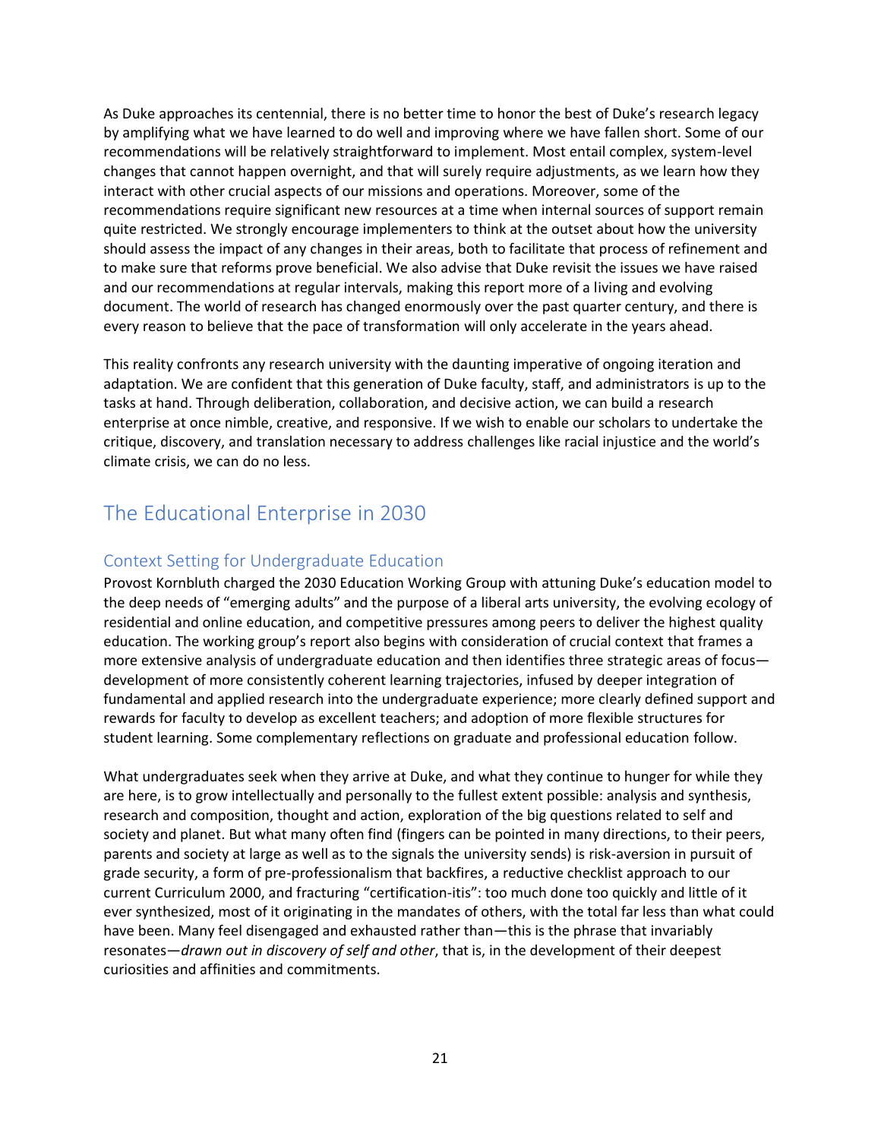As Duke approaches its centennial, there is no better time to honor the best of Duke's research legacy by amplifying what we have learned to do well and improving where we have fallen short. Some of our recommendations will be relatively straightforward to implement. Most entail complex, system-level changes that cannot happen overnight, and that will surely require adjustments, as we learn how they interact with other crucial aspects of our missions and operations. Moreover, some of the recommendations require significant new resources at a time when internal sources of support remain quite restricted. We strongly encourage implementers to think at the outset about how the university should assess the impact of any changes in their areas, both to facilitate that process of refinement and to make sure that reforms prove beneficial. We also advise that Duke revisit the issues we have raised and our recommendations at regular intervals, making this report more of a living and evolving document. The world of research has changed enormously over the past quarter century, and there is every reason to believe that the pace of transformation will only accelerate in the years ahead.

This reality confronts any research university with the daunting imperative of ongoing iteration and adaptation. We are confident that this generation of Duke faculty, staff, and administrators is up to the tasks at hand. Through deliberation, collaboration, and decisive action, we can build a research enterprise at once nimble, creative, and responsive. If we wish to enable our scholars to undertake the critique, discovery, and translation necessary to address challenges like racial injustice and the world's climate crisis, we can do no less.

## <span id="page-20-0"></span>The Educational Enterprise in 2030

### Context Setting for Undergraduate Education

Provost Kornbluth charged the 2030 Education Working Group with attuning Duke's education model to the deep needs of "emerging adults" and the purpose of a liberal arts university, the evolving ecology of residential and online education, and competitive pressures among peers to deliver the highest quality education. The working group's report also begins with consideration of crucial context that frames a more extensive analysis of undergraduate education and then identifies three strategic areas of focus development of more consistently coherent learning trajectories, infused by deeper integration of fundamental and applied research into the undergraduate experience; more clearly defined support and rewards for faculty to develop as excellent teachers; and adoption of more flexible structures for student learning. Some complementary reflections on graduate and professional education follow.

What undergraduates seek when they arrive at Duke, and what they continue to hunger for while they are here, is to grow intellectually and personally to the fullest extent possible: analysis and synthesis, research and composition, thought and action, exploration of the big questions related to self and society and planet. But what many often find (fingers can be pointed in many directions, to their peers, parents and society at large as well as to the signals the university sends) is risk-aversion in pursuit of grade security, a form of pre-professionalism that backfires, a reductive checklist approach to our current Curriculum 2000, and fracturing "certification-itis": too much done too quickly and little of it ever synthesized, most of it originating in the mandates of others, with the total far less than what could have been. Many feel disengaged and exhausted rather than—this is the phrase that invariably resonates—*drawn out in discovery of self and other*, that is, in the development of their deepest curiosities and affinities and commitments.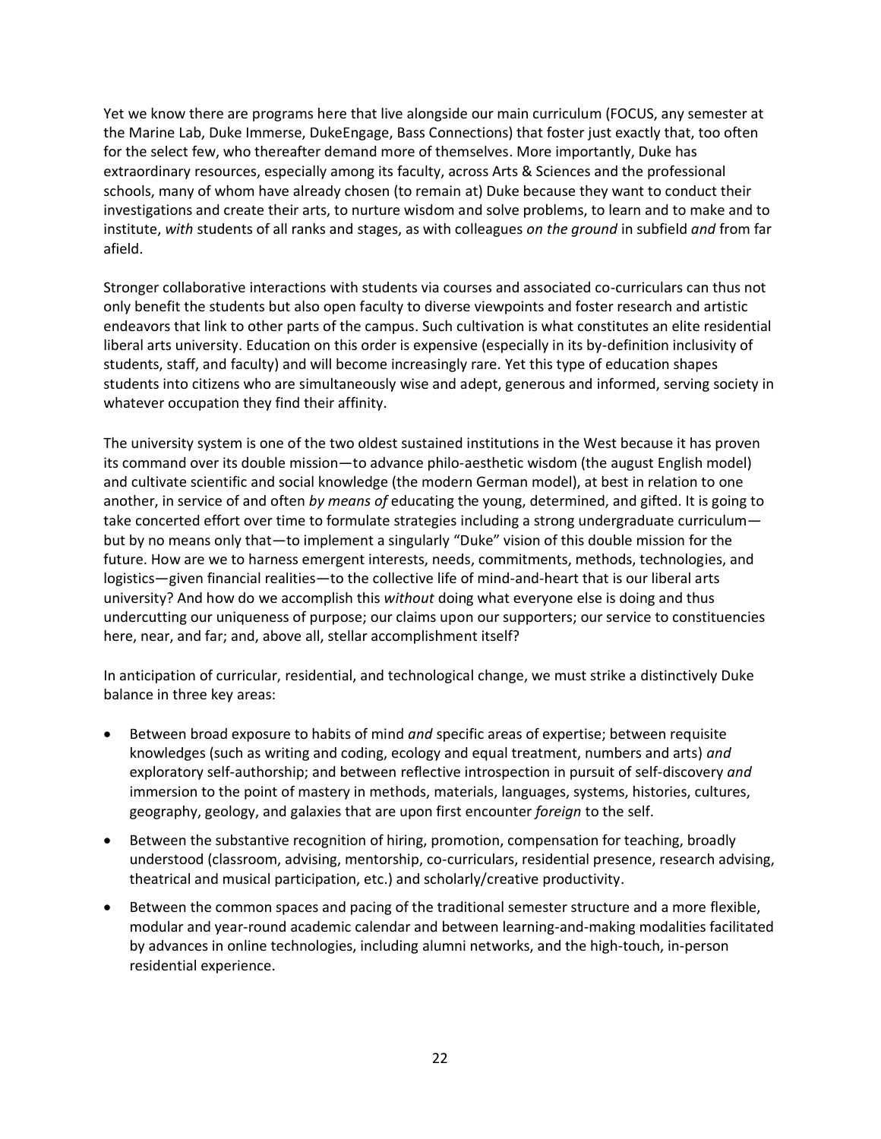Yet we know there are programs here that live alongside our main curriculum (FOCUS, any semester at the Marine Lab, Duke Immerse, DukeEngage, Bass Connections) that foster just exactly that, too often for the select few, who thereafter demand more of themselves. More importantly, Duke has extraordinary resources, especially among its faculty, across Arts & Sciences and the professional schools, many of whom have already chosen (to remain at) Duke because they want to conduct their investigations and create their arts, to nurture wisdom and solve problems, to learn and to make and to institute, *with* students of all ranks and stages, as with colleagues *on the ground* in subfield *and* from far afield.

Stronger collaborative interactions with students via courses and associated co-curriculars can thus not only benefit the students but also open faculty to diverse viewpoints and foster research and artistic endeavors that link to other parts of the campus. Such cultivation is what constitutes an elite residential liberal arts university. Education on this order is expensive (especially in its by-definition inclusivity of students, staff, and faculty) and will become increasingly rare. Yet this type of education shapes students into citizens who are simultaneously wise and adept, generous and informed, serving society in whatever occupation they find their affinity.

The university system is one of the two oldest sustained institutions in the West because it has proven its command over its double mission—to advance philo-aesthetic wisdom (the august English model) and cultivate scientific and social knowledge (the modern German model), at best in relation to one another, in service of and often *by means of* educating the young, determined, and gifted. It is going to take concerted effort over time to formulate strategies including a strong undergraduate curriculum but by no means only that—to implement a singularly "Duke" vision of this double mission for the future. How are we to harness emergent interests, needs, commitments, methods, technologies, and logistics—given financial realities—to the collective life of mind-and-heart that is our liberal arts university? And how do we accomplish this *without* doing what everyone else is doing and thus undercutting our uniqueness of purpose; our claims upon our supporters; our service to constituencies here, near, and far; and, above all, stellar accomplishment itself?

In anticipation of curricular, residential, and technological change, we must strike a distinctively Duke balance in three key areas:

- Between broad exposure to habits of mind *and* specific areas of expertise; between requisite knowledges (such as writing and coding, ecology and equal treatment, numbers and arts) *and* exploratory self-authorship; and between reflective introspection in pursuit of self-discovery *and* immersion to the point of mastery in methods, materials, languages, systems, histories, cultures, geography, geology, and galaxies that are upon first encounter *foreign* to the self.
- Between the substantive recognition of hiring, promotion, compensation for teaching, broadly understood (classroom, advising, mentorship, co-curriculars, residential presence, research advising, theatrical and musical participation, etc.) and scholarly/creative productivity.
- Between the common spaces and pacing of the traditional semester structure and a more flexible, modular and year-round academic calendar and between learning-and-making modalities facilitated by advances in online technologies, including alumni networks, and the high-touch, in-person residential experience.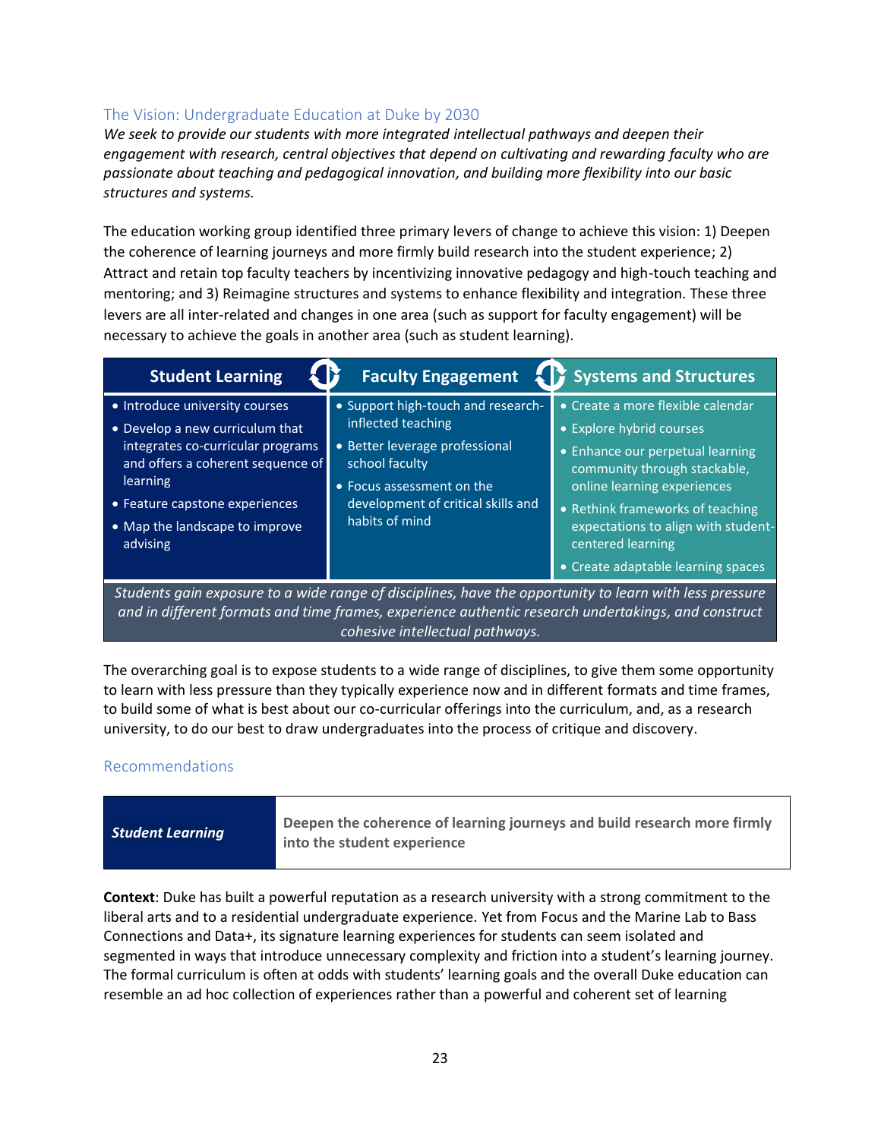## The Vision: Undergraduate Education at Duke by 2030

*We seek to provide our students with more integrated intellectual pathways and deepen their engagement with research, central objectives that depend on cultivating and rewarding faculty who are passionate about teaching and pedagogical innovation, and building more flexibility into our basic structures and systems.*

The education working group identified three primary levers of change to achieve this vision: 1) Deepen the coherence of learning journeys and more firmly build research into the student experience; 2) Attract and retain top faculty teachers by incentivizing innovative pedagogy and high-touch teaching and mentoring; and 3) Reimagine structures and systems to enhance flexibility and integration. These three levers are all inter-related and changes in one area (such as support for faculty engagement) will be necessary to achieve the goals in another area (such as student learning).

| <b>Student Learning</b>                                                                                                                                                                                                                 |                                                                                                                                                                                                   | <b>Faculty Engagement 4 Systems and Structures</b>                                                                                                                                                                                                                                                     |  |  |
|-----------------------------------------------------------------------------------------------------------------------------------------------------------------------------------------------------------------------------------------|---------------------------------------------------------------------------------------------------------------------------------------------------------------------------------------------------|--------------------------------------------------------------------------------------------------------------------------------------------------------------------------------------------------------------------------------------------------------------------------------------------------------|--|--|
| • Introduce university courses<br>• Develop a new curriculum that<br>integrates co-curricular programs<br>and offers a coherent sequence of<br>learning<br>• Feature capstone experiences<br>• Map the landscape to improve<br>advising | • Support high-touch and research-<br>inflected teaching<br>· Better leverage professional<br>school faculty<br>• Focus assessment on the<br>development of critical skills and<br>habits of mind | • Create a more flexible calendar<br>• Explore hybrid courses<br>• Enhance our perpetual learning<br>community through stackable,<br>online learning experiences<br>• Rethink frameworks of teaching<br>expectations to align with student-<br>centered learning<br>• Create adaptable learning spaces |  |  |
| Students gain exposure to a wide range of disciplines, have the opportunity to learn with less pressure                                                                                                                                 |                                                                                                                                                                                                   |                                                                                                                                                                                                                                                                                                        |  |  |

*and in different formats and time frames, experience authentic research undertakings, and construct cohesive intellectual pathways.*

The overarching goal is to expose students to a wide range of disciplines, to give them some opportunity to learn with less pressure than they typically experience now and in different formats and time frames, to build some of what is best about our co-curricular offerings into the curriculum, and, as a research university, to do our best to draw undergraduates into the process of critique and discovery.

## Recommendations

| Deepen the coherence of learning journeys and build research more firmly<br><b>Student Learning</b><br>into the student experience |
|------------------------------------------------------------------------------------------------------------------------------------|
|------------------------------------------------------------------------------------------------------------------------------------|

**Context**: Duke has built a powerful reputation as a research university with a strong commitment to the liberal arts and to a residential undergraduate experience. Yet from Focus and the Marine Lab to Bass Connections and Data+, its signature learning experiences for students can seem isolated and segmented in ways that introduce unnecessary complexity and friction into a student's learning journey. The formal curriculum is often at odds with students' learning goals and the overall Duke education can resemble an ad hoc collection of experiences rather than a powerful and coherent set of learning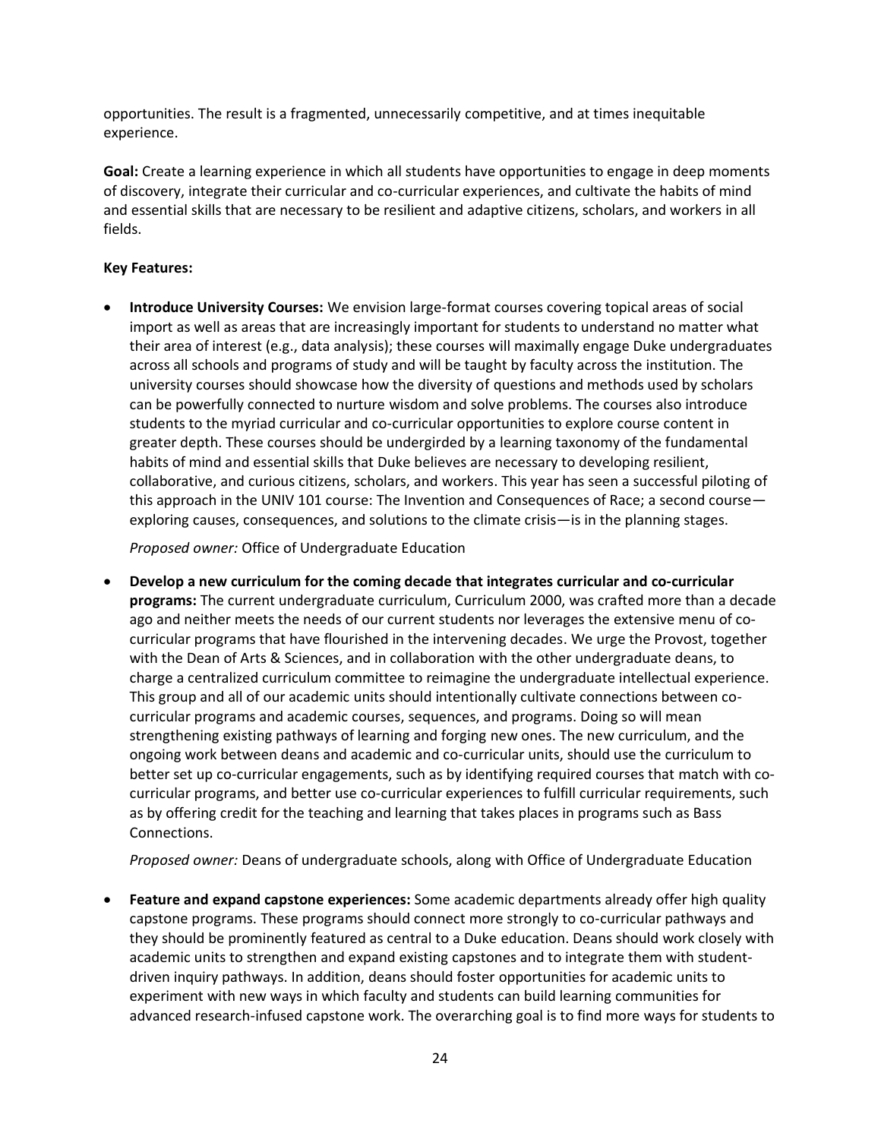opportunities. The result is a fragmented, unnecessarily competitive, and at times inequitable experience.

**Goal:** Create a learning experience in which all students have opportunities to engage in deep moments of discovery, integrate their curricular and co-curricular experiences, and cultivate the habits of mind and essential skills that are necessary to be resilient and adaptive citizens, scholars, and workers in all fields.

#### **Key Features:**

• **Introduce University Courses:** We envision large-format courses covering topical areas of social import as well as areas that are increasingly important for students to understand no matter what their area of interest (e.g., data analysis); these courses will maximally engage Duke undergraduates across all schools and programs of study and will be taught by faculty across the institution. The university courses should showcase how the diversity of questions and methods used by scholars can be powerfully connected to nurture wisdom and solve problems. The courses also introduce students to the myriad curricular and co-curricular opportunities to explore course content in greater depth. These courses should be undergirded by a learning taxonomy of the fundamental habits of mind and essential skills that Duke believes are necessary to developing resilient, collaborative, and curious citizens, scholars, and workers. This year has seen a successful piloting of this approach in the UNIV 101 course: The Invention and Consequences of Race; a second course exploring causes, consequences, and solutions to the climate crisis—is in the planning stages.

*Proposed owner:* Office of Undergraduate Education

• **Develop a new curriculum for the coming decade that integrates curricular and co-curricular programs:** The current undergraduate curriculum, Curriculum 2000, was crafted more than a decade ago and neither meets the needs of our current students nor leverages the extensive menu of cocurricular programs that have flourished in the intervening decades. We urge the Provost, together with the Dean of Arts & Sciences, and in collaboration with the other undergraduate deans, to charge a centralized curriculum committee to reimagine the undergraduate intellectual experience. This group and all of our academic units should intentionally cultivate connections between cocurricular programs and academic courses, sequences, and programs. Doing so will mean strengthening existing pathways of learning and forging new ones. The new curriculum, and the ongoing work between deans and academic and co-curricular units, should use the curriculum to better set up co-curricular engagements, such as by identifying required courses that match with cocurricular programs, and better use co-curricular experiences to fulfill curricular requirements, such as by offering credit for the teaching and learning that takes places in programs such as Bass Connections.

*Proposed owner:* Deans of undergraduate schools, along with Office of Undergraduate Education

• **Feature and expand capstone experiences:** Some academic departments already offer high quality capstone programs. These programs should connect more strongly to co-curricular pathways and they should be prominently featured as central to a Duke education. Deans should work closely with academic units to strengthen and expand existing capstones and to integrate them with studentdriven inquiry pathways. In addition, deans should foster opportunities for academic units to experiment with new ways in which faculty and students can build learning communities for advanced research-infused capstone work. The overarching goal is to find more ways for students to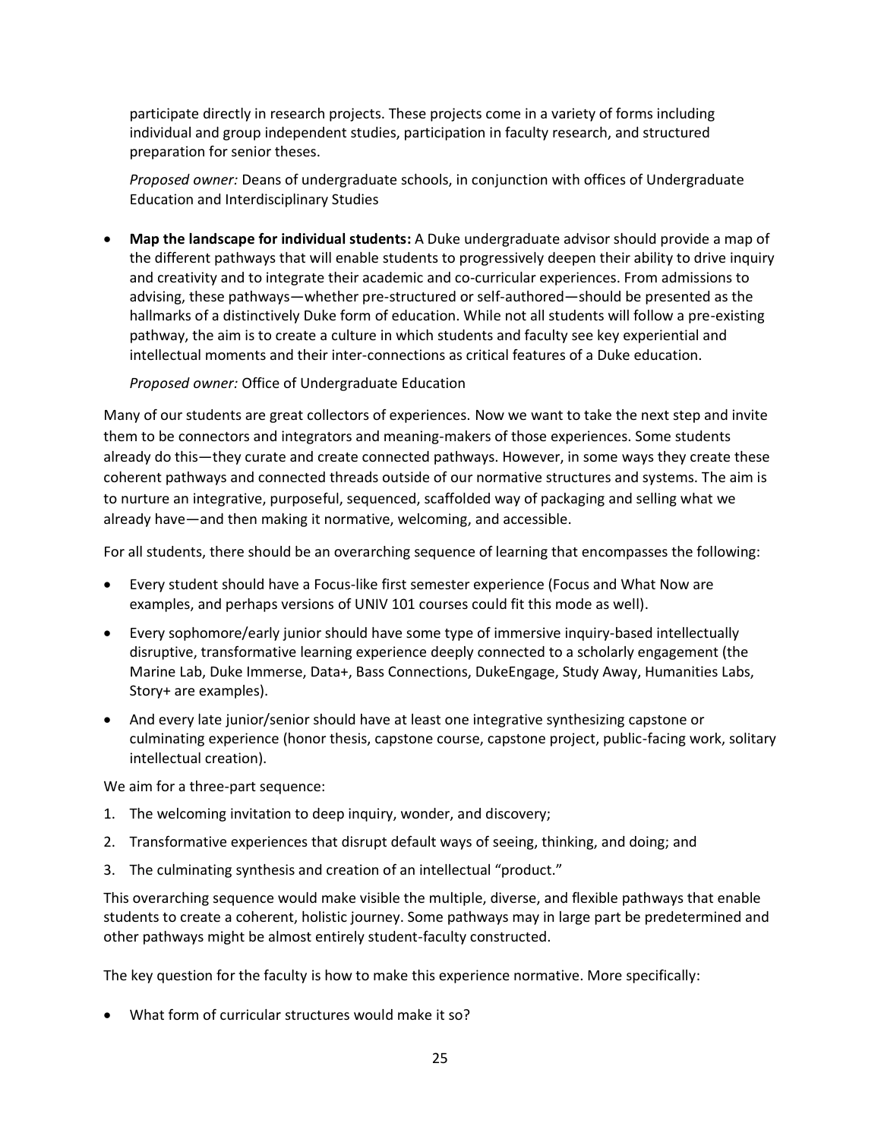participate directly in research projects. These projects come in a variety of forms including individual and group independent studies, participation in faculty research, and structured preparation for senior theses.

*Proposed owner:* Deans of undergraduate schools, in conjunction with offices of Undergraduate Education and Interdisciplinary Studies

• **Map the landscape for individual students:** A Duke undergraduate advisor should provide a map of the different pathways that will enable students to progressively deepen their ability to drive inquiry and creativity and to integrate their academic and co-curricular experiences. From admissions to advising, these pathways—whether pre-structured or self-authored—should be presented as the hallmarks of a distinctively Duke form of education. While not all students will follow a pre-existing pathway, the aim is to create a culture in which students and faculty see key experiential and intellectual moments and their inter-connections as critical features of a Duke education.

*Proposed owner:* Office of Undergraduate Education

Many of our students are great collectors of experiences. Now we want to take the next step and invite them to be connectors and integrators and meaning-makers of those experiences. Some students already do this—they curate and create connected pathways. However, in some ways they create these coherent pathways and connected threads outside of our normative structures and systems. The aim is to nurture an integrative, purposeful, sequenced, scaffolded way of packaging and selling what we already have—and then making it normative, welcoming, and accessible.

For all students, there should be an overarching sequence of learning that encompasses the following:

- Every student should have a Focus-like first semester experience (Focus and What Now are examples, and perhaps versions of UNIV 101 courses could fit this mode as well).
- Every sophomore/early junior should have some type of immersive inquiry-based intellectually disruptive, transformative learning experience deeply connected to a scholarly engagement (the Marine Lab, Duke Immerse, Data+, Bass Connections, DukeEngage, Study Away, Humanities Labs, Story+ are examples).
- And every late junior/senior should have at least one integrative synthesizing capstone or culminating experience (honor thesis, capstone course, capstone project, public-facing work, solitary intellectual creation).

We aim for a three-part sequence:

- 1. The welcoming invitation to deep inquiry, wonder, and discovery;
- 2. Transformative experiences that disrupt default ways of seeing, thinking, and doing; and
- 3. The culminating synthesis and creation of an intellectual "product."

This overarching sequence would make visible the multiple, diverse, and flexible pathways that enable students to create a coherent, holistic journey. Some pathways may in large part be predetermined and other pathways might be almost entirely student-faculty constructed.

The key question for the faculty is how to make this experience normative. More specifically:

• What form of curricular structures would make it so?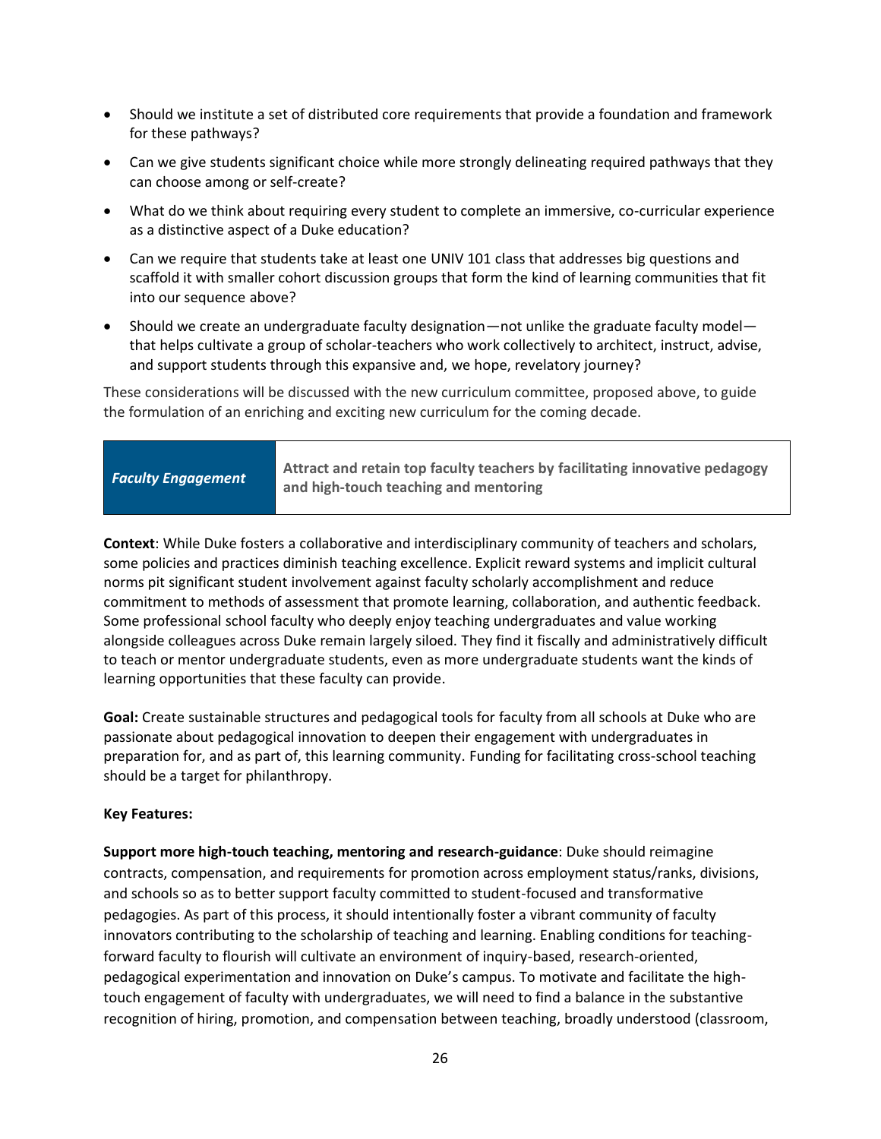- Should we institute a set of distributed core requirements that provide a foundation and framework for these pathways?
- Can we give students significant choice while more strongly delineating required pathways that they can choose among or self-create?
- What do we think about requiring every student to complete an immersive, co-curricular experience as a distinctive aspect of a Duke education?
- Can we require that students take at least one UNIV 101 class that addresses big questions and scaffold it with smaller cohort discussion groups that form the kind of learning communities that fit into our sequence above?
- Should we create an undergraduate faculty designation—not unlike the graduate faculty model that helps cultivate a group of scholar-teachers who work collectively to architect, instruct, advise, and support students through this expansive and, we hope, revelatory journey?

These considerations will be discussed with the new curriculum committee, proposed above, to guide the formulation of an enriching and exciting new curriculum for the coming decade.

| <b>Faculty Engagement</b> | Attract and retain top faculty teachers by facilitating innovative pedagogy<br>and high-touch teaching and mentoring |
|---------------------------|----------------------------------------------------------------------------------------------------------------------|
|---------------------------|----------------------------------------------------------------------------------------------------------------------|

**Context**: While Duke fosters a collaborative and interdisciplinary community of teachers and scholars, some policies and practices diminish teaching excellence. Explicit reward systems and implicit cultural norms pit significant student involvement against faculty scholarly accomplishment and reduce commitment to methods of assessment that promote learning, collaboration, and authentic feedback. Some professional school faculty who deeply enjoy teaching undergraduates and value working alongside colleagues across Duke remain largely siloed. They find it fiscally and administratively difficult to teach or mentor undergraduate students, even as more undergraduate students want the kinds of learning opportunities that these faculty can provide.

**Goal:** Create sustainable structures and pedagogical tools for faculty from all schools at Duke who are passionate about pedagogical innovation to deepen their engagement with undergraduates in preparation for, and as part of, this learning community. Funding for facilitating cross-school teaching should be a target for philanthropy.

#### **Key Features:**

**Support more high-touch teaching, mentoring and research-guidance**: Duke should reimagine contracts, compensation, and requirements for promotion across employment status/ranks, divisions, and schools so as to better support faculty committed to student-focused and transformative pedagogies. As part of this process, it should intentionally foster a vibrant community of faculty innovators contributing to the scholarship of teaching and learning. Enabling conditions for teachingforward faculty to flourish will cultivate an environment of inquiry-based, research-oriented, pedagogical experimentation and innovation on Duke's campus. To motivate and facilitate the hightouch engagement of faculty with undergraduates, we will need to find a balance in the substantive recognition of hiring, promotion, and compensation between teaching, broadly understood (classroom,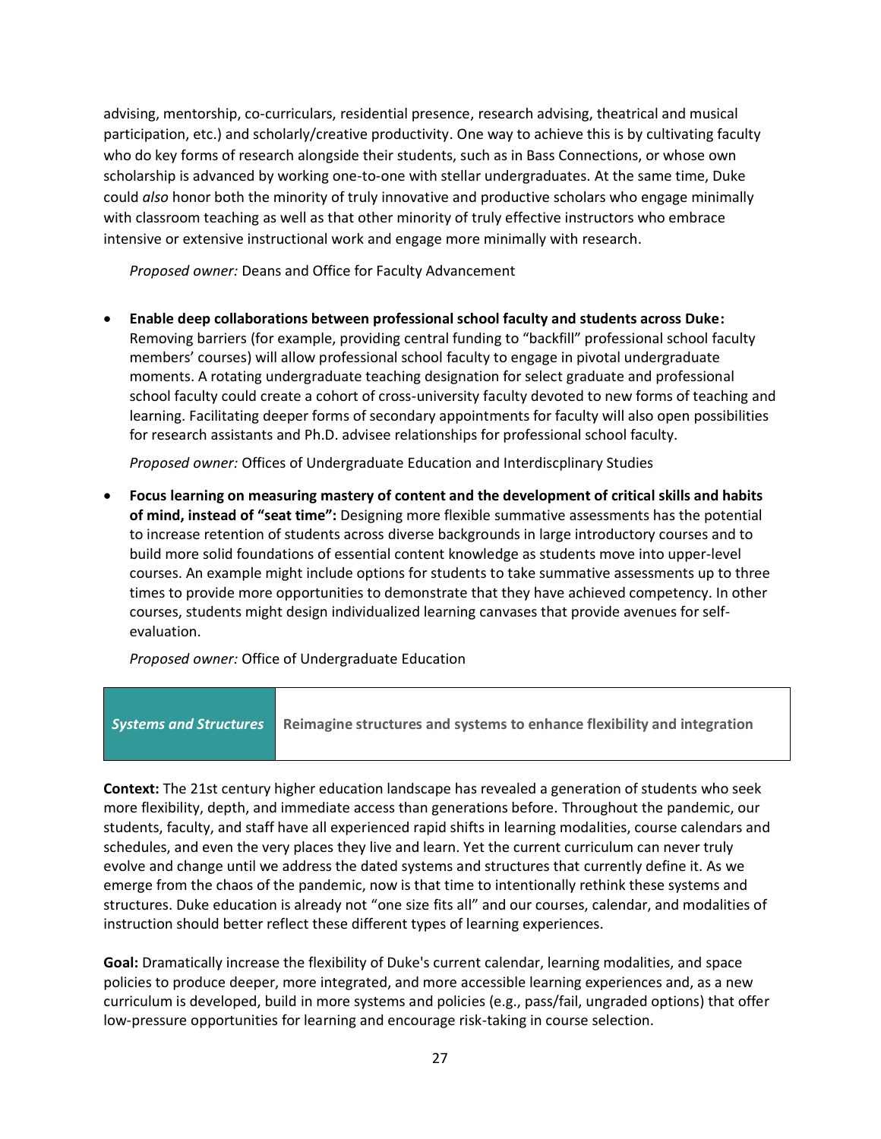advising, mentorship, co-curriculars, residential presence, research advising, theatrical and musical participation, etc.) and scholarly/creative productivity. One way to achieve this is by cultivating faculty who do key forms of research alongside their students, such as in Bass Connections, or whose own scholarship is advanced by working one-to-one with stellar undergraduates. At the same time, Duke could *also* honor both the minority of truly innovative and productive scholars who engage minimally with classroom teaching as well as that other minority of truly effective instructors who embrace intensive or extensive instructional work and engage more minimally with research.

*Proposed owner:* Deans and Office for Faculty Advancement

• **Enable deep collaborations between professional school faculty and students across Duke:**  Removing barriers (for example, providing central funding to "backfill" professional school faculty members' courses) will allow professional school faculty to engage in pivotal undergraduate moments. A rotating undergraduate teaching designation for select graduate and professional school faculty could create a cohort of cross-university faculty devoted to new forms of teaching and learning. Facilitating deeper forms of secondary appointments for faculty will also open possibilities for research assistants and Ph.D. advisee relationships for professional school faculty.

*Proposed owner:* Offices of Undergraduate Education and Interdiscplinary Studies

• **Focus learning on measuring mastery of content and the development of critical skills and habits of mind, instead of "seat time":** Designing more flexible summative assessments has the potential to increase retention of students across diverse backgrounds in large introductory courses and to build more solid foundations of essential content knowledge as students move into upper-level courses. An example might include options for students to take summative assessments up to three times to provide more opportunities to demonstrate that they have achieved competency. In other courses, students might design individualized learning canvases that provide avenues for selfevaluation.

*Proposed owner:* Office of Undergraduate Education



**Context:** The 21st century higher education landscape has revealed a generation of students who seek more flexibility, depth, and immediate access than generations before. Throughout the pandemic, our students, faculty, and staff have all experienced rapid shifts in learning modalities, course calendars and schedules, and even the very places they live and learn. Yet the current curriculum can never truly evolve and change until we address the dated systems and structures that currently define it. As we emerge from the chaos of the pandemic, now is that time to intentionally rethink these systems and structures. Duke education is already not "one size fits all" and our courses, calendar, and modalities of instruction should better reflect these different types of learning experiences.

**Goal:** Dramatically increase the flexibility of Duke's current calendar, learning modalities, and space policies to produce deeper, more integrated, and more accessible learning experiences and, as a new curriculum is developed, build in more systems and policies (e.g., pass/fail, ungraded options) that offer low-pressure opportunities for learning and encourage risk-taking in course selection.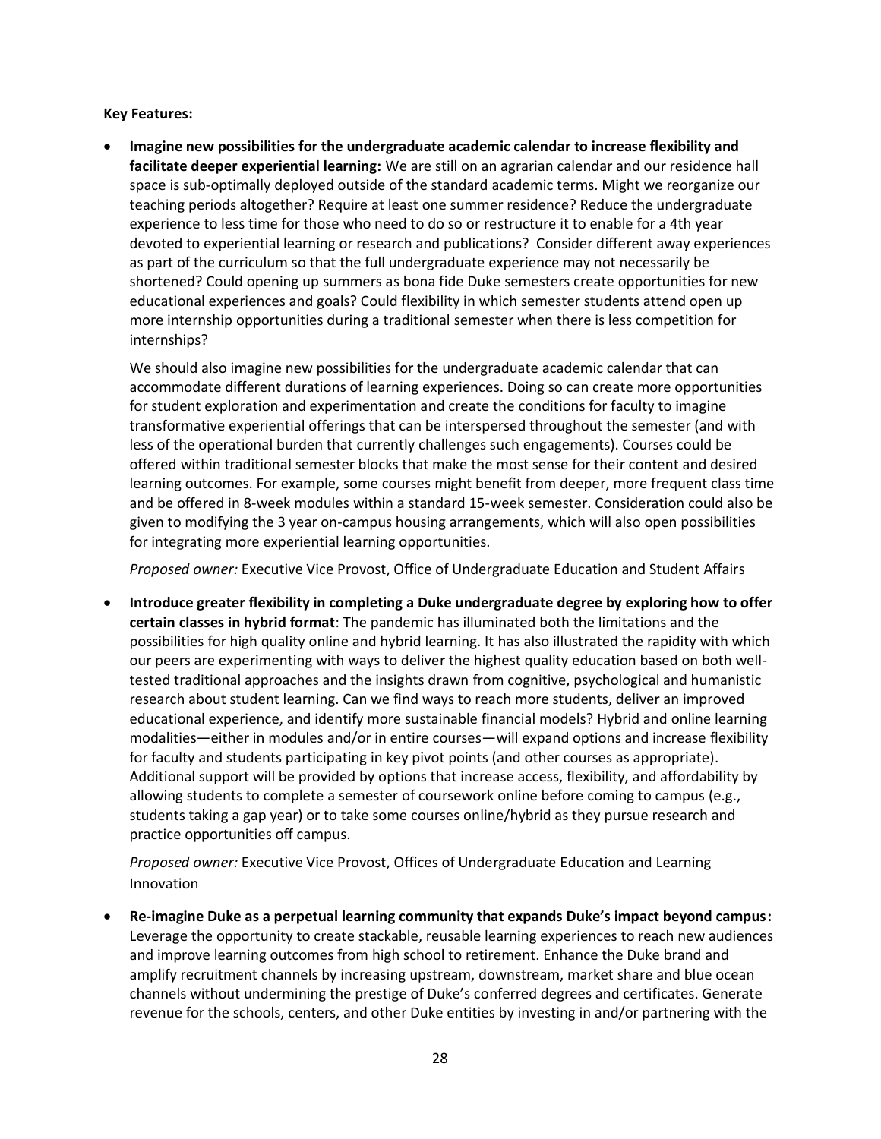**Key Features:**

• **Imagine new possibilities for the undergraduate academic calendar to increase flexibility and facilitate deeper experiential learning:** We are still on an agrarian calendar and our residence hall space is sub-optimally deployed outside of the standard academic terms. Might we reorganize our teaching periods altogether? Require at least one summer residence? Reduce the undergraduate experience to less time for those who need to do so or restructure it to enable for a 4th year devoted to experiential learning or research and publications? Consider different away experiences as part of the curriculum so that the full undergraduate experience may not necessarily be shortened? Could opening up summers as bona fide Duke semesters create opportunities for new educational experiences and goals? Could flexibility in which semester students attend open up more internship opportunities during a traditional semester when there is less competition for internships?

We should also imagine new possibilities for the undergraduate academic calendar that can accommodate different durations of learning experiences. Doing so can create more opportunities for student exploration and experimentation and create the conditions for faculty to imagine transformative experiential offerings that can be interspersed throughout the semester (and with less of the operational burden that currently challenges such engagements). Courses could be offered within traditional semester blocks that make the most sense for their content and desired learning outcomes. For example, some courses might benefit from deeper, more frequent class time and be offered in 8-week modules within a standard 15-week semester. Consideration could also be given to modifying the 3 year on-campus housing arrangements, which will also open possibilities for integrating more experiential learning opportunities.

*Proposed owner:* Executive Vice Provost, Office of Undergraduate Education and Student Affairs

• **Introduce greater flexibility in completing a Duke undergraduate degree by exploring how to offer certain classes in hybrid format**: The pandemic has illuminated both the limitations and the possibilities for high quality online and hybrid learning. It has also illustrated the rapidity with which our peers are experimenting with ways to deliver the highest quality education based on both welltested traditional approaches and the insights drawn from cognitive, psychological and humanistic research about student learning. Can we find ways to reach more students, deliver an improved educational experience, and identify more sustainable financial models? Hybrid and online learning modalities—either in modules and/or in entire courses—will expand options and increase flexibility for faculty and students participating in key pivot points (and other courses as appropriate). Additional support will be provided by options that increase access, flexibility, and affordability by allowing students to complete a semester of coursework online before coming to campus (e.g., students taking a gap year) or to take some courses online/hybrid as they pursue research and practice opportunities off campus.

*Proposed owner:* Executive Vice Provost, Offices of Undergraduate Education and Learning Innovation

• **Re-imagine Duke as a perpetual learning community that expands Duke's impact beyond campus:** Leverage the opportunity to create stackable, reusable learning experiences to reach new audiences and improve learning outcomes from high school to retirement. Enhance the Duke brand and amplify recruitment channels by increasing upstream, downstream, market share and blue ocean channels without undermining the prestige of Duke's conferred degrees and certificates. Generate revenue for the schools, centers, and other Duke entities by investing in and/or partnering with the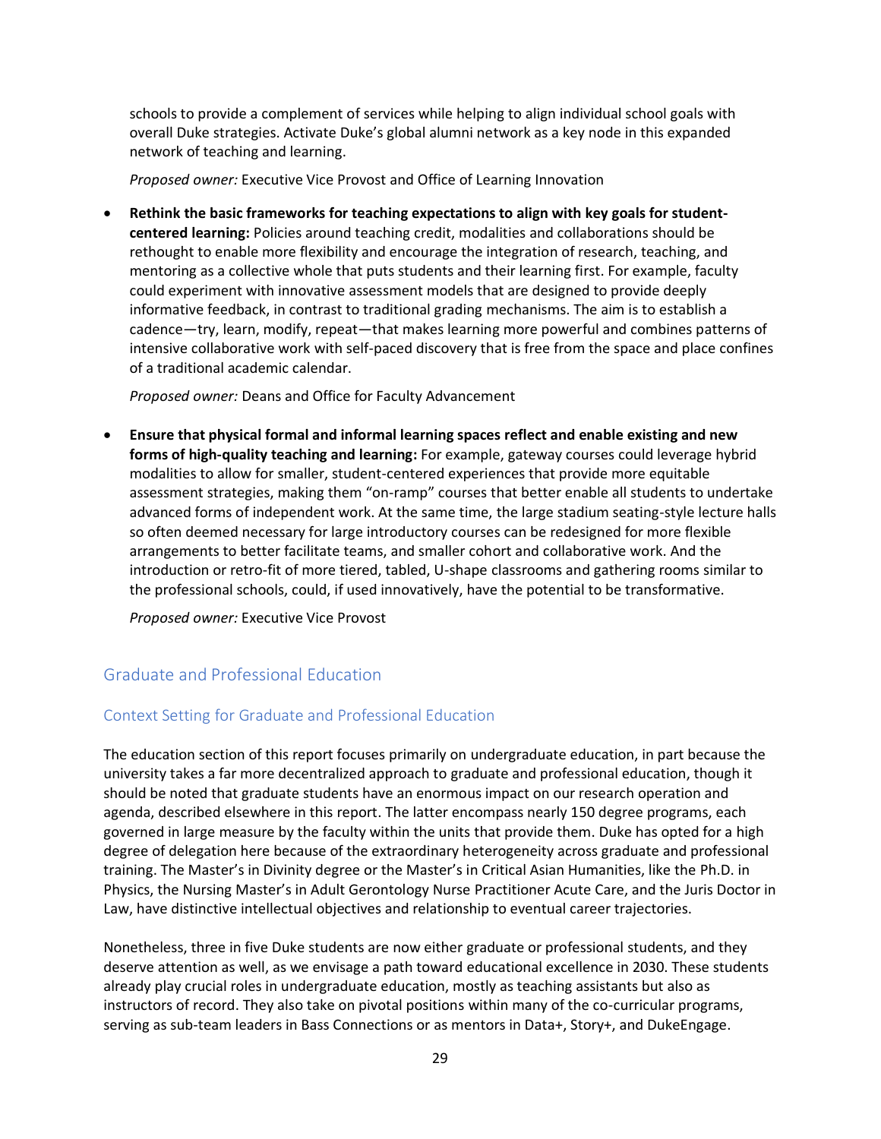schools to provide a complement of services while helping to align individual school goals with overall Duke strategies. Activate Duke's global alumni network as a key node in this expanded network of teaching and learning.

*Proposed owner:* Executive Vice Provost and Office of Learning Innovation

• **Rethink the basic frameworks for teaching expectations to align with key goals for studentcentered learning:** Policies around teaching credit, modalities and collaborations should be rethought to enable more flexibility and encourage the integration of research, teaching, and mentoring as a collective whole that puts students and their learning first. For example, faculty could experiment with innovative assessment models that are designed to provide deeply informative feedback, in contrast to traditional grading mechanisms. The aim is to establish a cadence—try, learn, modify, repeat—that makes learning more powerful and combines patterns of intensive collaborative work with self-paced discovery that is free from the space and place confines of a traditional academic calendar.

*Proposed owner:* Deans and Office for Faculty Advancement

• **Ensure that physical formal and informal learning spaces reflect and enable existing and new forms of high-quality teaching and learning:** For example, gateway courses could leverage hybrid modalities to allow for smaller, student-centered experiences that provide more equitable assessment strategies, making them "on-ramp" courses that better enable all students to undertake advanced forms of independent work. At the same time, the large stadium seating-style lecture halls so often deemed necessary for large introductory courses can be redesigned for more flexible arrangements to better facilitate teams, and smaller cohort and collaborative work. And the introduction or retro-fit of more tiered, tabled, U-shape classrooms and gathering rooms similar to the professional schools, could, if used innovatively, have the potential to be transformative.

*Proposed owner:* Executive Vice Provost

## Graduate and Professional Education

## Context Setting for Graduate and Professional Education

The education section of this report focuses primarily on undergraduate education, in part because the university takes a far more decentralized approach to graduate and professional education, though it should be noted that graduate students have an enormous impact on our research operation and agenda, described elsewhere in this report. The latter encompass nearly 150 degree programs, each governed in large measure by the faculty within the units that provide them. Duke has opted for a high degree of delegation here because of the extraordinary heterogeneity across graduate and professional training. The Master's in Divinity degree or the Master's in Critical Asian Humanities, like the Ph.D. in Physics, the Nursing Master's in Adult Gerontology Nurse Practitioner Acute Care, and the Juris Doctor in Law, have distinctive intellectual objectives and relationship to eventual career trajectories.

Nonetheless, three in five Duke students are now either graduate or professional students, and they deserve attention as well, as we envisage a path toward educational excellence in 2030. These students already play crucial roles in undergraduate education, mostly as teaching assistants but also as instructors of record. They also take on pivotal positions within many of the co-curricular programs, serving as sub-team leaders in Bass Connections or as mentors in Data+, Story+, and DukeEngage.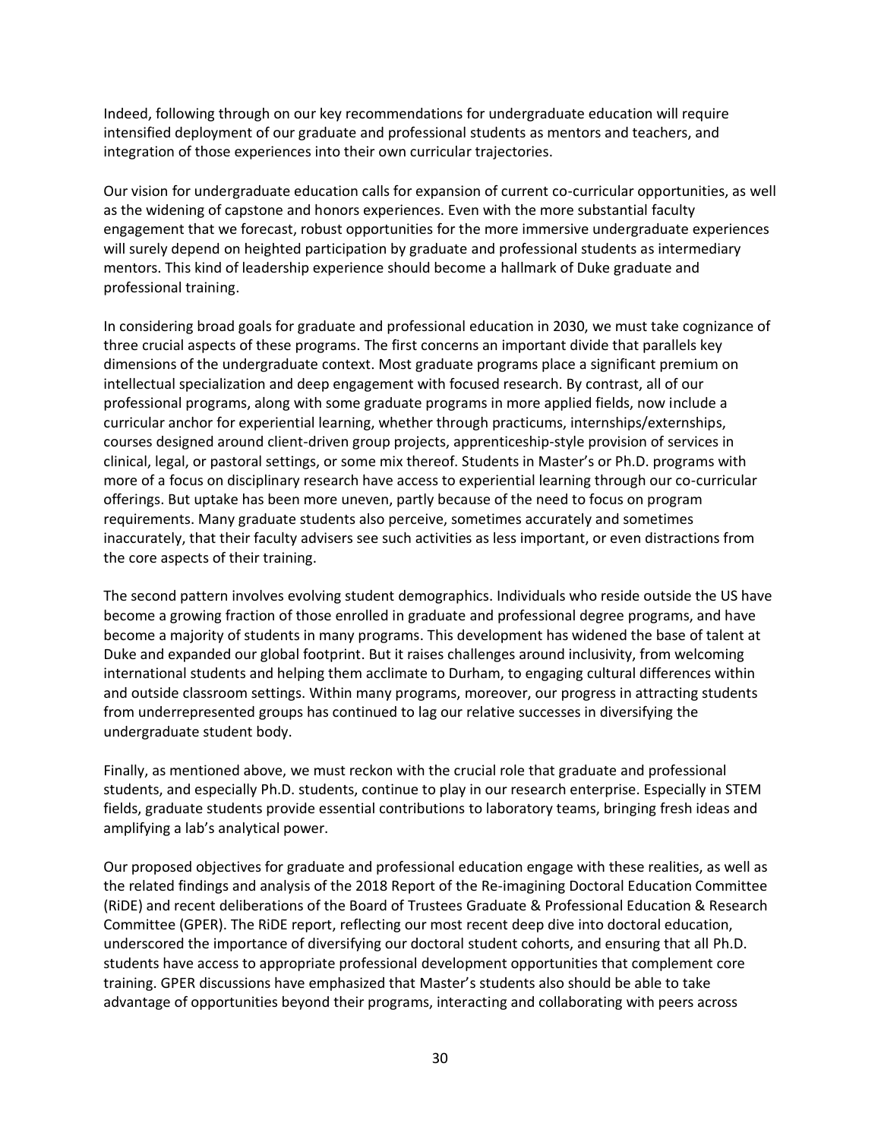Indeed, following through on our key recommendations for undergraduate education will require intensified deployment of our graduate and professional students as mentors and teachers, and integration of those experiences into their own curricular trajectories.

Our vision for undergraduate education calls for expansion of current co-curricular opportunities, as well as the widening of capstone and honors experiences. Even with the more substantial faculty engagement that we forecast, robust opportunities for the more immersive undergraduate experiences will surely depend on heighted participation by graduate and professional students as intermediary mentors. This kind of leadership experience should become a hallmark of Duke graduate and professional training.

In considering broad goals for graduate and professional education in 2030, we must take cognizance of three crucial aspects of these programs. The first concerns an important divide that parallels key dimensions of the undergraduate context. Most graduate programs place a significant premium on intellectual specialization and deep engagement with focused research. By contrast, all of our professional programs, along with some graduate programs in more applied fields, now include a curricular anchor for experiential learning, whether through practicums, internships/externships, courses designed around client-driven group projects, apprenticeship-style provision of services in clinical, legal, or pastoral settings, or some mix thereof. Students in Master's or Ph.D. programs with more of a focus on disciplinary research have access to experiential learning through our co-curricular offerings. But uptake has been more uneven, partly because of the need to focus on program requirements. Many graduate students also perceive, sometimes accurately and sometimes inaccurately, that their faculty advisers see such activities as less important, or even distractions from the core aspects of their training.

The second pattern involves evolving student demographics. Individuals who reside outside the US have become a growing fraction of those enrolled in graduate and professional degree programs, and have become a majority of students in many programs. This development has widened the base of talent at Duke and expanded our global footprint. But it raises challenges around inclusivity, from welcoming international students and helping them acclimate to Durham, to engaging cultural differences within and outside classroom settings. Within many programs, moreover, our progress in attracting students from underrepresented groups has continued to lag our relative successes in diversifying the undergraduate student body.

Finally, as mentioned above, we must reckon with the crucial role that graduate and professional students, and especially Ph.D. students, continue to play in our research enterprise. Especially in STEM fields, graduate students provide essential contributions to laboratory teams, bringing fresh ideas and amplifying a lab's analytical power.

Our proposed objectives for graduate and professional education engage with these realities, as well as the related findings and analysis of the 2018 Report of the Re-imagining Doctoral Education Committee (RiDE) and recent deliberations of the Board of Trustees Graduate & Professional Education & Research Committee (GPER). The RiDE report, reflecting our most recent deep dive into doctoral education, underscored the importance of diversifying our doctoral student cohorts, and ensuring that all Ph.D. students have access to appropriate professional development opportunities that complement core training. GPER discussions have emphasized that Master's students also should be able to take advantage of opportunities beyond their programs, interacting and collaborating with peers across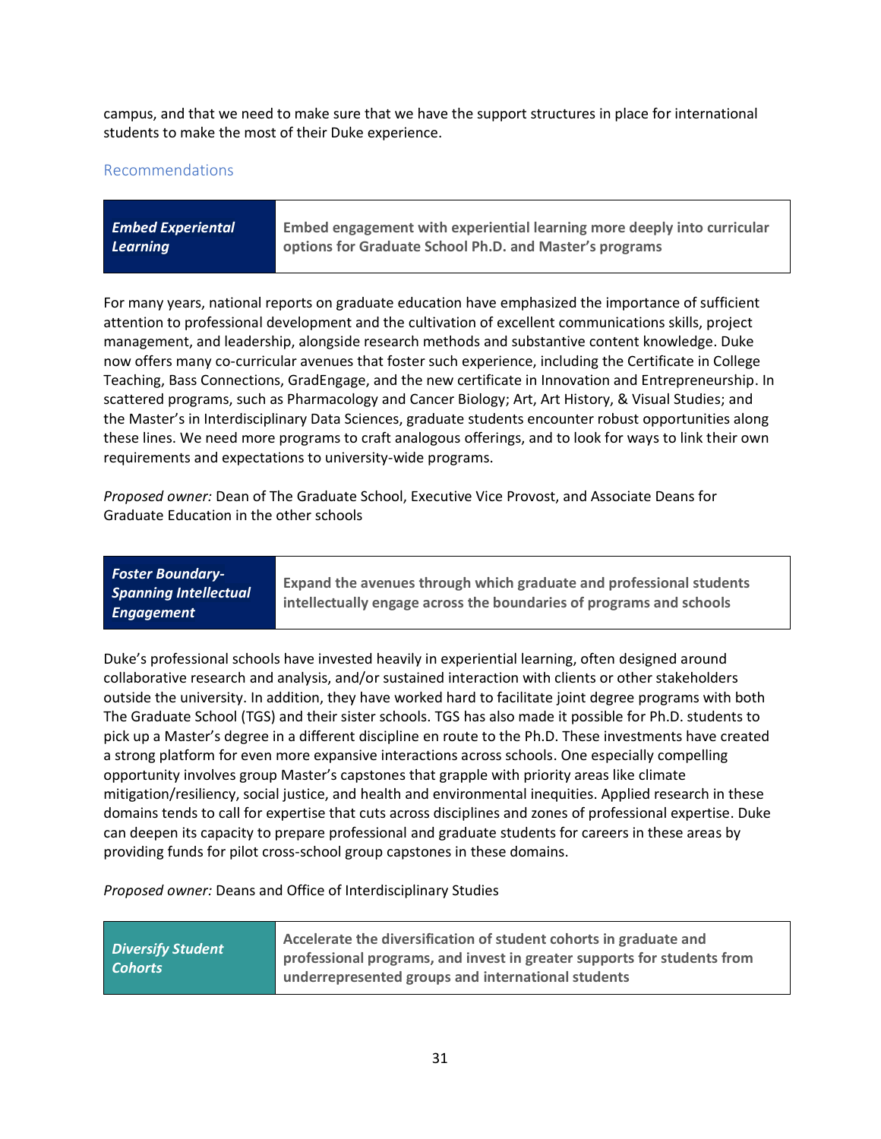campus, and that we need to make sure that we have the support structures in place for international students to make the most of their Duke experience.

#### Recommendations

| <b>Embed Experiental</b> | Embed engagement with experiential learning more deeply into curricular |
|--------------------------|-------------------------------------------------------------------------|
| Learning                 | options for Graduate School Ph.D. and Master's programs                 |
|                          |                                                                         |

For many years, national reports on graduate education have emphasized the importance of sufficient attention to professional development and the cultivation of excellent communications skills, project management, and leadership, alongside research methods and substantive content knowledge. Duke now offers many co-curricular avenues that foster such experience, including the Certificate in College Teaching, Bass Connections, GradEngage, and the new certificate in Innovation and Entrepreneurship. In scattered programs, such as Pharmacology and Cancer Biology; Art, Art History, & Visual Studies; and the Master's in Interdisciplinary Data Sciences, graduate students encounter robust opportunities along these lines. We need more programs to craft analogous offerings, and to look for ways to link their own requirements and expectations to university-wide programs.

*Proposed owner:* Dean of The Graduate School, Executive Vice Provost, and Associate Deans for Graduate Education in the other schools

| <b>Foster Boundary-</b><br><b>Spanning Intellectual</b><br>Engagement | Expand the avenues through which graduate and professional students<br>intellectually engage across the boundaries of programs and schools |
|-----------------------------------------------------------------------|--------------------------------------------------------------------------------------------------------------------------------------------|
|-----------------------------------------------------------------------|--------------------------------------------------------------------------------------------------------------------------------------------|

Duke's professional schools have invested heavily in experiential learning, often designed around collaborative research and analysis, and/or sustained interaction with clients or other stakeholders outside the university. In addition, they have worked hard to facilitate joint degree programs with both The Graduate School (TGS) and their sister schools. TGS has also made it possible for Ph.D. students to pick up a Master's degree in a different discipline en route to the Ph.D. These investments have created a strong platform for even more expansive interactions across schools. One especially compelling opportunity involves group Master's capstones that grapple with priority areas like climate mitigation/resiliency, social justice, and health and environmental inequities. Applied research in these domains tends to call for expertise that cuts across disciplines and zones of professional expertise. Duke can deepen its capacity to prepare professional and graduate students for careers in these areas by providing funds for pilot cross-school group capstones in these domains.

*Proposed owner:* Deans and Office of Interdisciplinary Studies

| Accelerate the diversification of student cohorts in graduate and<br><b>Diversify Student</b><br>professional programs, and invest in greater supports for students from<br><b>Cohorts</b><br>underrepresented groups and international students |  |
|--------------------------------------------------------------------------------------------------------------------------------------------------------------------------------------------------------------------------------------------------|--|
|--------------------------------------------------------------------------------------------------------------------------------------------------------------------------------------------------------------------------------------------------|--|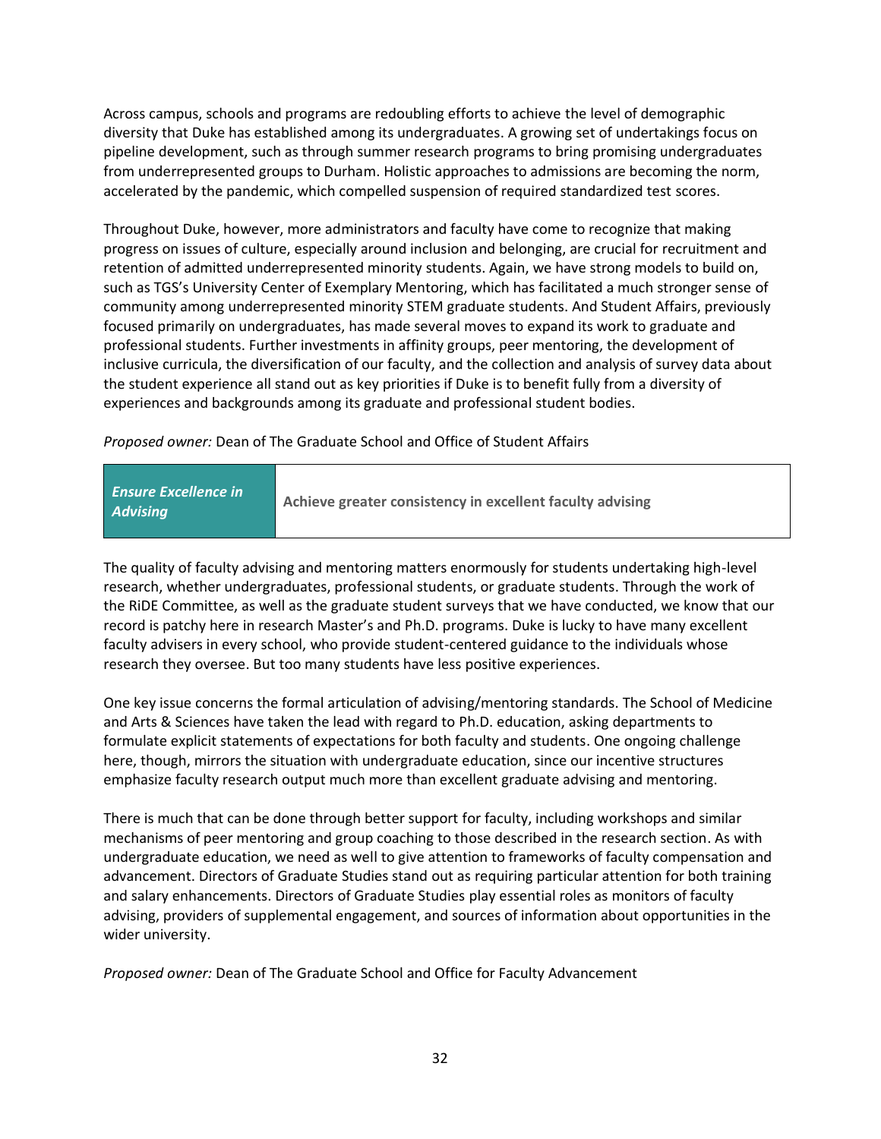Across campus, schools and programs are redoubling efforts to achieve the level of demographic diversity that Duke has established among its undergraduates. A growing set of undertakings focus on pipeline development, such as through summer research programs to bring promising undergraduates from underrepresented groups to Durham. Holistic approaches to admissions are becoming the norm, accelerated by the pandemic, which compelled suspension of required standardized test scores.

Throughout Duke, however, more administrators and faculty have come to recognize that making progress on issues of culture, especially around inclusion and belonging, are crucial for recruitment and retention of admitted underrepresented minority students. Again, we have strong models to build on, such as TGS's University Center of Exemplary Mentoring, which has facilitated a much stronger sense of community among underrepresented minority STEM graduate students. And Student Affairs, previously focused primarily on undergraduates, has made several moves to expand its work to graduate and professional students. Further investments in affinity groups, peer mentoring, the development of inclusive curricula, the diversification of our faculty, and the collection and analysis of survey data about the student experience all stand out as key priorities if Duke is to benefit fully from a diversity of experiences and backgrounds among its graduate and professional student bodies.

*Proposed owner:* Dean of The Graduate School and Office of Student Affairs

| <b>Ensure Excellence in</b><br><b>Advising</b> | Achieve greater consistency in excellent faculty advising |
|------------------------------------------------|-----------------------------------------------------------|
|------------------------------------------------|-----------------------------------------------------------|

The quality of faculty advising and mentoring matters enormously for students undertaking high-level research, whether undergraduates, professional students, or graduate students. Through the work of the RiDE Committee, as well as the graduate student surveys that we have conducted, we know that our record is patchy here in research Master's and Ph.D. programs. Duke is lucky to have many excellent faculty advisers in every school, who provide student-centered guidance to the individuals whose research they oversee. But too many students have less positive experiences.

One key issue concerns the formal articulation of advising/mentoring standards. The School of Medicine and Arts & Sciences have taken the lead with regard to Ph.D. education, asking departments to formulate explicit statements of expectations for both faculty and students. One ongoing challenge here, though, mirrors the situation with undergraduate education, since our incentive structures emphasize faculty research output much more than excellent graduate advising and mentoring.

There is much that can be done through better support for faculty, including workshops and similar mechanisms of peer mentoring and group coaching to those described in the research section. As with undergraduate education, we need as well to give attention to frameworks of faculty compensation and advancement. Directors of Graduate Studies stand out as requiring particular attention for both training and salary enhancements. Directors of Graduate Studies play essential roles as monitors of faculty advising, providers of supplemental engagement, and sources of information about opportunities in the wider university.

*Proposed owner:* Dean of The Graduate School and Office for Faculty Advancement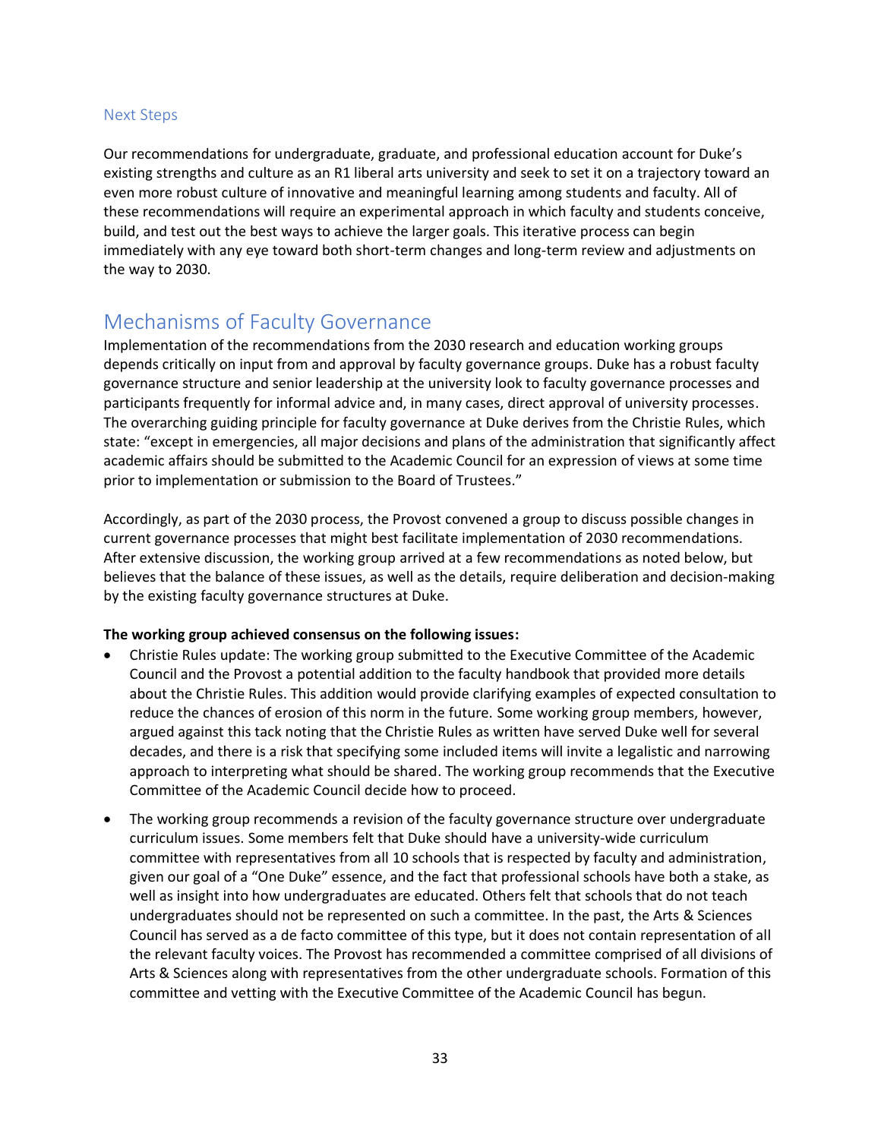#### Next Steps

Our recommendations for undergraduate, graduate, and professional education account for Duke's existing strengths and culture as an R1 liberal arts university and seek to set it on a trajectory toward an even more robust culture of innovative and meaningful learning among students and faculty. All of these recommendations will require an experimental approach in which faculty and students conceive, build, and test out the best ways to achieve the larger goals. This iterative process can begin immediately with any eye toward both short-term changes and long-term review and adjustments on the way to 2030.

## <span id="page-32-0"></span>Mechanisms of Faculty Governance

Implementation of the recommendations from the 2030 research and education working groups depends critically on input from and approval by faculty governance groups. Duke has a robust faculty governance structure and senior leadership at the university look to faculty governance processes and participants frequently for informal advice and, in many cases, direct approval of university processes. The overarching guiding principle for faculty governance at Duke derives from the Christie Rules, which state: "except in emergencies, all major decisions and plans of the administration that significantly affect academic affairs should be submitted to the Academic Council for an expression of views at some time prior to implementation or submission to the Board of Trustees."

Accordingly, as part of the 2030 process, the Provost convened a group to discuss possible changes in current governance processes that might best facilitate implementation of 2030 recommendations. After extensive discussion, the working group arrived at a few recommendations as noted below, but believes that the balance of these issues, as well as the details, require deliberation and decision-making by the existing faculty governance structures at Duke.

#### **The working group achieved consensus on the following issues:**

- Christie Rules update: The working group submitted to the Executive Committee of the Academic Council and the Provost a potential addition to the faculty handbook that provided more details about the Christie Rules. This addition would provide clarifying examples of expected consultation to reduce the chances of erosion of this norm in the future. Some working group members, however, argued against this tack noting that the Christie Rules as written have served Duke well for several decades, and there is a risk that specifying some included items will invite a legalistic and narrowing approach to interpreting what should be shared. The working group recommends that the Executive Committee of the Academic Council decide how to proceed.
- The working group recommends a revision of the faculty governance structure over undergraduate curriculum issues. Some members felt that Duke should have a university-wide curriculum committee with representatives from all 10 schools that is respected by faculty and administration, given our goal of a "One Duke" essence, and the fact that professional schools have both a stake, as well as insight into how undergraduates are educated. Others felt that schools that do not teach undergraduates should not be represented on such a committee. In the past, the Arts & Sciences Council has served as a de facto committee of this type, but it does not contain representation of all the relevant faculty voices. The Provost has recommended a committee comprised of all divisions of Arts & Sciences along with representatives from the other undergraduate schools. Formation of this committee and vetting with the Executive Committee of the Academic Council has begun.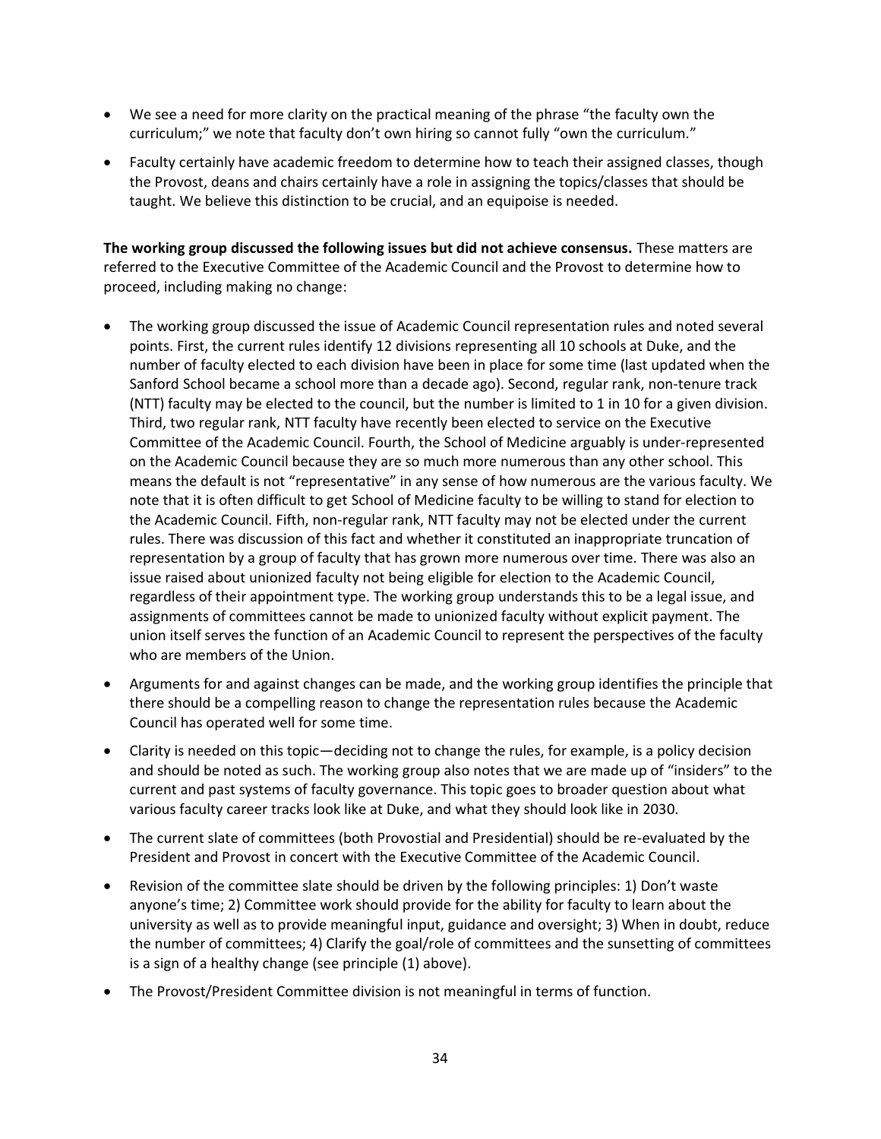- We see a need for more clarity on the practical meaning of the phrase "the faculty own the curriculum;" we note that faculty don't own hiring so cannot fully "own the curriculum."
- Faculty certainly have academic freedom to determine how to teach their assigned classes, though the Provost, deans and chairs certainly have a role in assigning the topics/classes that should be taught. We believe this distinction to be crucial, and an equipoise is needed.

**The working group discussed the following issues but did not achieve consensus.** These matters are referred to the Executive Committee of the Academic Council and the Provost to determine how to proceed, including making no change:

- The working group discussed the issue of Academic Council representation rules and noted several points. First, the current rules identify 12 divisions representing all 10 schools at Duke, and the number of faculty elected to each division have been in place for some time (last updated when the Sanford School became a school more than a decade ago). Second, regular rank, non-tenure track (NTT) faculty may be elected to the council, but the number is limited to 1 in 10 for a given division. Third, two regular rank, NTT faculty have recently been elected to service on the Executive Committee of the Academic Council. Fourth, the School of Medicine arguably is under-represented on the Academic Council because they are so much more numerous than any other school. This means the default is not "representative" in any sense of how numerous are the various faculty. We note that it is often difficult to get School of Medicine faculty to be willing to stand for election to the Academic Council. Fifth, non-regular rank, NTT faculty may not be elected under the current rules. There was discussion of this fact and whether it constituted an inappropriate truncation of representation by a group of faculty that has grown more numerous over time. There was also an issue raised about unionized faculty not being eligible for election to the Academic Council, regardless of their appointment type. The working group understands this to be a legal issue, and assignments of committees cannot be made to unionized faculty without explicit payment. The union itself serves the function of an Academic Council to represent the perspectives of the faculty who are members of the Union.
- Arguments for and against changes can be made, and the working group identifies the principle that there should be a compelling reason to change the representation rules because the Academic Council has operated well for some time.
- Clarity is needed on this topic—deciding not to change the rules, for example, is a policy decision and should be noted as such. The working group also notes that we are made up of "insiders" to the current and past systems of faculty governance. This topic goes to broader question about what various faculty career tracks look like at Duke, and what they should look like in 2030.
- The current slate of committees (both Provostial and Presidential) should be re-evaluated by the President and Provost in concert with the Executive Committee of the Academic Council.
- Revision of the committee slate should be driven by the following principles: 1) Don't waste anyone's time; 2) Committee work should provide for the ability for faculty to learn about the university as well as to provide meaningful input, guidance and oversight; 3) When in doubt, reduce the number of committees; 4) Clarify the goal/role of committees and the sunsetting of committees is a sign of a healthy change (see principle (1) above).
- The Provost/President Committee division is not meaningful in terms of function.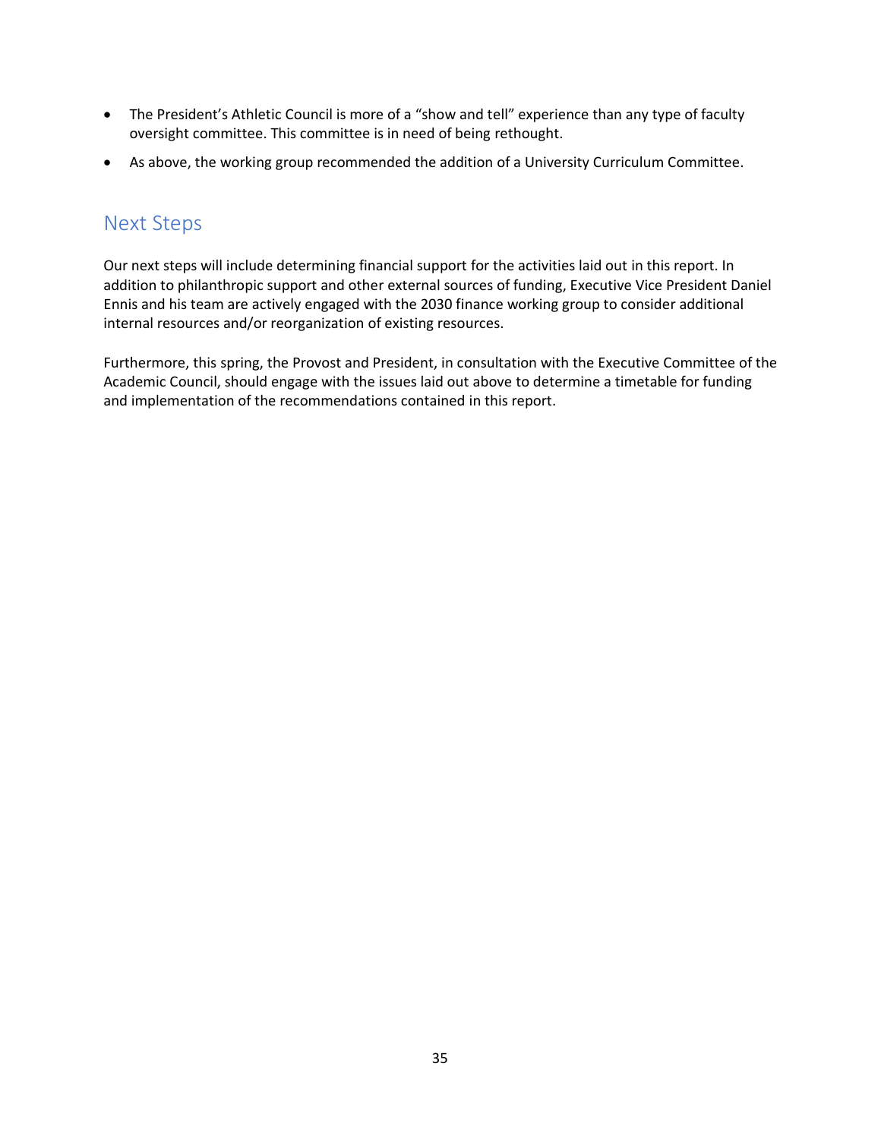- The President's Athletic Council is more of a "show and tell" experience than any type of faculty oversight committee. This committee is in need of being rethought.
- As above, the working group recommended the addition of a University Curriculum Committee.

## <span id="page-34-0"></span>Next Steps

Our next steps will include determining financial support for the activities laid out in this report. In addition to philanthropic support and other external sources of funding, Executive Vice President Daniel Ennis and his team are actively engaged with the 2030 finance working group to consider additional internal resources and/or reorganization of existing resources.

Furthermore, this spring, the Provost and President, in consultation with the Executive Committee of the Academic Council, should engage with the issues laid out above to determine a timetable for funding and implementation of the recommendations contained in this report.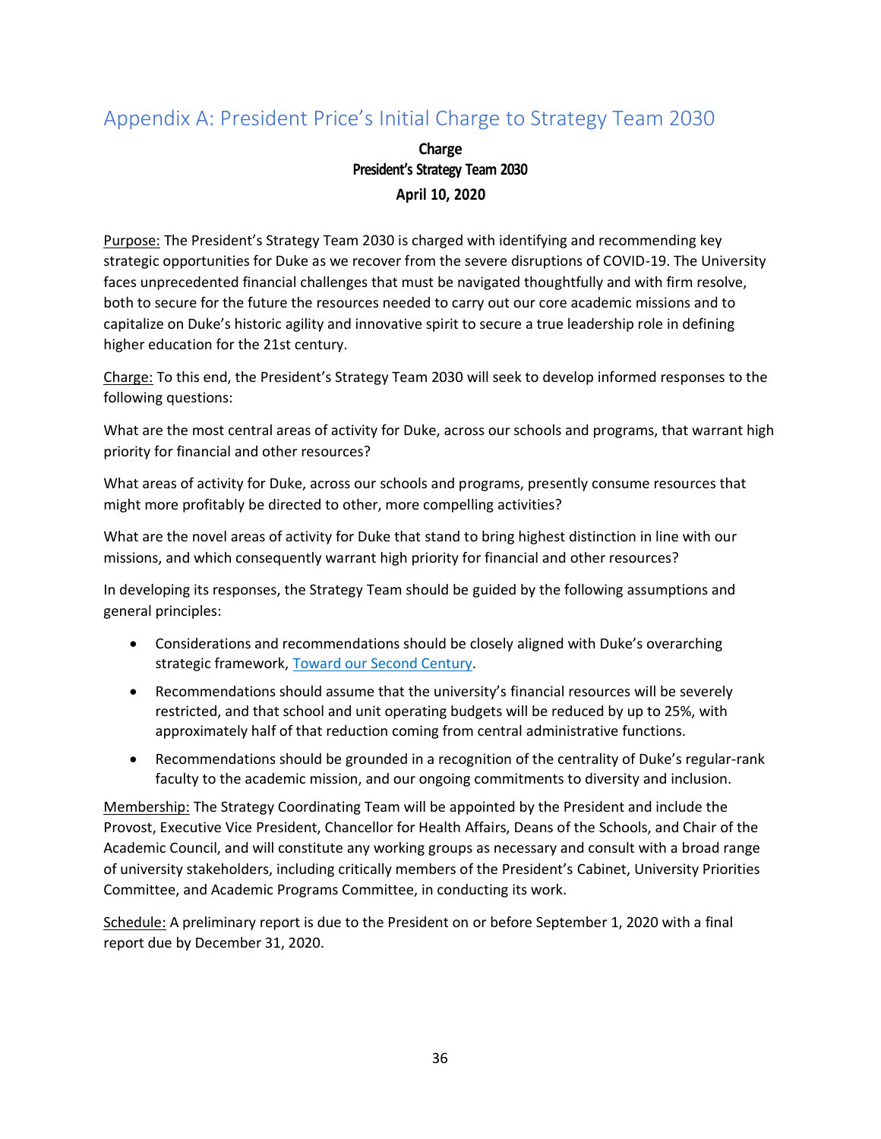## <span id="page-35-0"></span>Appendix A: President Price's Initial Charge to Strategy Team 2030

**Charge President's Strategy Team 2030 April 10, 2020**

Purpose: The President's Strategy Team 2030 is charged with identifying and recommending key strategic opportunities for Duke as we recover from the severe disruptions of COVID-19. The University faces unprecedented financial challenges that must be navigated thoughtfully and with firm resolve, both to secure for the future the resources needed to carry out our core academic missions and to capitalize on Duke's historic agility and innovative spirit to secure a true leadership role in defining higher education for the 21st century.

Charge: To this end, the President's Strategy Team 2030 will seek to develop informed responses to the following questions:

What are the most central areas of activity for Duke, across our schools and programs, that warrant high priority for financial and other resources?

What areas of activity for Duke, across our schools and programs, presently consume resources that might more profitably be directed to other, more compelling activities?

What are the novel areas of activity for Duke that stand to bring highest distinction in line with our missions, and which consequently warrant high priority for financial and other resources?

In developing its responses, the Strategy Team should be guided by the following assumptions and general principles:

- Considerations and recommendations should be closely aligned with Duke's overarching strategic framework, [Toward our Second Century.](https://president.duke.edu/strategic-framework/)
- Recommendations should assume that the university's financial resources will be severely restricted, and that school and unit operating budgets will be reduced by up to 25%, with approximately half of that reduction coming from central administrative functions.
- Recommendations should be grounded in a recognition of the centrality of Duke's regular-rank faculty to the academic mission, and our ongoing commitments to diversity and inclusion.

Membership: The Strategy Coordinating Team will be appointed by the President and include the Provost, Executive Vice President, Chancellor for Health Affairs, Deans of the Schools, and Chair of the Academic Council, and will constitute any working groups as necessary and consult with a broad range of university stakeholders, including critically members of the President's Cabinet, University Priorities Committee, and Academic Programs Committee, in conducting its work.

Schedule: A preliminary report is due to the President on or before September 1, 2020 with a final report due by December 31, 2020.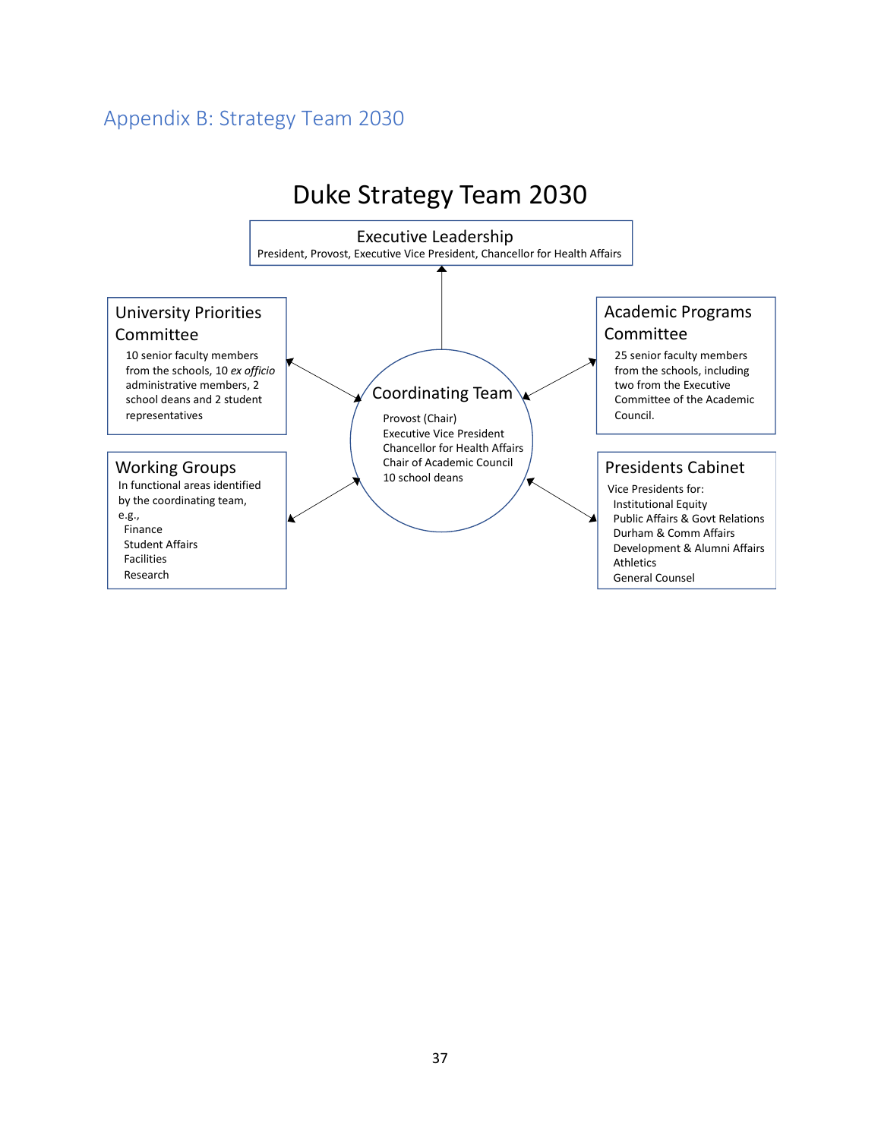## <span id="page-36-0"></span>Appendix B: Strategy Team 2030

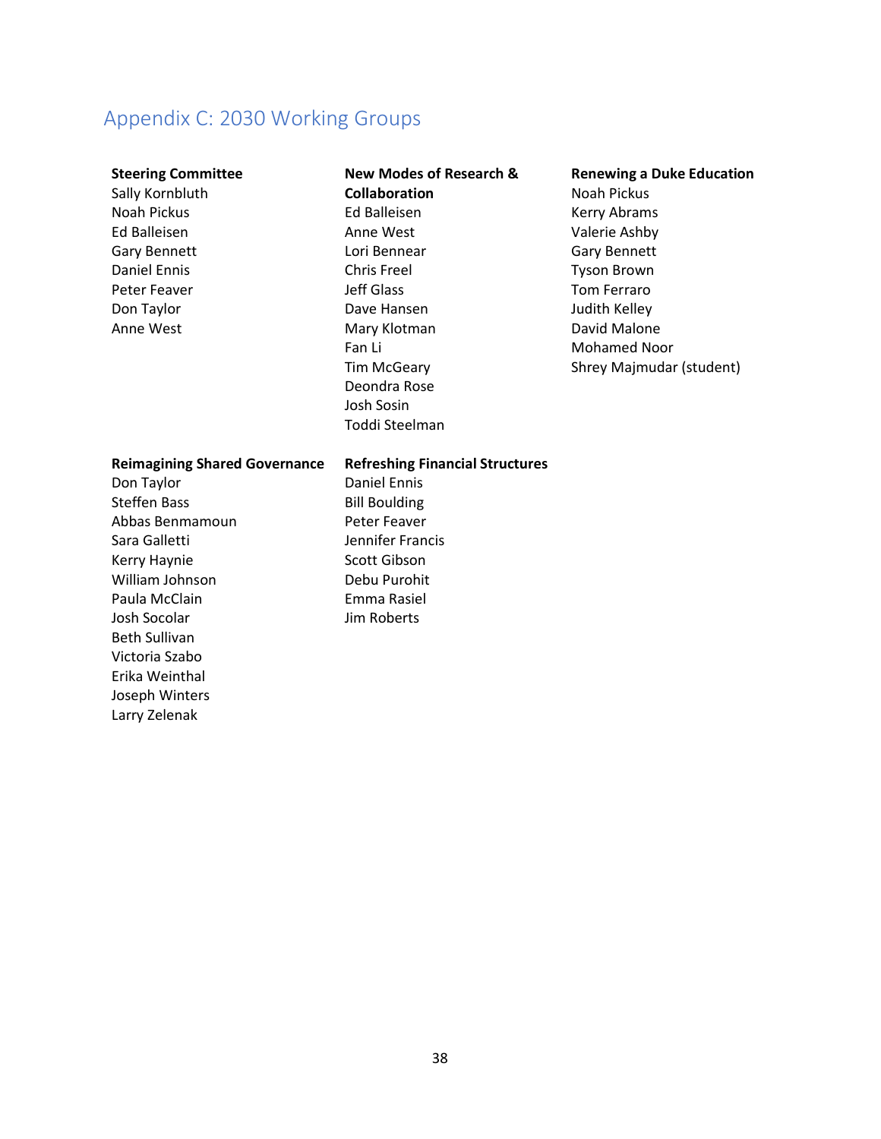## <span id="page-37-0"></span>Appendix C: 2030 Working Groups

#### **Steering Committee**

Sally Kornbluth Noah Pickus Ed Balleisen Gary Bennett Daniel Ennis Peter Feaver Don Taylor Anne West

### **New Modes of Research & Collaboration** Ed Balleisen Anne West Lori Bennear Chris Freel Jeff Glass Dave Hansen Mary Klotman Fan Li Tim McGeary Deondra Rose Josh Sosin Toddi Steelman

#### **Renewing a Duke Education**

Noah Pickus Kerry Abrams Valerie Ashby Gary Bennett Tyson Brown Tom Ferraro Judith Kelley David Malone Mohamed Noor Shrey Majmudar (student)

| <b>Reimagining Shared Governance</b> | <b>Refreshing Financial Structures</b> |
|--------------------------------------|----------------------------------------|
| Don Taylor                           | Daniel Ennis                           |
| <b>Steffen Bass</b>                  | <b>Bill Boulding</b>                   |
| Abbas Benmamoun                      | Peter Feaver                           |
| Sara Galletti                        | Jennifer Francis                       |
| Kerry Haynie                         | Scott Gibson                           |
| William Johnson                      | Debu Purohit                           |
| Paula McClain                        | Emma Rasiel                            |
| Josh Socolar                         | Jim Roberts                            |
| <b>Beth Sullivan</b>                 |                                        |
| Victoria Szabo                       |                                        |
| Erika Weinthal                       |                                        |
| Joseph Winters                       |                                        |
| Larry Zelenak                        |                                        |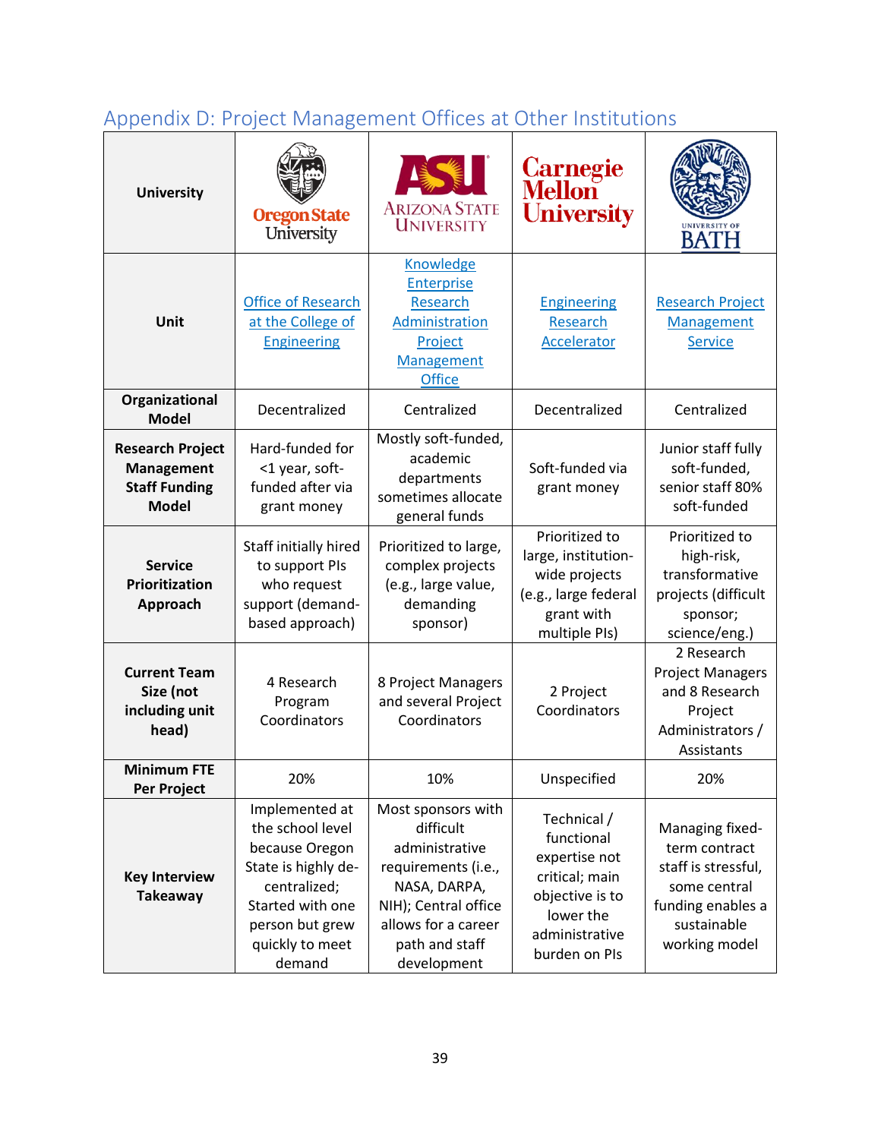# <span id="page-38-0"></span>Appendix D: Project Management Offices at Other Institutions

| <b>University</b>                                                             | <b>Oregon State</b><br>University                                                                                                                               | <b>ARIZONA STATE</b><br><b>UNIVERSITY</b>                                                                                                                                | Carnegie<br>Mellon<br><b>University</b>                                                                                         | <b>BATH</b>                                                                                                                  |
|-------------------------------------------------------------------------------|-----------------------------------------------------------------------------------------------------------------------------------------------------------------|--------------------------------------------------------------------------------------------------------------------------------------------------------------------------|---------------------------------------------------------------------------------------------------------------------------------|------------------------------------------------------------------------------------------------------------------------------|
| Unit                                                                          | <b>Office of Research</b><br>at the College of<br><b>Engineering</b>                                                                                            | Knowledge<br><b>Enterprise</b><br>Research<br>Administration<br>Project<br>Management<br><b>Office</b>                                                                   | <b>Engineering</b><br>Research<br>Accelerator                                                                                   | <b>Research Project</b><br><b>Management</b><br><b>Service</b>                                                               |
| Organizational<br><b>Model</b>                                                | Decentralized                                                                                                                                                   | Centralized                                                                                                                                                              | Decentralized                                                                                                                   | Centralized                                                                                                                  |
| <b>Research Project</b><br>Management<br><b>Staff Funding</b><br><b>Model</b> | Hard-funded for<br><1 year, soft-<br>funded after via<br>grant money                                                                                            | Mostly soft-funded,<br>academic<br>departments<br>sometimes allocate<br>general funds                                                                                    | Soft-funded via<br>grant money                                                                                                  | Junior staff fully<br>soft-funded,<br>senior staff 80%<br>soft-funded                                                        |
| <b>Service</b><br>Prioritization<br>Approach                                  | Staff initially hired<br>to support PIs<br>who request<br>support (demand-<br>based approach)                                                                   | Prioritized to large,<br>complex projects<br>(e.g., large value,<br>demanding<br>sponsor)                                                                                | Prioritized to<br>large, institution-<br>wide projects<br>(e.g., large federal<br>grant with<br>multiple PIs)                   | Prioritized to<br>high-risk,<br>transformative<br>projects (difficult<br>sponsor;<br>science/eng.)                           |
| <b>Current Team</b><br>Size (not<br>including unit<br>head)                   | 4 Research<br>Program<br>Coordinators                                                                                                                           | 8 Project Managers<br>and several Project<br>Coordinators                                                                                                                | 2 Project<br>Coordinators                                                                                                       | 2 Research<br><b>Project Managers</b><br>and 8 Research<br>Project<br>Administrators /<br>Assistants                         |
| <b>Minimum FTE</b><br>Per Project                                             | 20%                                                                                                                                                             | 10%                                                                                                                                                                      | Unspecified                                                                                                                     | 20%                                                                                                                          |
| <b>Key Interview</b><br><b>Takeaway</b>                                       | Implemented at<br>the school level<br>because Oregon<br>State is highly de-<br>centralized;<br>Started with one<br>person but grew<br>quickly to meet<br>demand | Most sponsors with<br>difficult<br>administrative<br>requirements (i.e.,<br>NASA, DARPA,<br>NIH); Central office<br>allows for a career<br>path and staff<br>development | Technical /<br>functional<br>expertise not<br>critical; main<br>objective is to<br>lower the<br>administrative<br>burden on PIs | Managing fixed-<br>term contract<br>staff is stressful,<br>some central<br>funding enables a<br>sustainable<br>working model |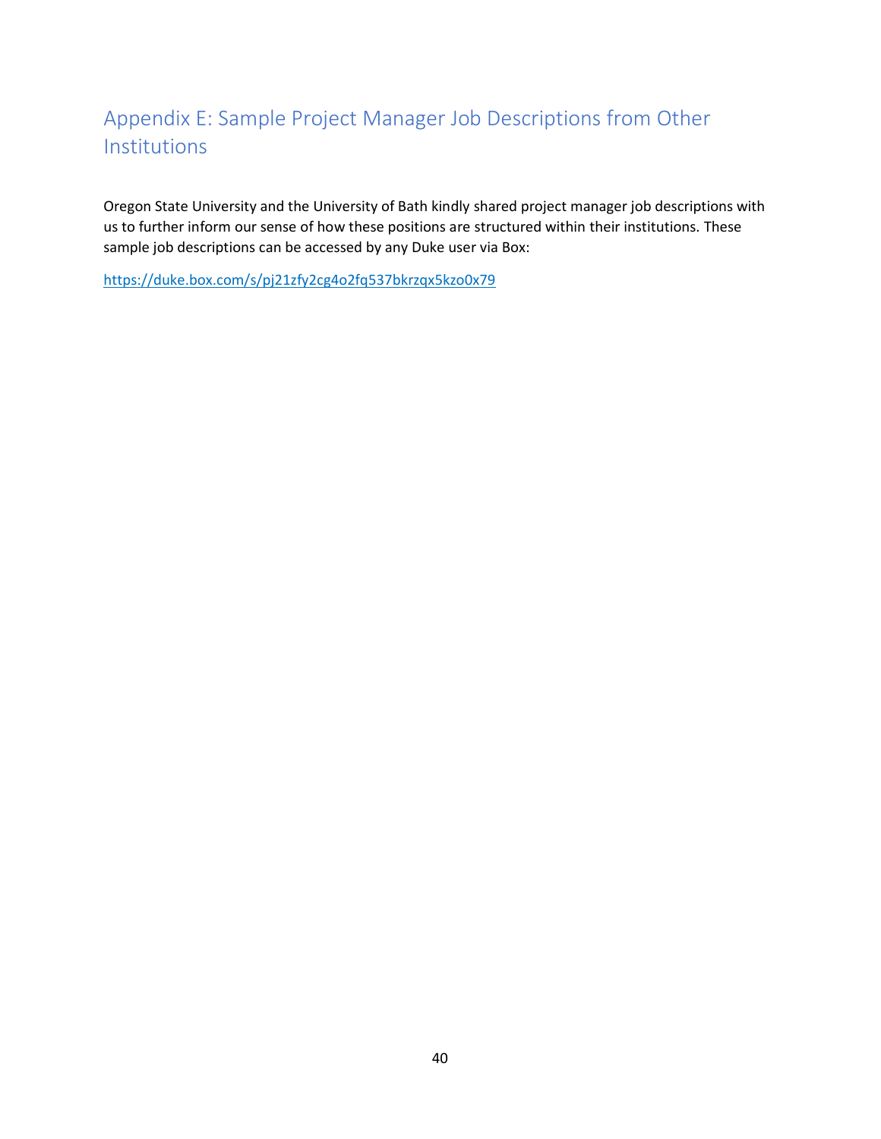## <span id="page-39-0"></span>Appendix E: Sample Project Manager Job Descriptions from Other Institutions

Oregon State University and the University of Bath kindly shared project manager job descriptions with us to further inform our sense of how these positions are structured within their institutions. These sample job descriptions can be accessed by any Duke user via Box:

<https://duke.box.com/s/pj21zfy2cg4o2fq537bkrzqx5kzo0x79>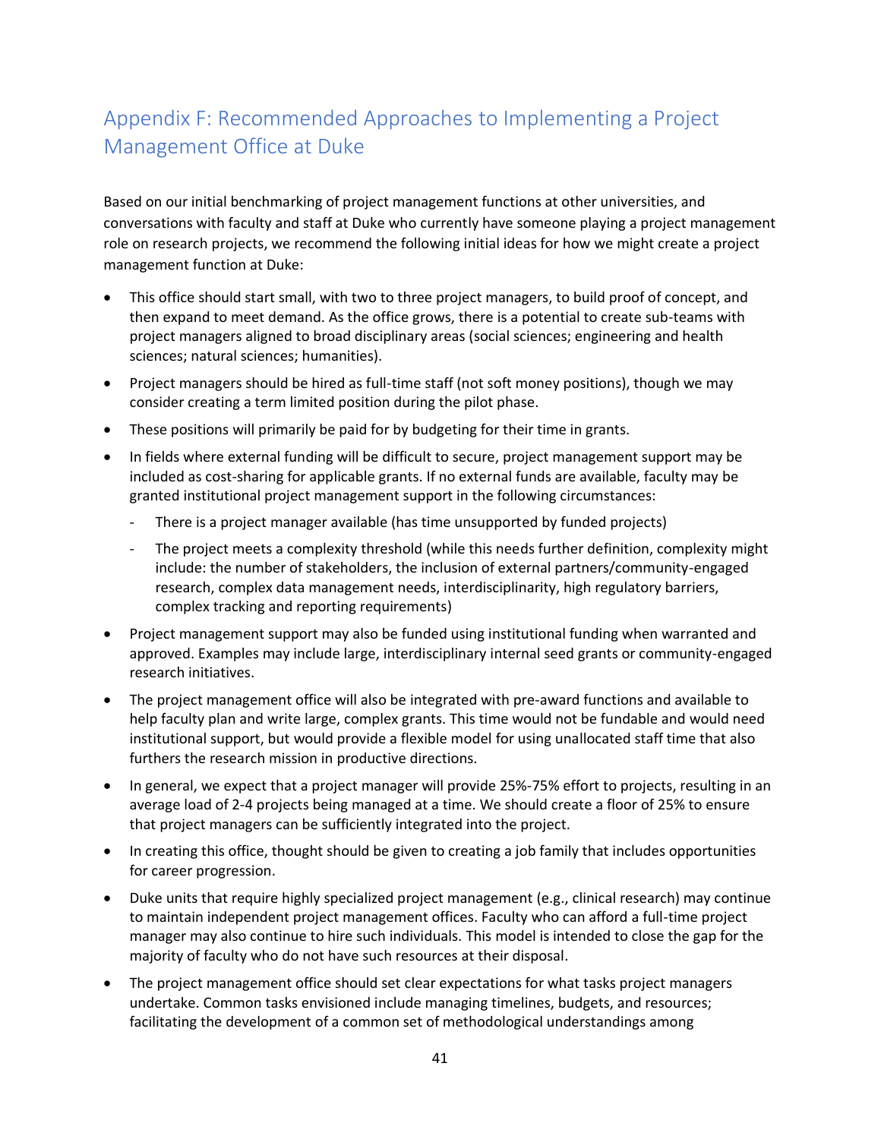## <span id="page-40-0"></span>Appendix F: Recommended Approaches to Implementing a Project Management Office at Duke

Based on our initial benchmarking of project management functions at other universities, and conversations with faculty and staff at Duke who currently have someone playing a project management role on research projects, we recommend the following initial ideas for how we might create a project management function at Duke:

- This office should start small, with two to three project managers, to build proof of concept, and then expand to meet demand. As the office grows, there is a potential to create sub-teams with project managers aligned to broad disciplinary areas (social sciences; engineering and health sciences; natural sciences; humanities).
- Project managers should be hired as full-time staff (not soft money positions), though we may consider creating a term limited position during the pilot phase.
- These positions will primarily be paid for by budgeting for their time in grants.
- In fields where external funding will be difficult to secure, project management support may be included as cost-sharing for applicable grants. If no external funds are available, faculty may be granted institutional project management support in the following circumstances:
	- There is a project manager available (has time unsupported by funded projects)
	- The project meets a complexity threshold (while this needs further definition, complexity might include: the number of stakeholders, the inclusion of external partners/community-engaged research, complex data management needs, interdisciplinarity, high regulatory barriers, complex tracking and reporting requirements)
- Project management support may also be funded using institutional funding when warranted and approved. Examples may include large, interdisciplinary internal seed grants or community-engaged research initiatives.
- The project management office will also be integrated with pre-award functions and available to help faculty plan and write large, complex grants. This time would not be fundable and would need institutional support, but would provide a flexible model for using unallocated staff time that also furthers the research mission in productive directions.
- In general, we expect that a project manager will provide 25%-75% effort to projects, resulting in an average load of 2-4 projects being managed at a time. We should create a floor of 25% to ensure that project managers can be sufficiently integrated into the project.
- In creating this office, thought should be given to creating a job family that includes opportunities for career progression.
- Duke units that require highly specialized project management (e.g., clinical research) may continue to maintain independent project management offices. Faculty who can afford a full-time project manager may also continue to hire such individuals. This model is intended to close the gap for the majority of faculty who do not have such resources at their disposal.
- The project management office should set clear expectations for what tasks project managers undertake. Common tasks envisioned include managing timelines, budgets, and resources; facilitating the development of a common set of methodological understandings among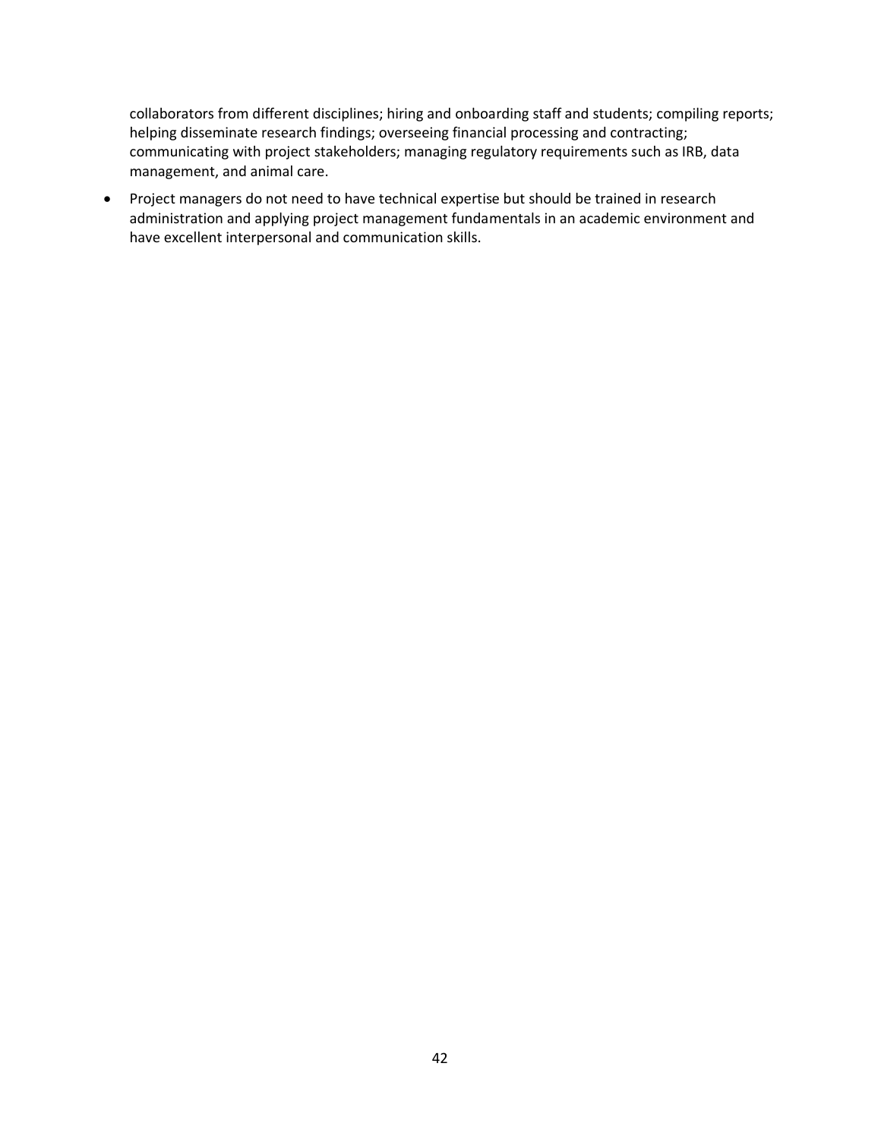collaborators from different disciplines; hiring and onboarding staff and students; compiling reports; helping disseminate research findings; overseeing financial processing and contracting; communicating with project stakeholders; managing regulatory requirements such as IRB, data management, and animal care.

• Project managers do not need to have technical expertise but should be trained in research administration and applying project management fundamentals in an academic environment and have excellent interpersonal and communication skills.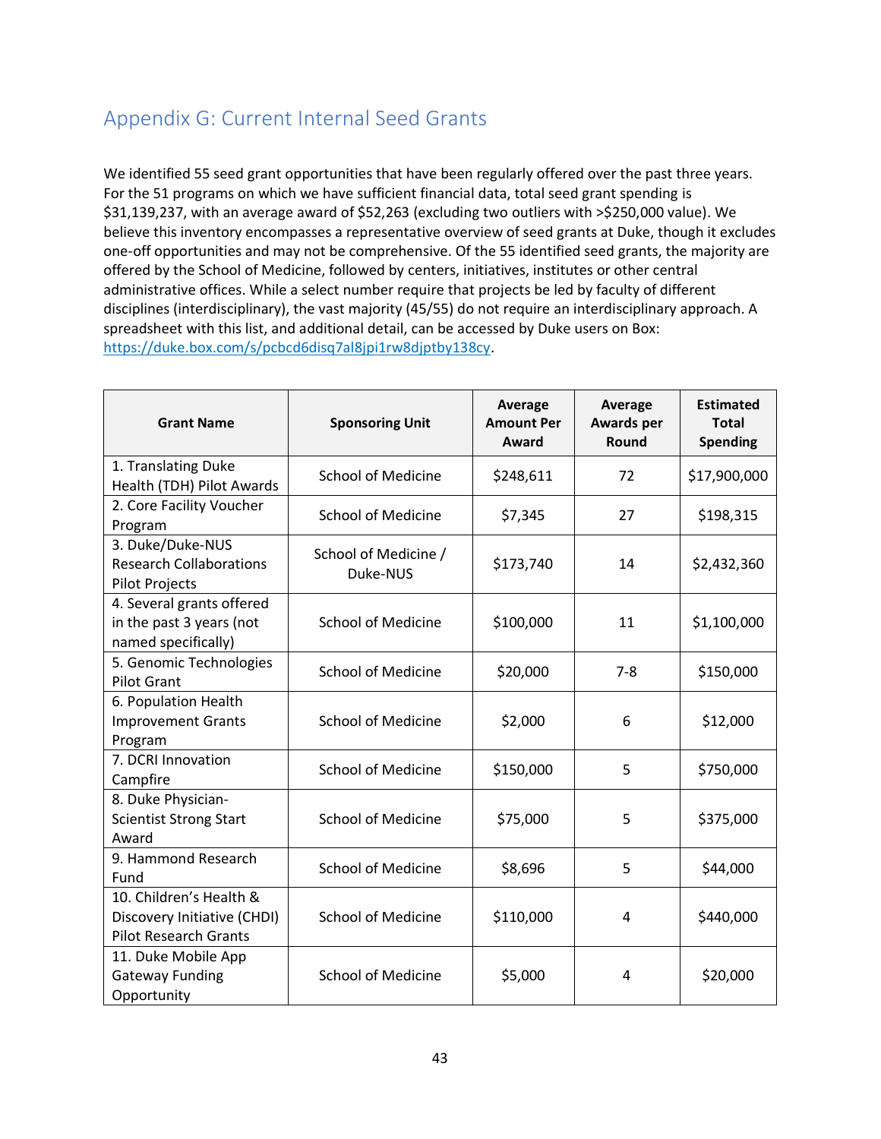## <span id="page-42-0"></span>Appendix G: Current Internal Seed Grants

We identified 55 seed grant opportunities that have been regularly offered over the past three years. For the 51 programs on which we have sufficient financial data, total seed grant spending is \$31,139,237, with an average award of \$52,263 (excluding two outliers with >\$250,000 value). We believe this inventory encompasses a representative overview of seed grants at Duke, though it excludes one-off opportunities and may not be comprehensive. Of the 55 identified seed grants, the majority are offered by the School of Medicine, followed by centers, initiatives, institutes or other central administrative offices. While a select number require that projects be led by faculty of different disciplines (interdisciplinary), the vast majority (45/55) do not require an interdisciplinary approach. A spreadsheet with this list, and additional detail, can be accessed by Duke users on Box: [https://duke.box.com/s/pcbcd6disq7al8jpi1rw8djptby138cy.](https://duke.box.com/s/pcbcd6disq7al8jpi1rw8djptby138cy)

| <b>Grant Name</b>                                                                      | <b>Sponsoring Unit</b>           | <b>Average</b><br><b>Amount Per</b><br>Award | <b>Average</b><br><b>Awards per</b><br>Round | <b>Estimated</b><br><b>Total</b><br><b>Spending</b> |
|----------------------------------------------------------------------------------------|----------------------------------|----------------------------------------------|----------------------------------------------|-----------------------------------------------------|
| 1. Translating Duke<br>Health (TDH) Pilot Awards                                       | <b>School of Medicine</b>        | \$248,611                                    | 72                                           | \$17,900,000                                        |
| 2. Core Facility Voucher<br>Program                                                    | <b>School of Medicine</b>        | \$7,345                                      | 27                                           | \$198,315                                           |
| 3. Duke/Duke-NUS<br><b>Research Collaborations</b><br><b>Pilot Projects</b>            | School of Medicine /<br>Duke-NUS | \$173,740                                    | 14                                           | \$2,432,360                                         |
| 4. Several grants offered<br>in the past 3 years (not<br>named specifically)           | <b>School of Medicine</b>        | \$100,000                                    | 11                                           | \$1,100,000                                         |
| 5. Genomic Technologies<br><b>Pilot Grant</b>                                          | <b>School of Medicine</b>        | \$20,000                                     | $7 - 8$                                      | \$150,000                                           |
| 6. Population Health<br><b>Improvement Grants</b><br>Program                           | <b>School of Medicine</b>        | \$2,000                                      | 6                                            | \$12,000                                            |
| 7. DCRI Innovation<br>Campfire                                                         | <b>School of Medicine</b>        | \$150,000                                    | 5                                            | \$750,000                                           |
| 8. Duke Physician-<br><b>Scientist Strong Start</b><br>Award                           | <b>School of Medicine</b>        | \$75,000                                     | 5                                            | \$375,000                                           |
| 9. Hammond Research<br>Fund                                                            | <b>School of Medicine</b>        | \$8,696                                      | 5                                            | \$44,000                                            |
| 10. Children's Health &<br>Discovery Initiative (CHDI)<br><b>Pilot Research Grants</b> | <b>School of Medicine</b>        | \$110,000                                    | 4                                            | \$440,000                                           |
| 11. Duke Mobile App<br><b>Gateway Funding</b><br>Opportunity                           | <b>School of Medicine</b>        | \$5,000                                      | 4                                            | \$20,000                                            |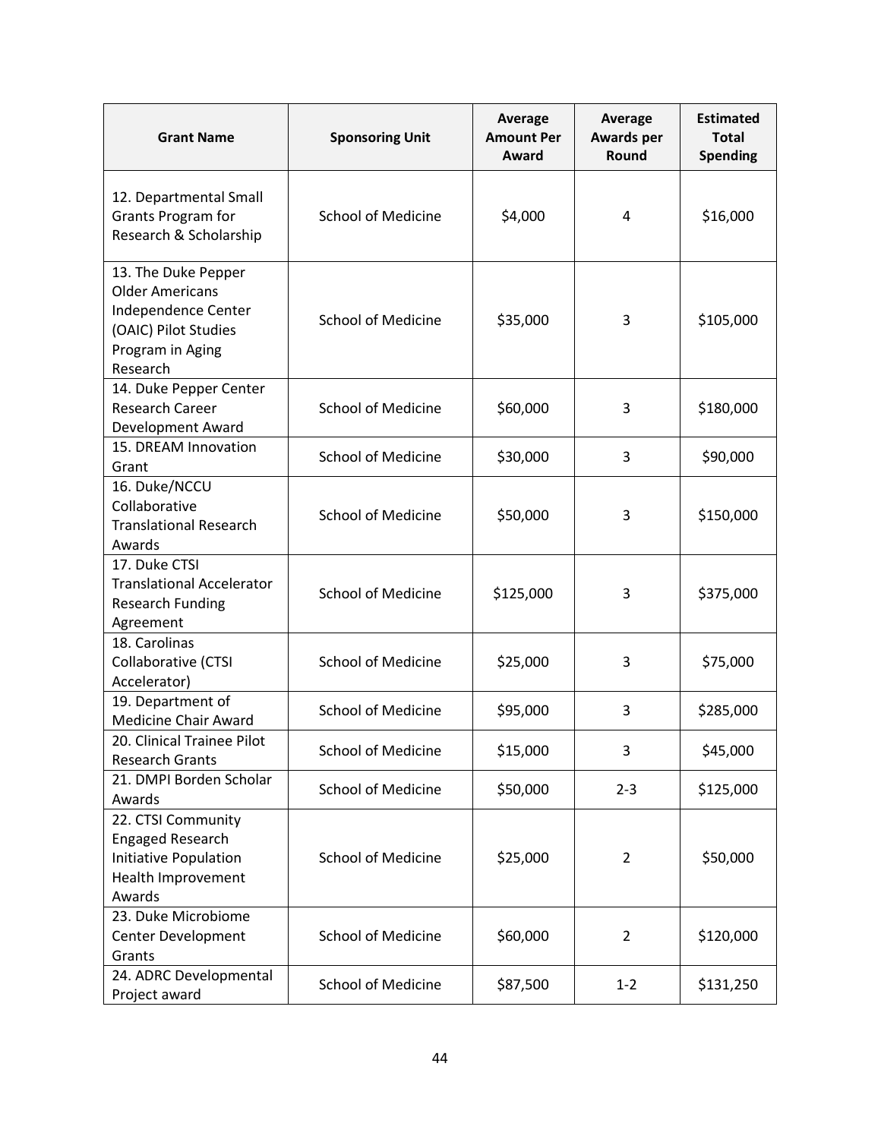| <b>Grant Name</b>                                                                                                            | <b>Sponsoring Unit</b>    | <b>Average</b><br><b>Amount Per</b><br>Award | <b>Average</b><br><b>Awards per</b><br>Round | <b>Estimated</b><br><b>Total</b><br><b>Spending</b> |
|------------------------------------------------------------------------------------------------------------------------------|---------------------------|----------------------------------------------|----------------------------------------------|-----------------------------------------------------|
| 12. Departmental Small<br>Grants Program for<br>Research & Scholarship                                                       | <b>School of Medicine</b> | \$4,000                                      | 4                                            | \$16,000                                            |
| 13. The Duke Pepper<br><b>Older Americans</b><br>Independence Center<br>(OAIC) Pilot Studies<br>Program in Aging<br>Research | <b>School of Medicine</b> | \$35,000                                     | 3                                            | \$105,000                                           |
| 14. Duke Pepper Center<br><b>Research Career</b><br>Development Award                                                        | <b>School of Medicine</b> | \$60,000                                     | 3                                            | \$180,000                                           |
| 15. DREAM Innovation<br>Grant                                                                                                | <b>School of Medicine</b> | \$30,000                                     | 3                                            | \$90,000                                            |
| 16. Duke/NCCU<br>Collaborative<br><b>Translational Research</b><br>Awards                                                    | <b>School of Medicine</b> | \$50,000                                     | 3                                            | \$150,000                                           |
| 17. Duke CTSI<br><b>Translational Accelerator</b><br><b>Research Funding</b><br>Agreement                                    | <b>School of Medicine</b> | \$125,000                                    | 3                                            | \$375,000                                           |
| 18. Carolinas<br>Collaborative (CTSI<br>Accelerator)                                                                         | <b>School of Medicine</b> | \$25,000                                     | 3                                            | \$75,000                                            |
| 19. Department of<br><b>Medicine Chair Award</b>                                                                             | <b>School of Medicine</b> | \$95,000                                     | 3                                            | \$285,000                                           |
| 20. Clinical Trainee Pilot<br><b>Research Grants</b>                                                                         | <b>School of Medicine</b> | \$15,000                                     | 3                                            | \$45,000                                            |
| 21. DMPI Borden Scholar<br>Awards                                                                                            | <b>School of Medicine</b> | \$50,000                                     | $2 - 3$                                      | \$125,000                                           |
| 22. CTSI Community<br><b>Engaged Research</b><br>Initiative Population<br>Health Improvement<br>Awards                       | <b>School of Medicine</b> | \$25,000                                     | 2                                            | \$50,000                                            |
| 23. Duke Microbiome<br>Center Development<br>Grants                                                                          | <b>School of Medicine</b> | \$60,000                                     | 2                                            | \$120,000                                           |
| 24. ADRC Developmental<br>Project award                                                                                      | <b>School of Medicine</b> | \$87,500                                     | $1 - 2$                                      | \$131,250                                           |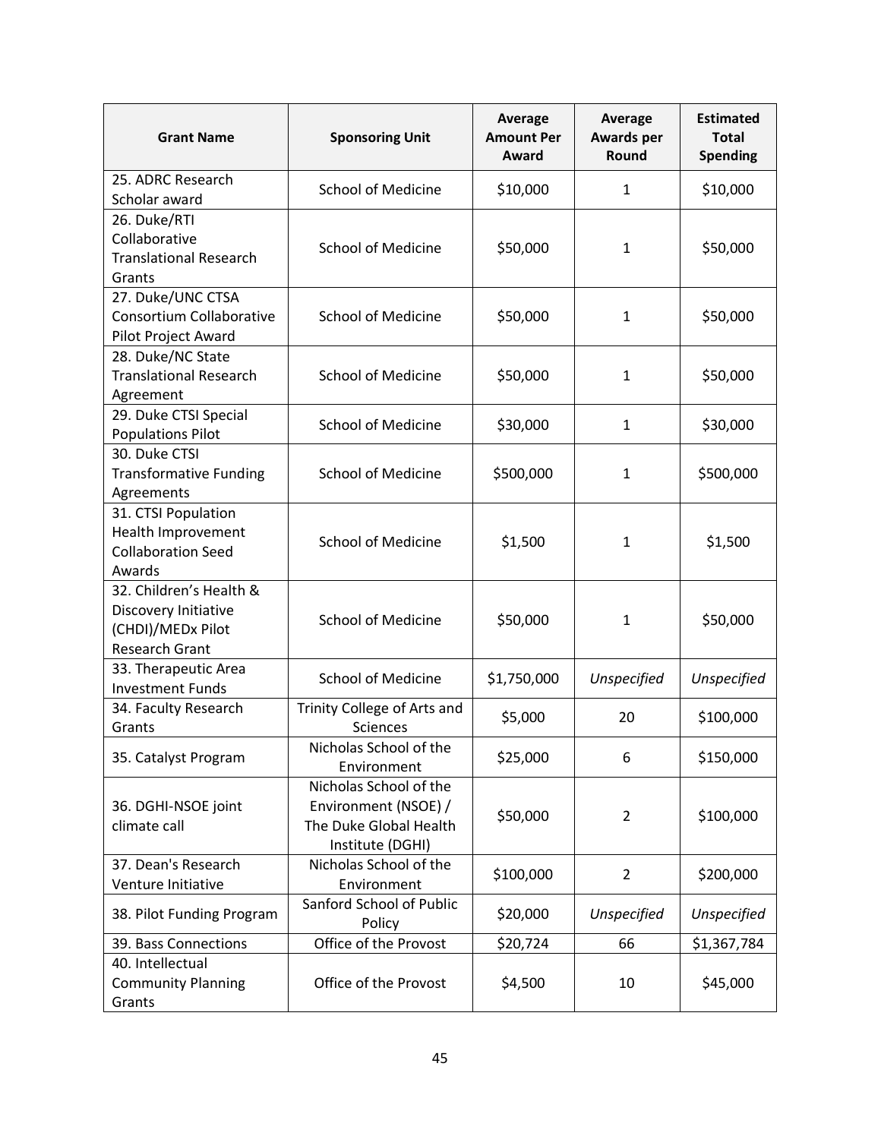| <b>Grant Name</b>                                                                             | <b>Sponsoring Unit</b>                                                                       | Average<br><b>Amount Per</b><br>Award | <b>Average</b><br><b>Awards per</b><br>Round | <b>Estimated</b><br><b>Total</b><br><b>Spending</b> |
|-----------------------------------------------------------------------------------------------|----------------------------------------------------------------------------------------------|---------------------------------------|----------------------------------------------|-----------------------------------------------------|
| 25. ADRC Research<br>Scholar award                                                            | <b>School of Medicine</b>                                                                    | \$10,000                              | $\mathbf{1}$                                 | \$10,000                                            |
| 26. Duke/RTI<br>Collaborative<br><b>Translational Research</b><br>Grants                      | <b>School of Medicine</b>                                                                    | \$50,000                              | $\mathbf{1}$                                 | \$50,000                                            |
| 27. Duke/UNC CTSA<br>Consortium Collaborative<br>Pilot Project Award                          | <b>School of Medicine</b>                                                                    | \$50,000                              | 1                                            | \$50,000                                            |
| 28. Duke/NC State<br><b>Translational Research</b><br>Agreement                               | <b>School of Medicine</b>                                                                    | \$50,000                              | 1                                            | \$50,000                                            |
| 29. Duke CTSI Special<br><b>Populations Pilot</b>                                             | <b>School of Medicine</b>                                                                    | \$30,000                              | $\mathbf{1}$                                 | \$30,000                                            |
| 30. Duke CTSI<br><b>Transformative Funding</b><br>Agreements                                  | <b>School of Medicine</b>                                                                    | \$500,000                             | $\mathbf{1}$                                 | \$500,000                                           |
| 31. CTSI Population<br>Health Improvement<br><b>Collaboration Seed</b><br>Awards              | <b>School of Medicine</b>                                                                    | \$1,500                               | $\mathbf{1}$                                 | \$1,500                                             |
| 32. Children's Health &<br>Discovery Initiative<br>(CHDI)/MEDx Pilot<br><b>Research Grant</b> | <b>School of Medicine</b>                                                                    | \$50,000                              | $\mathbf{1}$                                 | \$50,000                                            |
| 33. Therapeutic Area<br><b>Investment Funds</b>                                               | <b>School of Medicine</b>                                                                    | \$1,750,000                           | Unspecified                                  | Unspecified                                         |
| 34. Faculty Research<br>Grants                                                                | Trinity College of Arts and<br><b>Sciences</b>                                               | \$5,000                               | 20                                           | \$100,000                                           |
| 35. Catalyst Program                                                                          | Nicholas School of the<br>Environment                                                        | \$25,000                              | 6                                            | \$150,000                                           |
| 36. DGHI-NSOE joint<br>climate call                                                           | Nicholas School of the<br>Environment (NSOE) /<br>The Duke Global Health<br>Institute (DGHI) | \$50,000                              | $\overline{2}$                               | \$100,000                                           |
| 37. Dean's Research<br>Venture Initiative                                                     | Nicholas School of the<br>Environment                                                        | \$100,000                             | $\overline{2}$                               | \$200,000                                           |
| 38. Pilot Funding Program                                                                     | Sanford School of Public<br>Policy                                                           | \$20,000                              | Unspecified                                  | Unspecified                                         |
| 39. Bass Connections                                                                          | Office of the Provost                                                                        | \$20,724                              | 66                                           | \$1,367,784                                         |
| 40. Intellectual<br><b>Community Planning</b><br>Grants                                       | Office of the Provost                                                                        | \$4,500                               | 10                                           | \$45,000                                            |